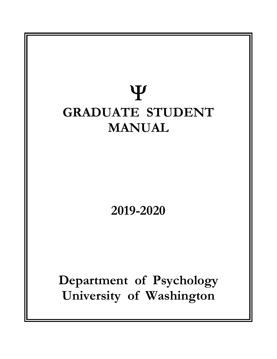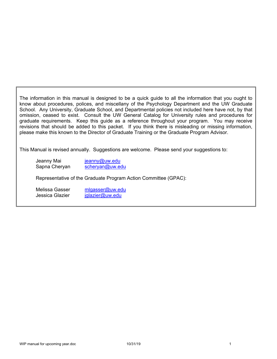The information in this manual is designed to be a quick guide to all the information that you ought to know about procedures, polices, and miscellany of the Psychology Department and the UW Graduate School. Any University, Graduate School, and Departmental policies not included here have not, by that omission, ceased to exist. Consult the UW General Catalog for University rules and procedures for graduate requirements. Keep this guide as a reference throughout your program. You may receive revisions that should be added to this packet. If you think there is misleading or missing information, please make this known to the Director of Graduate Training or the Graduate Program Advisor.

This Manual is revised annually. Suggestions are welcome. Please send your suggestions to:

Jeanny Mai jeanny@uw.edu Sapna Cheryan scheryan@uw.edu

Representative of the Graduate Program Action Committee (GPAC):

Melissa Gasser mlgasser@uw.edu Jessica Glazier iglazier@uw.edu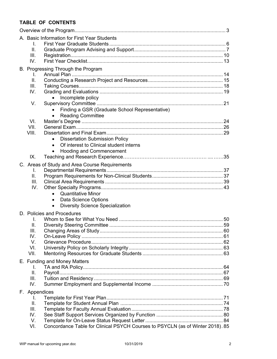## **TABLE OF CONTENTS**

| A. Basic Information for First Year Students                                          |  |
|---------------------------------------------------------------------------------------|--|
| I.                                                                                    |  |
| ΙΙ.                                                                                   |  |
| III.                                                                                  |  |
| IV.                                                                                   |  |
| B. Progressing Through the Program                                                    |  |
| I.                                                                                    |  |
| II.                                                                                   |  |
| III.                                                                                  |  |
| IV.                                                                                   |  |
| Incomplete policy                                                                     |  |
| V.                                                                                    |  |
| Finding a GSR (Graduate School Representative)<br><b>Reading Committee</b>            |  |
| VI.                                                                                   |  |
| VII.                                                                                  |  |
| VIII.                                                                                 |  |
| <b>Dissertation Submission Policy</b>                                                 |  |
| Of interest to Clinical student interns<br>$\bullet$                                  |  |
| <b>Hooding and Commencement</b><br>$\bullet$                                          |  |
| IX.                                                                                   |  |
| C. Areas of Study and Area Course Requirements                                        |  |
| I.                                                                                    |  |
| II.                                                                                   |  |
| III.                                                                                  |  |
| IV.                                                                                   |  |
| <b>Quantitative Minor</b>                                                             |  |
| Data Science Options<br>$\bullet$                                                     |  |
| <b>Diversity Science Specialization</b><br>$\bullet$                                  |  |
| D. Policies and Procedures                                                            |  |
| T.                                                                                    |  |
| Ⅱ.                                                                                    |  |
| III.                                                                                  |  |
| IV.                                                                                   |  |
| V.                                                                                    |  |
| VI.                                                                                   |  |
| VII.                                                                                  |  |
| E. Funding and Money Matters                                                          |  |
| I.                                                                                    |  |
| ΙΙ.                                                                                   |  |
| III.                                                                                  |  |
| IV.                                                                                   |  |
| F. Appendices                                                                         |  |
| L.                                                                                    |  |
| Ⅱ.                                                                                    |  |
| III.<br>IV.                                                                           |  |
| V.                                                                                    |  |
| Concordance Table for Clinical PSYCH Courses to PSYCLN (as of Winter 2018). 85<br>VI. |  |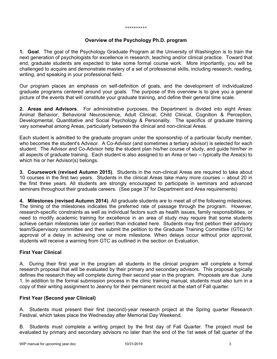#### \*\*\*\*\*\*\*\*\*\*

#### **Overview of the Psychology Ph.D. program**

**1. Goal**. The goal of the Psychology Graduate Program at the University of Washington is to train the next generation of psychologists for excellence in research, teaching and/or clinical practice. Toward that end, graduate students are expected to take some formal course work. More importantly, you will be challenged to acquire and demonstrate mastery of a set of professional skills, including research, reading, writing, and speaking in your professional field.

Our program places an emphasis on self-definition of goals, and the development of individualized graduate programs centered around your goals. The purpose of this overview is to give you a general picture of the events that will constitute your graduate training, and define their general time scale.

**2. Areas and Advisors**. For administrative purposes, the Department is divided into eight Areas: Animal Behavior, Behavioral Neuroscience, Adult Clinical, Child Clinical, Cognition & Perception, Developmental, Quantitative and Social Psychology & Personality. The specifics of graduate training vary somewhat among Areas, particularly between the clinical and non-clinical Areas.

Each student is admitted to the graduate program under the sponsorship of a particular faculty member, who becomes the student's Advisor. A Co-Advisor (and sometimes a tertiary advisor) is selected for each student. The Advisor and Co-Advisor help the student plan his/her course of study, and guide him/her in all aspects of graduate training. Each student is also assigned to an Area or two -- typically the Area(s) to which his or her Advisor(s) belongs.

**3. Coursework (revised Autumn 2015)**. Students in the non-clinical Areas are required to take about 10 courses in the first two years. Students in the clinical Areas take many more courses -- about 20 in the first three years. All students are strongly encouraged to participate in seminars and advanced seminars throughout their graduate careers. (See page 37 for Department and Area requirements)

**4. Milestones (revised Autumn 2014)**. All graduate students are to meet all of the following milestones. The timing of the milestones indicates the preferred rate of passage through the program. However, research-specific constraints as well as individual factors such as health issues, family responsibilities, or need to modify academic training for excellence in an area of study may require that some students achieve certain milestones later (or earlier) than indicated here. Students may first petition their advisory team/Supervisory committee and then submit the petition to the Graduate Training Committee (GTC) for approval of a delay in achieving one or more milestone. When delays occur without prior approval, students will receive a warning from GTC as outlined in the section on Evaluation.

### **First Year Clinical**

A. During their first year in the program all students in the clinical program will complete a formal research proposal that will be evaluated by their primary and secondary advisors. This proposal typically defines the research they will complete during their second year in the program. Proposals are due June 1. In addition to the formal submission process in the clinic training manual, students must also turn in a copy of their writing assignment to Jeanny for their permanent record at the start of Fall quarter.

### **First Year (Second year Clinical)**

A. Students must present their first (second)-year research project at the Spring quarter Research Festival, which takes place the Wednesday after Memorial Day Weekend.

B. Students must complete a writing project by the first day of Fall Quarter. The project must be evaluated by primary and secondary advisors no later than the end of the 1st week of fall quarter of the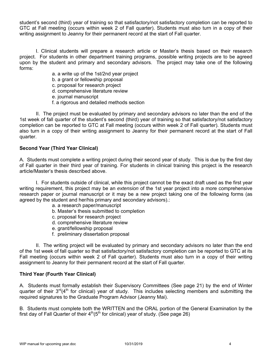student's second (third) year of training so that satisfactory/not satisfactory completion can be reported to GTC at Fall meeting (occurs within week 2 of Fall quarter). Students must also turn in a copy of their writing assignment to Jeanny for their permanent record at the start of Fall quarter.

 I. Clinical students will prepare a research article or Master's thesis based on their research project. For students in other department training programs, possible writing projects are to be agreed upon by the student and primary and secondary advisors. The project may take one of the following forms:

- a. a write up of the 1st/2nd year project
- b. a grant or fellowship proposal
- c. proposal for research project
- d. comprehensive literature review
- e. journal manuscript
- f. a rigorous and detailed methods section

 II. The project must be evaluated by primary and secondary advisors no later than the end of the 1st week of fall quarter of the student's second (third) year of training so that satisfactory/not satisfactory completion can be reported to GTC at Fall meeting (occurs within week 2 of Fall quarter). Students must also turn in a copy of their writing assignment to Jeanny for their permanent record at the start of Fall quarter.

### **Second Year (Third Year Clinical)**

A. Students must complete a writing project during their second year of study. This is due by the first day of Fall quarter in their third year of training. For students in clinical training this project is the research article/Master's thesis described above.

 I. For students outside of clinical, while this project cannot be the exact draft used as the first year writing requirement, this project may be an *extension* of the 1st year project into a more comprehensive research paper or journal manuscript or it may be a new project taking one of the following forms (as agreed by the student and her/his primary and secondary advisors).:

- a. a research paper/manuscript
- b. Master's thesis submitted to completion
- c. proposal for research project
- d. comprehensive literature review
- e. grant/fellowship proposal
- f. preliminary dissertation proposal

 II. The writing project will be evaluated by primary and secondary advisors no later than the end of the 1st week of fall quarter so that satisfactory/not satisfactory completion can be reported to GTC at its Fall meeting (occurs within week 2 of Fall quarter). Students must also turn in a copy of their writing assignment to Jeanny for their permanent record at the start of Fall quarter.

#### **Third Year (Fourth Year Clinical)**

A. Students must formally establish their Supervisory Committees (See page 21) by the end of Winter quarter of their 3<sup>rd</sup>(4<sup>th</sup> for clinical) year of study. This includes selecting members and submitting the required signatures to the Graduate Program Advisor (Jeanny Mai).

B. Students must complete both the WRITTEN and the ORAL portion of the General Examination by the first day of Fall Quarter of their  $4<sup>th</sup>(5<sup>th</sup>$  for clinical) year of study. (See page 26)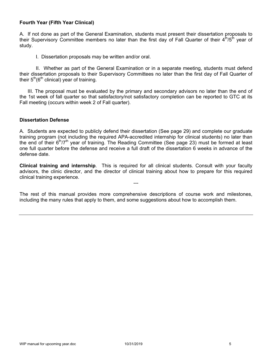### **Fourth Year (Fifth Year Clinical)**

A. If not done as part of the General Examination, students must present their dissertation proposals to their Supervisory Committee members no later than the first day of Fall Quarter of their  $4<sup>th</sup>/5<sup>th</sup>$  year of study.

I. Dissertation proposals may be written and/or oral.

 II. Whether as part of the General Examination or in a separate meeting, students must defend their dissertation proposals to their Supervisory Committees no later than the first day of Fall Quarter of their  $5<sup>th</sup>(6<sup>th</sup>$  clinical) year of training.

 III. The proposal must be evaluated by the primary and secondary advisors no later than the end of the 1st week of fall quarter so that satisfactory/not satisfactory completion can be reported to GTC at its Fall meeting (occurs within week 2 of Fall quarter).

#### **Dissertation Defense**

A. Students are expected to publicly defend their dissertation (See page 29) and complete our graduate training program (not including the required APA-accredited internship for clinical students) no later than the end of their  $6<sup>th</sup>/7<sup>th</sup>$  year of training. The Reading Committee (See page 23) must be formed at least one full quarter before the defense and receive a full draft of the dissertation 6 weeks in advance of the defense date.

**Clinical training and internship**. This is required for all clinical students. Consult with your faculty advisors, the clinic director, and the director of clinical training about how to prepare for this required clinical training experience.

---

The rest of this manual provides more comprehensive descriptions of course work and milestones, including the many rules that apply to them, and some suggestions about how to accomplish them.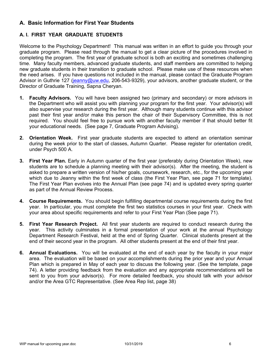# **A. Basic Information for First Year Students**

## **A. I. FIRST YEAR GRADUATE STUDENTS**

Welcome to the Psychology Department! This manual was written in an effort to guide you through your graduate program. Please read through the manual to get a clear picture of the procedures involved in completing the program. The first year of graduate school is both an exciting and sometimes challenging time. Many faculty members, advanced graduate students, and staff members are committed to helping new graduate students in their transition to graduate school. Please make use of these resources when the need arises. If you have questions not included in the manual, please contact the Graduate Program Advisor in Guthrie 127 (jeanny@uw.edu, 206-543-9329), your advisors, another graduate student, or the Director of Graduate Training, Sapna Cheryan.

- **1. Faculty Advisors.** You will have been assigned two (primary and secondary) or more advisors in the Department who will assist you with planning your program for the first year. Your advisor(s) will also supervise your research during the first year. Although many students continue with this advisor past their first year and/or make this person the chair of their Supervisory Committee, this is not required. You should feel free to pursue work with another faculty member if that should better fit your educational needs. (See page 7, Graduate Program Advising).
- **2. Orientation Week.** First year graduate students are expected to attend an orientation seminar during the week prior to the start of classes, Autumn Quarter. Please register for orientation credit, under Psych 500 A.
- **3. First Year Plan.** Early in Autumn quarter of the first year (preferably during Orientation Week), new students are to schedule a planning meeting with their advisor(s). After the meeting, the student is asked to prepare a written version of his/her goals, coursework, research, etc., for the upcoming year which due to Jeanny within the first week of class (the First Year Plan, see page 71 for template). The First Year Plan evolves into the Annual Plan (see page 74) and is updated every spring quarter as part of the Annual Review Process.
- **4. Course Requirements.** You should begin fulfilling departmental course requirements during the first year. In particular, you must complete the first two statistics courses in your first year. Check with your area about specific requirements and refer to your First Year Plan (See page 71).
- **5. First Year Research Project.** All first year students are required to conduct research during the year. This activity culminates in a formal presentation of your work at the annual Psychology Department Research Festival, held at the end of Spring Quarter. Clinical students present at the end of their second year in the program. All other students present at the end of their first year.
- **6. Annual Evaluations.** You will be evaluated at the end of each year by the faculty in your major area. The evaluation will be based on your accomplishments during the prior year and your Annual Plan which is prepared in May of each year to discuss the following year. (See the template, page 74). A letter providing feedback from the evaluation and any appropriate recommendations will be sent to you from your advisor(s). For more detailed feedback, you should talk with your advisor and/or the Area GTC Representative. (See Area Rep list, page 38)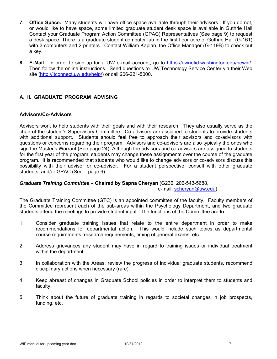- **7. Office Space.** Many students will have office space available through their advisors. If you do not, or would like to have space, some limited graduate student desk space is available in Guthrie Hall Contact your Graduate Program Action Committee (GPAC) Representatives (See page 9) to request a desk space. There is a graduate student computer lab in the first floor core of Guthrie Hall (G-161) with 3 computers and 2 printers. Contact William Kaplan, the Office Manager (G-119B) to check out a key.
- **8. E-Mail.** In order to sign up for a UW e-mail account, go to https://uwnetid.washington.edu/newid/. Then follow the online instructions. Send questions to UW Technology Service Center via their Web site (http://itconnect.uw.edu/help/) or call 206-221-5000.

### **A. II. GRADUATE PROGRAM ADVISING**

#### **Advisors/Co-Advisors**

Advisors work to help students with their goals and with their research. They also usually serve as the chair of the student's Supervisory Committee. Co-advisors are assigned to students to provide students with additional support. Students should feel free to approach their advisors and co-advisors with questions or concerns regarding their program. Advisors and co-advisors are also typically the ones who sign the Master's Warrant (See page 24). Although the advisors and co-advisors are assigned to students for the first year of the program, students may change these assignments over the course of the graduate program. It is recommended that students who would like to change advisors or co-advisors discuss this possibility with their advisor or co-advisor. For a student perspective, consult with other graduate students, and/or GPAC (See page 9).

### *Graduate Training Committee –* **Chaired by Sapna Cheryan** (G236, 206-543-5688, e-mail: scheryan@uw.edu)

The Graduate Training Committee (GTC) is an appointed committee of the faculty. Faculty members of the Committee represent each of the sub-areas within the Psychology Department, and two graduate students attend the meetings to provide student input. The functions of the Committee are to:

- 1. Consider graduate training issues that relate to the entire department in order to make recommendations for departmental action. This would include such topics as departmental course requirements, research requirements, timing of general exams, etc.
- 2. Address grievances any student may have in regard to training issues or individual treatment within the department.
- 3. In collaboration with the Areas, review the progress of individual graduate students, recommend disciplinary actions when necessary (rare).
- 4. Keep abreast of changes in Graduate School policies in order to interpret them to students and faculty.
- 5. Think about the future of graduate training in regards to societal changes in job prospects, funding, etc.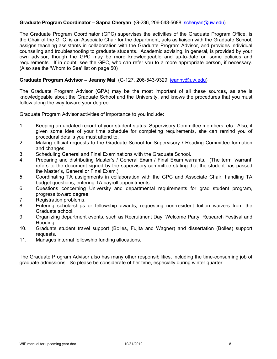#### **Graduate Program Coordinator – Sapna Cheryan** (G-236, 206-543-5688, scheryan@uw.edu)

The Graduate Program Coordinator (GPC) supervises the activities of the Graduate Program Office, is the Chair of the GTC, is an Associate Chair for the department, acts as liaison with the Graduate School, assigns teaching assistants in collaboration with the Graduate Program Advisor, and provides individual counseling and troubleshooting to graduate students. Academic advising, in general, is provided by your own advisor, though the GPC may be more knowledgeable and up-to-date on some policies and requirements. If in doubt, see the GPC, who can refer you to a more appropriate person, if necessary. (Also see the 'Whom to See' list on page 50)

#### **Graduate Program Advisor – Jeanny Mai** (G-127, 206-543-9329, jeanny@uw.edu)

The Graduate Program Advisor (GPA) may be the most important of all these sources, as she is knowledgeable about the Graduate School and the University, and knows the procedures that you must follow along the way toward your degree.

Graduate Program Advisor activities of importance to you include:

- 1. Keeping an updated record of your student status, Supervisory Committee members, etc. Also, if given some idea of your time schedule for completing requirements, she can remind you of procedural details you must attend to.
- 2. Making official requests to the Graduate School for Supervisory / Reading Committee formation and changes.
- 3. Scheduling General and Final Examinations with the Graduate School.
- 4. Preparing and distributing Master's / General Exam / Final Exam warrants. (The term 'warrant' refers to the document signed by the supervisory committee stating that the student has passed the Master's, General or Final Exam.)
- 5. Coordinating TA assignments in collaboration with the GPC and Associate Chair, handling TA budget questions, entering TA payroll appointments.
- 6. Questions concerning University and departmental requirements for grad student program, progress toward degree.
- 7. Registration problems.
- 8. Entering scholarships or fellowship awards, requesting non-resident tuition waivers from the Graduate school.
- 9. Organizing department events, such as Recruitment Day, Welcome Party, Research Festival and Hooding.
- 10. Graduate student travel support (Bolles, Fujita and Wagner) and dissertation (Bolles) support requests.
- 11. Manages internal fellowship funding allocations.

The Graduate Program Advisor also has many other responsibilities, including the time-consuming job of graduate admissions. So please be considerate of her time, especially during winter quarter.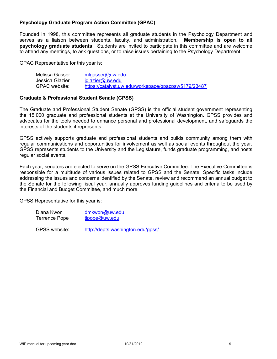### **Psychology Graduate Program Action Committee (GPAC)**

Founded in 1998, this committee represents all graduate students in the Psychology Department and serves as a liaison between students, faculty, and administration. **Membership is open to all psychology graduate students.** Students are invited to participate in this committee and are welcome to attend any meetings, to ask questions, or to raise issues pertaining to the Psychology Department.

GPAC Representative for this year is:

| Melissa Gasser  | mlgasser@uw.edu                                      |
|-----------------|------------------------------------------------------|
| Jessica Glazier | $j$ glazier@uw.edu                                   |
| GPAC website:   | https://catalyst.uw.edu/workspace/gpacpsy/5179/23487 |

#### **Graduate & Professional Student Senate (GPSS)**

The Graduate and Professional Student Senate (GPSS) is the official student government representing the 15,000 graduate and professional students at the University of Washington. GPSS provides and advocates for the tools needed to enhance personal and professional development, and safeguards the interests of the students it represents.

GPSS actively supports graduate and professional students and builds community among them with regular communications and opportunities for involvement as well as social events throughout the year. GPSS represents students to the University and the Legislature, funds graduate programming, and hosts regular social events.

Each year, senators are elected to serve on the GPSS Executive Committee. The Executive Committee is responsible for a multitude of various issues related to GPSS and the Senate. Specific tasks include addressing the issues and concerns identified by the Senate, review and recommend an annual budget to the Senate for the following fiscal year, annually approves funding guidelines and criteria to be used by the Financial and Budget Committee, and much more.

GPSS Representative for this year is:

Diana Kwon dmkwon@uw.edu Terrence Pope tipope@uw.edu

GPSS website: http://depts.washington.edu/gpss/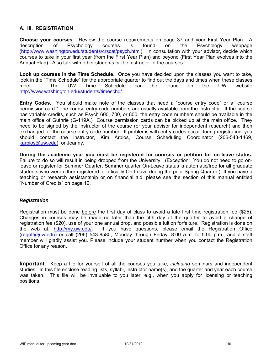### **A. III. REGISTRATION**

**Choose your courses**. Review the course requirements on page 37 and your First Year Plan. A description of Psychology courses is found on the Psychology webpage (http://www.washington.edu/students/crscat/psych.html). In consultation with your advisor, decide which courses to take in your first year (from the First Year Plan) and beyond (First Year Plan evolves into the Annual Plan). Also talk with other students or the instructor of the courses.

**Look up courses in the Time Schedule**. Once you have decided upon the classes you want to take, look in the "Time Schedule" for the appropriate quarter to find out the days and times when these classes meet. The UW Time Schedule can be found on the UW website http://www.washington.edu/students/timeschd/.

**Entry Codes**. You should make note of the classes that need a "course entry code" or a "course permission card." The course entry code numbers are usually available from the instructor. If the course has variable credits, such as Psych 600, 700, or 800, the entry code numbers should be available in the main office of Guthrie (G-119A.) Course permission cards can be picked up at the main office. They need to be signed by the instructor of the course (or your advisor for independent research) and then exchanged for the course entry code number. If problems with entry codes occur during registration, you should contact the instructor, Kim Arbios, Course Scheduling Coordinator (206-543-1469, karbios@uw.edu), or Jeanny.

**During the academic year you must be registered for courses or petition for on-leave status.**  Failure to do so will result in being dropped from the University. (Exception: You do not need to go onleave or register for Summer Quarter. Summer quarter On-Leave status is automatic/free for all graduate students who were either registered or officially On-Leave during the prior Spring Quarter.) If you have a teaching or research assistantship or on financial aid, please see the section of this manual entitled "Number of Credits" on page 12.

#### *Registration*

Registration must be done before the first day of class to avoid a late first time registration fee (\$25). Changes in courses may be made no later than the fifth day of the quarter to avoid a change of registration fee (\$20), use of your one annual drop, and possible tuition forfeiture. Registration is done on the web at: http://my.uw.edu/. If you have questions, please email the Registration Office  $($ regoff@uw.edu) or call (206) 543-8580, Monday through Friday, 8:00 a.m. to 5:00 p.m., and a staff member will gladly assist you. Please include your student number when you contact the Registration Office for any reason.

**Important**: Keep a file for yourself of all the courses you take, *including* seminars and independent studies. In this file enclose reading lists, syllabi, instructor name(s), and the quarter and year each course was taken. This file will be invaluable to you later; e.g., when you apply for licensing or teaching positions.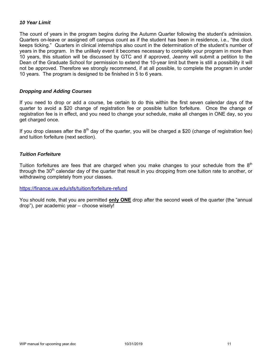### *10 Year Limit*

The count of years in the program begins during the Autumn Quarter following the student's admission. Quarters on-leave or assigned off campus count as if the student has been in residence, i.e., "the clock keeps ticking." Quarters in clinical internships also count in the determination of the student's number of years in the program. In the unlikely event it becomes necessary to complete your program in more than 10 years, this situation will be discussed by GTC and if approved, Jeanny will submit a petition to the Dean of the Graduate School for permission to extend the 10-year limit but there is still a possibility it will not be approved. Therefore we strongly recommend, if at all possible, to complete the program in under 10 years. The program is designed to be finished in 5 to 6 years.

#### *Dropping and Adding Courses*

If you need to drop or add a course, be certain to do this within the first seven calendar days of the quarter to avoid a \$20 change of registration fee or possible tuition forfeiture. Once the change of registration fee is in effect, and you need to change your schedule, make all changes in ONE day, so you get charged once.

If you drop classes after the  $8<sup>th</sup>$  day of the quarter, you will be charged a \$20 (change of registration fee) and tuition forfeiture (next section).

### *Tuition Forfeiture*

Tuition forfeitures are fees that are charged when you make changes to your schedule from the  $8<sup>th</sup>$ through the 30<sup>th</sup> calendar day of the quarter that result in you dropping from one tuition rate to another, or withdrawing completely from your classes.

https://finance.uw.edu/sfs/tuition/forfeiture-refund

You should note, that you are permitted **only ONE** drop after the second week of the quarter (the "annual drop"), per academic year – choose wisely!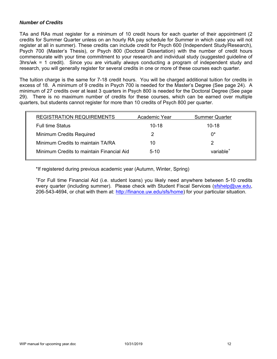### *Number of Credits*

TAs and RAs must register for a minimum of 10 credit hours for each quarter of their appointment (2 credits for Summer Quarter unless on an hourly RA pay schedule for Summer in which case you will not register at all in summer). These credits can include credit for Psych 600 (Independent Study/Research), Psych 700 (Master's Thesis), or Psych 800 (Doctoral Dissertation) with the number of credit hours commensurate with your time commitment to your research and individual study (suggested guideline of 3hrs/wk = 1 credit). Since you are virtually always conducting a program of independent study and research, you will generally register for several credits in one or more of these courses each quarter.

The tuition charge is the same for 7-18 credit hours. You will be charged additional tuition for credits in excess of 18. A minimum of 9 credits in Psych 700 is needed for the Master's Degree (See page 24). A minimum of 27 credits over at least 3 quarters in Psych 800 is needed for the Doctoral Degree (See page 29). There is no maximum number of credits for these courses, which can be earned over multiple quarters, but students cannot register for more than 10 credits of Psych 800 per quarter.

| <b>REGISTRATION REQUIREMENTS</b>          | Academic Year | <b>Summer Quarter</b> |
|-------------------------------------------|---------------|-----------------------|
| <b>Full time Status</b>                   | $10 - 18$     | $10 - 18$             |
| <b>Minimum Credits Required</b>           | 2             | በ*                    |
| Minimum Credits to maintain TA/RA         | 10            |                       |
| Minimum Credits to maintain Financial Aid | $5-10$        | variable <sup>+</sup> |

\*If registered during previous academic year (Autumn, Winter, Spring)

+ For Full time Financial Aid (i.e. student loans) you likely need anywhere between 5-10 credits every quarter (including summer). Please check with Student Fiscal Services (sfshelp@uw.edu, 206-543-4694, or chat with them at: http://finance.uw.edu/sfs/home) for your particular situation.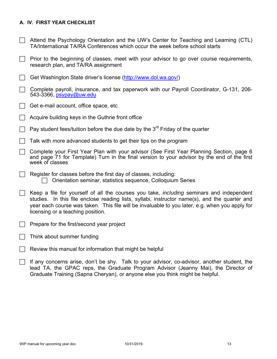### **A. IV. FIRST YEAR CHECKLIST**

- $\Box$  Attend the Psychology Orientation and the UW's Center for Teaching and Learning (CTL) TA/International TA/RA Conferences which occur the week before school starts
- $\Box$  Prior to the beginning of classes, meet with your advisor to go over course requirements, research plan, and TA/RA assignment
- Get Washington State driver's license (http://www.dol.wa.gov/)
- $\Box$  Complete payroll, insurance, and tax paperwork with our Payroll Coordinator, G-131, 206-543-3366, psypay@uw.edu
- $\Box$  Get e-mail account, office space, etc
- Acquire building keys in the Guthrie front office
- $\Box$  Pay student fees/tuition before the due date by the 3<sup>rd</sup> Friday of the quarter
- $\Box$  Talk with more advanced students to get their tips on the program
- Complete your First Year Plan with your advisor (See First Year Planning Section, page 6 and page 71 for Template) Turn in the final version to your advisor by the end of the first week of classes
- $\Box$  Register for classes before the first day of classes, including:  $\Box$  Orientation seminar, statistics sequence, Colloquium Series
- Keep a file for yourself of all the courses you take, *including* seminars and independent studies. In this file enclose reading lists, syllabi, instructor name(s), and the quarter and year each course was taken. This file will be invaluable to you later, e.g. when you apply for licensing or a teaching position.
- $\Box$  Prepare for the first/second year project
- Think about summer funding
- $\Box$  Review this manual for information that might be helpful
- If any concerns arise, don't be shy. Talk to your advisor, co-advisor, another student, the lead TA, the GPAC reps, the Graduate Program Advisor (Jeanny Mai), the Director of Graduate Training (Sapna Cheryan), or anyone else you think might be helpful.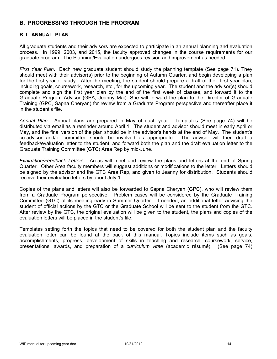### **B. PROGRESSING THROUGH THE PROGRAM**

#### **B. I. ANNUAL PLAN**

All graduate students and their advisors are expected to participate in an annual planning and evaluation process. In 1999, 2003, and 2015, the faculty approved changes in the course requirements for our graduate program. The Planning/Evaluation undergoes revision and improvement as needed.

*First Year Plan*. Each new graduate student should study the planning template (See page 71). They should meet with their advisor(s) prior to the beginning of Autumn Quarter, and begin developing a plan for the first year of study. After the meeting, the student should prepare a draft of their first year plan, including goals, coursework, research, etc., for the upcoming year. The student and the advisor(s) should complete and sign the first year plan by the end of the first week of classes, and forward it to the Graduate Program Advisor (GPA, Jeanny Mai). She will forward the plan to the Director of Graduate Training (GPC, Sapna Cheryan) for review from a Graduate Program perspective and thereafter place it in the student's file.

*Annual Plan*. Annual plans are prepared in May of each year. Templates (See page 74) will be distributed via email as a reminder around April 1. The student and advisor should meet in early April or May, and the final version of the plan should be in the advisor's hands at the end of May. The student's co-advisor and/or committee should be involved as appropriate. The advisor will then draft a feedback/evaluation letter to the student, and forward both the plan and the draft evaluation letter to the Graduate Training Committee (GTC) Area Rep by mid-June.

*Evaluation/Feedback Letters.* Areas will meet and review the plans and letters at the end of Spring Quarter. Other Area faculty members will suggest additions or modifications to the letter. Letters should be signed by the advisor and the GTC Area Rep, and given to Jeanny for distribution. Students should receive their evaluation letters by about July 1.

Copies of the plans and letters will also be forwarded to Sapna Cheryan (GPC), who will review them from a Graduate Program perspective. Problem cases will be considered by the Graduate Training Committee (GTC) at its meeting early in Summer Quarter. If needed, an additional letter advising the student of official actions by the GTC or the Graduate School will be sent to the student from the GTC. After review by the GTC, the original evaluation will be given to the student, the plans and copies of the evaluation letters will be placed in the student's file.

Templates setting forth the topics that need to be covered for both the student plan and the faculty evaluation letter can be found at the back of this manual. Topics include items such as goals, accomplishments, progress, development of skills in teaching and research, coursework, service, presentations, awards, and preparation of a *curriculum vitae* (academic résumé). (See page 74)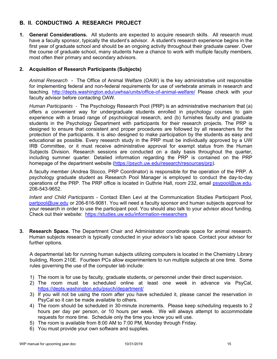# **B. II. CONDUCTING A RESEARCH PROJECT**

**1. General Considerations.** All students are expected to acquire research skills. All research must have a faculty sponsor, typically the student's advisor. A student's research experience begins in the first year of graduate school and should be an ongoing activity throughout their graduate career. Over the course of graduate school, many students have a chance to work with multiple faculty members, most often their primary and secondary advisors.

### **2. Acquisition of Research Participants (Subjects)**

*Animal Research* - The Office of Animal Welfare (OAW) is the key administrative unit responsible for implementing federal and non-federal requirements for use of vertebrate animals in research and teaching. http://depts.washington.edu/uwhsa/units/office-of-animal-welfare/ Please check with your faculty advisor before contacting OAW.

*Human Participants -* The Psychology Research Pool (PRP) is an administrative mechanism that (a) offers a convenient way for undergraduate students enrolled in psychology courses to gain experience with a broad range of psychological research, and (b) furnishes faculty and graduate students in the Psychology Department with participants for their research projects. The PRP is designed to ensure that consistent and proper procedures are followed by all researchers for the protection of the participants. It is also designed to make participation by the students as easy and educational as possible. Every research study in the PRP must be individually approved by a UW IRB Committee, or it must receive administrative approval for exempt status from the Human Subjects Division. Research sessions are conducted on a daily basis throughout the quarter, including summer quarter. Detailed information regarding the PRP is contained on the PRP homepage of the department website (https://psych.uw.edu/research/resources/prp).

A faculty member (Andrea Stocco, PRP Coordinator) is responsible for the operation of the PRP. A psychology graduate student as Research Pool Manager is employed to conduct the day-to-day operations of the PRP. The PRP office is located in Guthrie Hall, room 232, email psypool@uw.edu, 206-543-9652.

*Infant and Child Participants* - Contact Ellen Levi at the Communication Studies Participant Pool, partpool@uw.edu or 206-616-9081. You will need a faculty sponsor and human subjects approval for your research in order to use the participant pool. You should also talk to your advisor about funding. Check out their website: https://studies.uw.edu/information-researchers

**3. Research Space.** The Department Chair and Administrator coordinate space for animal research. Human subjects research is typically conducted in your advisor's lab space. Contact your advisor for further options.

A departmental lab for running human subjects utilizing computers is located in the Chemistry Library building, Room 210E. Fourteen PCs allow experimenters to run multiple subjects at one time. Some rules governing the use of the computer lab include:

- 1) The room is for use by faculty, graduate students, or personnel under their direct supervision.
- 2) The room must be scheduled online at least one week in advance via PsyCal, https://depts.washington.edu/psych/department/
- 3) If you will not be using the room after you have scheduled it, please cancel the reservation in PsyCal so it can be made available to others.
- 4) The room should be scheduled in 30-minute increments. Please keep scheduling requests to 2 hours per day per person, or 10 hours per week. We will always attempt to accommodate requests for more time. Schedule only the time you know you will use.
- 5) The room is available from 8:00 AM to 7:00 PM, Monday through Friday.
- 6) You must provide your own software and supplies.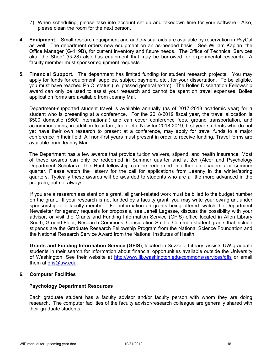- 7) When scheduling, please take into account set up and takedown time for your software. Also, please clean the room for the next person.
- **4. Equipment.** Small research equipment and audio-visual aids are available by reservation in PsyCal as well. The department orders new equipment on an as-needed basis. See William Kaplan, the Office Manager (G-119B), for current inventory and future needs. The Office of Technical Services aka "the Shop" (G-28) also has equipment that may be borrowed for experimental research. A faculty member must sponsor equipment requests.
- **5. Financial Support.** The department has limited funding for student research projects. You may apply for funds for equipment, supplies, subject payment, etc., for your dissertation. To be eligible, you must have reached Ph.C. status (i.e. passed general exam). The Bolles Dissertation Fellowship award can only be used to assist your research and cannot be spent on travel expenses. Bolles application forms are available from Jeanny Mai.

Department-supported student travel is available annually (as of 2017-2018 academic year) for a student who is presenting at a conference. For the 2018-2019 fiscal year, the travel allocation is \$500 domestic (\$600 international) and can cover conference fees, ground transportation, and accommodations, in addition to airfare, train, etc. New for 2018-2019, first year students who do not yet have their own research to present at a conference, may apply for travel funds to a major conference in their field. All non-first years must present in order to receive funding. Travel forms are available from Jeanny Mai.

The Department has a few awards that provide tuition waivers, stipend, and health insurance. Most of these awards can only be redeemed in Summer quarter and at 2cr (Alcor and Psychology Department Scholars). The Hunt fellowship can be redeemed in either an academic or summer quarter. Please watch the listserv for the call for applications from Jeanny in the winter/spring quarters. Typically these awards will be awarded to students who are a little more advanced in the program, but not always.

If you are a research assistant on a grant, all grant-related work must be billed to the budget number on the grant. If your research is not funded by a faculty grant, you may write your own grant under sponsorship of a faculty member. For information on grants being offered, watch the Department Newsletter for agency requests for proposals, see Jeneil Lagasse, discuss the possibility with your advisor, or visit the Grants and Funding Information Service (GFIS) office located in Allen Library South, Ground Floor, Research Commons, Consultation Studio. Common student grants that include stipends are the Graduate Research Fellowship Program from the National Science Foundation and the National Research Service Award from the National Institutes of Health.

**Grants and Funding Information Service (GFIS)**, located in Suzzallo Library, assists UW graduate students in their search for information about financial opportunities available outside the University of Washington. See their website at http://www.lib.washington.edu/commons/services/gfis or email them at gfis@uw.edu.

#### **6. Computer Facilities**

#### **Psychology Department Resources**

Each graduate student has a faculty advisor and/or faculty person with whom they are doing research. The computer facilities of the faculty advisor/research colleague are generally shared with their graduate students.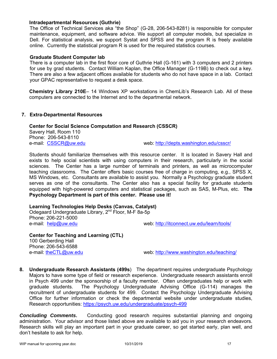#### **Intradepartmental Resources (Guthrie)**

The Office of Technical Services aka "the Shop" (G-28, 206-543-8281) is responsible for computer maintenance, equipment, and software advice. We support all computer models, but specialize in Dell. For statistical analysis, we support Systat and SPSS and the program R is freely available online. Currently the statistical program R is used for the required statistics courses.

#### **Graduate Student Computer lab**

There is a computer lab in the first floor core of Guthrie Hall (G-161) with 3 computers and 2 printers for use by grad students. Contact William Kaplan, the Office Manager (G-119B) to check out a key. There are also a few adjacent offices available for students who do not have space in a lab. Contact your GPAC representative to request a desk space.

**Chemistry Library 210E**– 14 Windows XP workstations in ChemLib's Research Lab. All of these computers are connected to the Internet and to the departmental network.

#### **7. Extra-Departmental Resources**

#### **Center for Social Science Computation and Research (CSSCR)**

Savery Hall, Room 110 Phone: 206-543-8110

e-mail: CSSCR@uw.edu web: http://depts.washington.edu/csscr/

Students should familiarize themselves with this resource center. It is located in Savery Hall and exists to help social scientists with using computers in their research, particularly in the social sciences. The Center has a large number of terminals and printers, as well as microcomputer teaching classrooms. The Center offers basic courses free of charge in computing, e.g., SPSS X, MS Windows, etc. Consultants are available to assist you. Normally a Psychology graduate student serves as one of the consultants. The Center also has a special facility for graduate students equipped with high-powered computers and statistical packages, such as SAS, M-Plus, etc. **The Psychology Department is part of this center. Please use it!**

### **Learning Technologies Help Desks (Canvas, Catalyst)**

Odegaard Undergraduate Library, 2nd Floor, M-F 8a-5p Phone: 206-221-5000 e-mail: help@uw.edu web: http://itconnect.uw.edu/learn/tools/

**Center for Teaching and Learning (CTL)**  100 Gerberding Hall Phone: 206-543-6588<br>e-mail: theCTL@uw.edu

web: http://www.washington.edu/teaching/

**8. Undergraduate Research Assistants (499s**) The department requires undergraduate Psychology Majors to have some type of field or research experience. Undergraduate research assistants enroll in Psych 499 under the sponsorship of a faculty member. Often undergraduates help or work with graduate students. The Psychology Undergraduate Advising Office (G-114) manages the recruitment of undergraduate students for 499. Contact the Psychology Undergraduate Advising Office for further information or check the departmental website under undergraduate studies, Research opportunities: https://psych.uw.edu/undergraduate/psych-499

**Concluding Comments.** Conducting good research requires substantial planning and ongoing administration. Your advisor and those listed above are available to aid you in your research endeavors. Research skills will play an important part in your graduate career, so get started early, plan well, and don't hesitate to ask for help.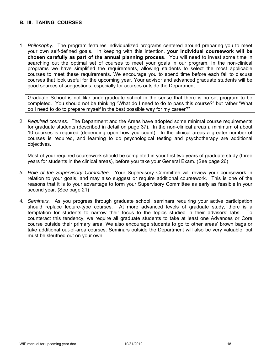### **B. III. TAKING COURSES**

1. *Philosophy.* The program features individualized programs centered around preparing you to meet your own self-defined goals. In keeping with this intention, **your individual coursework will be chosen carefully as part of the annual planning process**. You will need to invest some time in searching out the optimal set of courses to meet your goals in our program. In the non-clinical programs we have simplified the requirements, allowing students to select the most applicable courses to meet these requirements. We encourage you to spend time before each fall to discuss courses that look useful for the upcoming year. Your advisor and advanced graduate students will be good sources of suggestions, especially for courses outside the Department.

Graduate School is not like undergraduate school in the sense that there is no set program to be completed. You should not be thinking "What do I need to do to pass this course?" but rather "What do I need to do to prepare myself in the best possible way for my career?"

2. *Required courses.* The Department and the Areas have adopted some minimal course requirements for graduate students (described in detail on page 37). In the non-clinical areas a minimum of about 10 courses is required (depending upon how you count). In the clinical areas a greater number of courses is required, and learning to do psychological testing and psychotherapy are additional objectives.

Most of your required coursework should be completed in your first two years of graduate study (three years for students in the clinical areas), before you take your General Exam. (See page 26)

- *3. Role of the Supervisory Committee.* Your Supervisory Committee will review your coursework in relation to your goals, and may also suggest or require additional coursework. This is one of the reasons that it is to your advantage to form your Supervisory Committee as early as feasible in your second year. (See page 21)
- *4. Seminars.* As you progress through graduate school, seminars requiring your active participation should replace lecture-type courses. At more advanced levels of graduate study, there is a temptation for students to narrow their focus to the topics studied in their advisors' labs. To counteract this tendency, we require all graduate students to take at least one Advances or Core course outside their primary area. We also encourage students to go to other areas' brown bags or take additional out-of-area courses. Seminars outside the Department will also be very valuable, but must be sleuthed out on your own.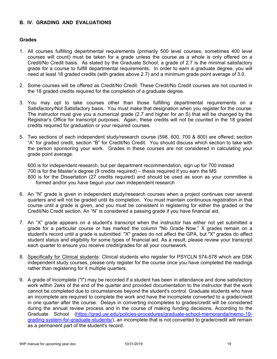### **B. IV. GRADING AND EVALUATIONS**

#### **Grades**

- 1. All courses fulfilling departmental requirements (primarily 500 level courses, sometimes 400 level courses will count) must be taken for a grade unless the course as a whole is only offered on a Credit/No Credit basis. As stated by the Graduate School, a grade of 2.7 is the minimal satisfactory grade for a course to fulfill departmental requirements. In order to earn a graduate degree, you will need at least 18 graded credits (with grades above 2.7) and a minimum grade point average of 3.0.
- 2. Some courses will be offered as Credit/No Credit. These Credit/No Credit courses are not counted in the 18 graded credits required for the completion of a graduate degree.
- 3. You may opt to take courses other than those fulfilling departmental requirements on a Satisfactory/Not Satisfactory basis. You must make that designation when you register for the course. The instructor must give you a numerical grade (2.7 and higher for an S) that will be changed by the Registrar's Office for transcript purposes. Again, these credits will not be counted in the 18 graded credits required for graduation or your required courses.
- 5. Two sections of each independent study/research course (598, 600, 700 & 800) are offered; section "A" for graded credit, section "B" for Credit/No Credit. You should discuss which section to take with the person sponsoring your work. Grades in these courses are not considered in calculating your grade point average.

600 is for independent research, but per department recommendation, sign up for 700 instead 700 is for the Master's degree (9 credits required) – thesis required if you earn the MS 800 is for the Dissertation (27 credits required) and should be used as soon as your committee is formed and/or you have begun your own independent research

- 6. An "N" grade is given in independent study/research courses when a project continues over several quarters and will not be graded until its completion. You must maintain continuous registration in that course until a grade is given, and you must be consistent in registering for either the graded or the Credit/No Credit section. An "N" is considered a passing grade if you have financial aid.
- 7. An "X" grade appears on a student's transcript when the instructor has either not yet submitted a grade for a particular course or has marked the column "No Grade Now." X grades remain on a student's record until a grade is submitted. "X" grades do not affect the GPA, but "X" grades do affect student status and eligibility for some types of financial aid. As a result, please review your transcript each quarter to ensure you receive credit/grades for all your coursework.
- 8. Specifically for Clinical students: Clinical students who register for PSYCLN 574-578 which are DSK independent study courses, please only register for the course once you have completed the readings rather than registering for it multiple quarters.
- 9. A grade of Incomplete ("I") may be recorded if a student has been in attendance and done satisfactory work within 2wks of the end of the quarter and provided documentation to the instructor that the work cannot be completed due to circumstances beyond the student's control. Graduate students who have an incomplete are required to complete the work and have the incomplete converted to a grade/credit in one quarter after the course. Delays in converting incompletes to grades/credit will be considered during the annual review process and in the course of making funding decisions. According to the Graduate School (https://grad.uw.edu/policies-procedures/graduate-school-memoranda/memo-19 grading-system-for-graduate-students/), an incomplete that is not converted to grade/credit will remain as a permanent part of the student's record.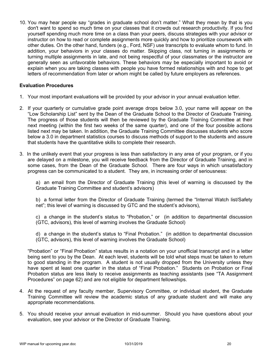10. You may hear people say "grades in graduate school don't matter." What they mean by that is you don't want to spend so much time on your classes that it crowds out research productivity. If you find yourself spending much more time on a class than your peers, discuss strategies with your advisor or instructor on how to read or complete assignments more quickly and how to prioritize coursework with other duties. On the other hand, funders (e.g., Ford, NSF) use transcripts to evaluate whom to fund. In addition, your behaviors in your classes do matter. Skipping class, not turning in assignments or turning multiple assignments in late, and not being respectful of your classmates or the instructor are generally seen as unfavorable behaviors. These behaviors may be especially important to avoid or explain when you are taking classes with people you have formed relationships with and hope to get letters of recommendation from later or whom might be called by future employers as references.

#### **Evaluation Procedures**

- 1. Your most important evaluations will be provided by your advisor in your annual evaluation letter.
- 2. If your quarterly or cumulative grade point average drops below 3.0, your name will appear on the "Low Scholarship List" sent by the Dean of the Graduate School to the Director of Graduate Training. The progress of those students will then be reviewed by the Graduate Training Committee at their next meeting (within the first two weeks of the same quarter), and one of the four possible actions listed next may be taken. In addition, the Graduate Training Committee discusses students who score below a 3.0 in department statistics courses to discuss methods of support to the students and assure that students have the quantitative skills to complete their research.
- 3. In the unlikely event that your progress is less than satisfactory in any area of your program, or if you are delayed on a milestone, you will receive feedback from the Director of Graduate Training, and in some cases, from the Dean of the Graduate School. There are four ways in which unsatisfactory progress can be communicated to a student. They are, in increasing order of seriousness:

a) an email from the Director of Graduate Training (this level of warning is discussed by the Graduate Training Committee and student's advisors)

b) a formal letter from the Director of Graduate Training (termed the "Internal Watch list/Safety net"; this level of warning is discussed by GTC and the student's advisors),

c) a change in the student's status to "Probation," or (in addition to departmental discussion (GTC, advisors), this level of warning involves the Graduate School)

d) a change in the student's status to "Final Probation." (in addition to departmental discussion (GTC, advisors), this level of warning involves the Graduate School)

"Probation" or "Final Probation" status results in a notation on your unofficial transcript and in a letter being sent to you by the Dean. At each level, students will be told what steps must be taken to return to good standing in the program. A student is not usually dropped from the University unless they have spent at least one quarter in the status of "Final Probation." Students on Probation or Final Probation status are less likely to receive assignments as teaching assistants (see "TA Assignment Procedures" on page 62) and are not eligible for department fellowships.

- 4. At the request of any faculty member, Supervisory Committee, or individual student, the Graduate Training Committee will review the academic status of any graduate student and will make any appropriate recommendations.
- 5. You should receive your annual evaluation in mid-summer. Should you have questions about your evaluation, see your advisor or the Director of Graduate Training.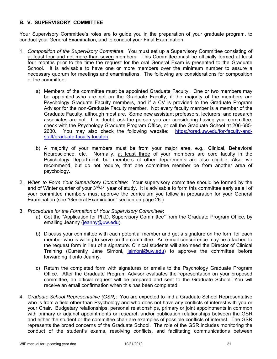### **B. V. SUPERVISORY COMMITTEE**

Your Supervisory Committee's roles are to guide you in the preparation of your graduate program, to conduct your General Examination, and to conduct your Final Examination.

- 1. *Composition of the Supervisory Committee*: You must set up a Supervisory Committee consisting of at least four and not more than seven members. This Committee must be officially formed at least four months prior to the time the request for the oral General Exam is presented to the Graduate School. It is advisable to have one or more members over the minimum number to assure a necessary quorum for meetings and examinations. The following are considerations for composition of the committee:
	- a) Members of the committee must be appointed Graduate Faculty. One or two members may be appointed who are not on the Graduate Faculty, if the majority of the members are Psychology Graduate Faculty members, and if a CV is provided to the Graduate Program Advisor for the non-Graduate Faculty member. Not every faculty member is a member of the Graduate Faculty, although most are. Some new assistant professors, lecturers, and research associates are not. If in doubt, ask the person you are considering having your committee, check with the Psychology Graduate Program Office, or call the Graduate School at 206-685- 2630. You may also check the following website: https://grad.uw.edu/for-faculty-andstaff/graduate-faculty-locator/
	- b) A majority of your members must be from your major area, e.g., Clinical, Behavioral Neuroscience, etc. Normally, at least three of your members are core faculty in the Psychology Department, but members of other departments are also eligible. Also, we recommend, but do not require, that one committee member be from another area of psychology.
- 2. *When to Form Your Supervisory Committee*: Your supervisory committee should be formed by the end of Winter quarter of your  $3^{rd}/4^{th}$  year of study. It is advisable to form this committee early as all of your committee members must approve the curriculum you follow in preparation for your General Examination (see "General Examination" section on page 26.)
- 3. *Procedures for the Formation of Your Supervisory Committee*:
	- a) Get the "Application for Ph.D. Supervisory Committee" from the Graduate Program Office, by emailing Jeanny (jeanny@uw.edu).
	- b) Discuss your committee with each potential member and get a signature on the form for each member who is willing to serve on the committee. An e-mail concurrence may be attached to the request form in lieu of a signature. Clinical students will also need the Director of Clinical Training (Currently Jane Simoni, *jsimoni@uw.edu*) to approve the committee before forwarding it onto Jeanny.
	- c) Return the completed form with signatures or emails to the Psychology Graduate Program Office. After the Graduate Program Advisor evaluates the representation on your proposed committee, an official request will be prepared and sent to the Graduate School. You will receive an email confirmation when this has been completed.
- 4. *Graduate School Representative (GSR)*: You are expected to find a Graduate School Representative who is from a field other than Psychology and who does not have any conflicts of interest with you or your Chair. Budgetary relationships, personal relationships, primary or joint appointments in common with primary or adjunct appointments or research and/or publication relationships between the GSR and either the student or the committee chair are examples of possible conflicts of interest. The GSR represents the broad concerns of the Graduate School. The role of the GSR includes monitoring the conduct of the student's exams, resolving conflicts, and facilitating communications between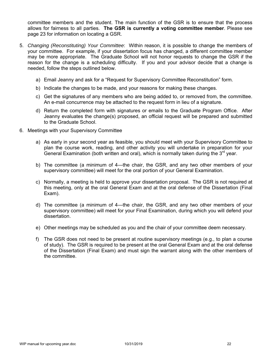committee members and the student. The main function of the GSR is to ensure that the process allows for fairness to all parties. **The GSR is currently a voting committee member**. Please see page 23 for information on locating a GSR.

- 5. *Changing (Reconstituting) Your Committee*: Within reason, it is possible to change the members of your committee. For example, if your dissertation focus has changed, a different committee member may be more appropriate. The Graduate School will not honor requests to change the GSR if the reason for the change is a scheduling difficulty. If you and your advisor decide that a change is needed, follow the steps outlined below.
	- a) Email Jeanny and ask for a "Request for Supervisory Committee Reconstitution" form.
	- b) Indicate the changes to be made, and your reasons for making these changes.
	- c) Get the signatures of any members who are being added to, or removed from, the committee. An e-mail concurrence may be attached to the request form in lieu of a signature.
	- d) Return the completed form with signatures or emails to the Graduate Program Office. After Jeanny evaluates the change(s) proposed, an official request will be prepared and submitted to the Graduate School.
- 6. Meetings with your Supervisory Committee
	- a) As early in your second year as feasible, you should meet with your Supervisory Committee to plan the course work, reading, and other activity you will undertake in preparation for your General Examination (both written and oral), which is normally taken during the  $3<sup>rd</sup>$  year.
	- b) The committee (a minimum of 4—the chair, the GSR, and any two other members of your supervisory committee) will meet for the oral portion of your General Examination.
	- c) Normally, a meeting is held to approve your dissertation proposal. The GSR is not required at this meeting, only at the oral General Exam and at the oral defense of the Dissertation (Final Exam).
	- d) The committee (a minimum of 4—the chair, the GSR, and any two other members of your supervisory committee) will meet for your Final Examination, during which you will defend your dissertation.
	- e) Other meetings may be scheduled as you and the chair of your committee deem necessary.
	- f) The GSR does not need to be present at routine supervisory meetings (e.g., to plan a course of study). The GSR is required to be present at the oral General Exam and at the oral defense of the Dissertation (Final Exam) and must sign the warrant along with the other members of the committee.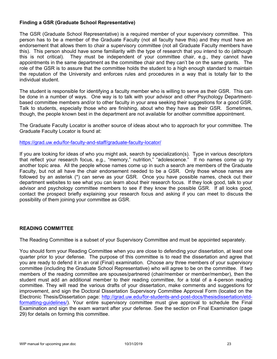### **Finding a GSR (Graduate School Representative)**

The GSR (Graduate School Representative) is a required member of your supervisory committee. This person has to be a member of the Graduate Faculty (not all faculty have this) and they must have an endorsement that allows them to chair a supervisory committee (not all Graduate Faculty members have this). This person should have some familiarity with the type of research that you intend to do (although this is not critical). They must be independent of your committee chair, e.g., they cannot have appointments in the same department as the committee chair and they can't be on the same grants. The role of the GSR is to assure that the committee holds the student to a high enough standard to maintain the reputation of the University and enforces rules and procedures in a way that is totally fair to the individual student.

The student is responsible for identifying a faculty member who is willing to serve as their GSR. This can be done in a number of ways. One way is to talk with your advisor and other Psychology Departmentbased committee members and/or to other faculty in your area seeking their suggestions for a good GSR. Talk to students, especially those who are finishing, about who they have as their GSR. Sometimes, though, the people known best in the department are not available for another committee appointment.

The Graduate Faculty Locator is another source of ideas about who to approach for your committee. The Graduate Faculty Locator is found at:

https://grad.uw.edu/for-faculty-and-staff/graduate-faculty-locator/

If you are looking for ideas of who you might ask, search by specialization(s). Type in various descriptors that reflect your research focus, e.g., "memory," nutrition," "adolescence." If no names come up try another topic area. All the people whose names come up in such a search are members of the Graduate Faculty, but not all have the chair endorsement needed to be a GSR. Only those whose names are followed by an asterisk (\*) can serve as your GSR. Once you have possible names, check out their department websites to see what you can learn about their research focus. If they look good, talk to your advisor and psychology committee members to see if they know the possible GSR. If all looks good, contact the prospect briefly explaining your research focus and asking if you can meet to discuss the possibility of them joining your committee as GSR.

### **READING COMMITTEE**

The Reading Committee is a subset of your Supervisory Committee and must be appointed separately.

You should form your Reading Committee when you are close to defending your dissertation, at least one quarter prior to your defense. The purpose of this committee is to read the dissertation and agree that you are ready to defend it in an oral (Final) examination. Choose any three members of your supervisory committee (including the Graduate School Representative) who will agree to be on the committee. If two members of the reading committee are spouses/partnered (chair/member or member/member), then the student must add an additional member to their reading committee, for a total of a 4-person reading committee. They will read the various drafts of your dissertation, make comments and suggestions for improvement, and sign the Doctoral Dissertation Supervisory Committee Approval Form (located on the Electronic Thesis/Dissertation page: http://grad.uw.edu/for-students-and-post-docs/thesisdissertation/etdformatting-guidelines/). Your entire supervisory committee must give approval to schedule the Final Examination and sign the exam warrant after your defense. See the section on Final Examination (page 29) for details on forming this committee.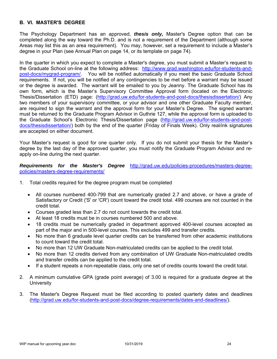### **B. VI. MASTER'S DEGREE**

The Psychology Department has an approved, *thesis only,* Master's Degree option that can be completed along the way toward the Ph.D. and is not a requirement of the Department (although some Areas may list this as an area requirement). You may, however, set a requirement to include a Master's degree in your Plan (see Annual Plan on page 14, or its template on page 74).

In the quarter in which you expect to complete a Master's degree, you must submit a Master's request to the Graduate School on-line at the following address: http://www.grad.washington.edu/for-students-andpost-docs/mygrad-program/. You will be notified automatically if you meet the basic Graduate School requirements. If not, you will be notified of any contingencies to be met before a warrant may be issued or the degree is awarded. The warrant will be emailed to you by Jeanny. The Graduate School has its own form, which is the Master's Supervisory Committee Approval form (located on the Electronic Thesis/Dissertation (ETD) page: (http://grad.uw.edu/for-students-and-post-docs/thesisdissertation/) Any two members of your supervisory committee, or your advisor and one other Graduate Faculty member, are required to sign the warrant and the approval form for your Master's Degree. The signed warrant must be returned to the Graduate Program Advisor in Guthrie 127, while the approval form is uploaded to the Graduate School's Electronic Thesis/Dissertation page (http://grad.uw.edu/for-students-and-postdocs/thesisdissertation/) both by the end of the quarter (Friday of Finals Week). Only real/ink signatures are accepted on either document.

Your Master's request is good for one quarter only. If you do not submit your thesis for the Master's degree by the last day of the approved quarter, you must notify the Graduate Program Advisor and reapply on-line during the next quarter.

*Requirements for the Master's Degree* http://grad.uw.edu/policies-procedures/masters-degreepolicies/masters-degree-requirements/

- 1. Total credits required for the degree program must be completed
	- All courses numbered 400-799 that are numerically graded 2.7 and above, or have a grade of Satisfactory or Credit ('S' or 'CR') count toward the credit total. 499 courses are not counted in the credit total.
	- Courses graded less than 2.7 do not count towards the credit total.
	- At least 18 credits must be in courses numbered 500 and above.
	- 18 credits must be numerically graded in department approved 400-level courses accepted as part of the major and in 500-level courses. This excludes 499 and transfer credits.
	- No more than 6 graduate level quarter credits can be transferred from other academic institutions to count toward the credit total.
	- No more than 12 UW Graduate Non-matriculated credits can be applied to the credit total.
	- No more than 12 credits derived from any combination of UW Graduate Non-matriculated credits and transfer credits can be applied to the credit total.
	- If a student repeats a non-repeatable class, only one set of credits counts toward the credit total.
- 2. A minimum cumulative GPA (grade point average) of 3.00 is required for a graduate degree at the **University**
- 3. The Master's Degree Request must be filed according to posted quarterly dates and deadlines (http://grad.uw.edu/for-students-and-post-docs/degree-requirements/dates-and-deadlines/).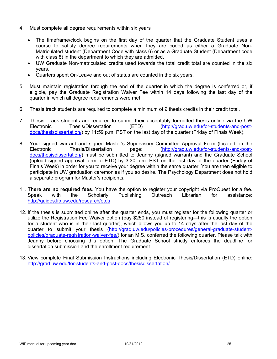- 4. Must complete all degree requirements within six years
	- The timeframe/clock begins on the first day of the quarter that the Graduate Student uses a course to satisfy degree requirements when they are coded as either a Graduate Non-Matriculated student (Department Code with class 6) or as a Graduate Student (Department code with class 8) in the department to which they are admitted.
	- UW Graduate Non-matriculated credits used towards the total credit total are counted in the six years.
	- Quarters spent On-Leave and out of status are counted in the six years.
- 5. Must maintain registration through the end of the quarter in which the degree is conferred or, if eligible, pay the Graduate Registration Waiver Fee within 14 days following the last day of the quarter in which all degree requirements were met.
- 6. Thesis track students are required to complete a minimum of 9 thesis credits in their credit total.
- 7. Thesis Track students are required to submit their acceptably formatted thesis online via the UW Electronic Thesis/Dissertation (ETD) (http://grad.uw.edu/for-students-and-postdocs/thesisdissertation/) by 11:59 p.m. PST on the last day of the quarter (Friday of Finals Week).
- 8. Your signed warrant and signed Master's Supervisory Committee Approval Form (located on the<br>Electronic Thesis/Dissertation page: (http://grad.uw.edu/for-students-and-post-Thesis/Dissertation page: (http://grad.uw.edu/for-students-and-postdocs/thesisdissertation/) must be submitted to Jeanny (signed warrant) and the Graduate School (upload signed approval form to ETD) by 3:30 p.m. PST on the last day of the quarter (Friday of Finals Week) in order for you to receive your degree within the same quarter. You are then eligible to participate in UW graduation ceremonies if you so desire. The Psychology Department does not hold a separate program for Master's recipients.
- 11. **There are no required fees**. You have the option to register your copyright via ProQuest for a fee. Speak with the Scholarly Publishing Outreach Librarian for assistance: http://guides.lib.uw.edu/research/etds
- 12. If the thesis is submitted online after the quarter ends, you must register for the following quarter or utilize the Registration Fee Waiver option (pay \$250 instead of registering—this is usually the option for a student who is in their last quarter), which allows you up to 14 days after the last day of the quarter to submit your thesis (http://grad.uw.edu/policies-procedures/general-graduate-studentpolicies/graduate-registration-waiver-fee/) for an M.S. conferred the following quarter. Please talk with Jeanny before choosing this option. The Graduate School strictly enforces the deadline for dissertation submission and the enrollment requirement.
- 13. View complete Final Submission Instructions including Electronic Thesis/Dissertation (ETD) online: http://grad.uw.edu/for-students-and-post-docs/thesisdissertation/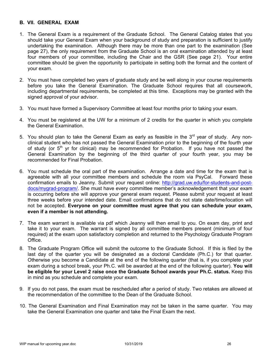### **B. VII. GENERAL EXAM**

- 1. The General Exam is a requirement of the Graduate School. The General Catalog states that you should take your General Exam when your background of study and preparation is sufficient to justify undertaking the examination. Although there may be more than one part to the examination (See page 27), the only requirement from the Graduate School is an oral examination attended by at least four members of your committee, including the Chair and the GSR (See page 21). Your entire committee should be given the opportunity to participate in setting both the format and the content of your exam.
- 2. You must have completed two years of graduate study and be well along in your course requirements before you take the General Examination. The Graduate School requires that all coursework, including departmental requirements, be completed at this time. Exceptions may be granted with the signed approval of your advisor.
- 3. You must have formed a Supervisory Committee at least four months prior to taking your exam.
- 4. You must be registered at the UW for a minimum of 2 credits for the quarter in which you complete the General Examination.
- 5. You should plan to take the General Exam as early as feasible in the  $3<sup>rd</sup>$  year of study. Any nonclinical student who has not passed the General Examination prior to the beginning of the fourth year of study (or  $5<sup>th</sup>$  yr for clinical) may be recommended for Probation. If you have not passed the General Examination by the beginning of the third quarter of your fourth year, you may be recommended for Final Probation.
- 6. You must schedule the oral part of the examination. Arrange a date and time for the exam that is agreeable with all your committee members and schedule the room via PsyCal. Forward these confirmation emails to Jeanny. Submit your request online: http://grad.uw.edu/for-students-and-postdocs/mygrad-program/. She must have every committee member's acknowledgement that your exam is occurring before she will approve your general exam request. Please submit your request at least three weeks before your intended date. Email confirmations that do not state date/time/location will not be accepted. **Everyone on your committee must agree that you can schedule your exam, even if a member is not attending.**
- 7. The exam warrant is available via pdf which Jeanny will then email to you. On exam day, print and take it to your exam. The warrant is signed by all committee members present (minimum of four required) at the exam upon satisfactory completion and returned to the Psychology Graduate Program Office.
- 8. The Graduate Program Office will submit the outcome to the Graduate School. If this is filed by the last day of the quarter you will be designated as a doctoral Candidate (Ph.C.) for that quarter. Otherwise you become a Candidate at the end of the following quarter (that is, if you complete your exam during a school break, your Ph.C. will be awarded at the end of the following quarter). **You will be eligible for your Level 2 raise once the Graduate School awards your Ph.C. status.** Keep this in mind as you schedule and complete your exam.
- 9. If you do not pass, the exam must be rescheduled after a period of study. Two retakes are allowed at the recommendation of the committee to the Dean of the Graduate School.
- 10. The General Examination and Final Examination may not be taken in the same quarter. You may take the General Examination one quarter and take the Final Exam the next.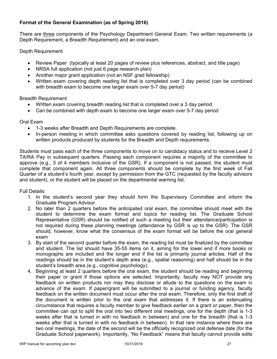## **Format of the General Examination (as of Spring 2016)**

There are three components of the Psychology Department General Exam. Two written requirements (a Depth Requirement, a Breadth Requirement) and an oral exam.

Depth Requirement

- Review Paper (typically at least 20 pages of review plus references, abstract, and title page)
- NRSA full application (not just 6 page research plan)
- Another major grant application (not an NSF grad fellowship)
- Written exam covering depth reading list that is completed over 3 day period (can be combined with breadth exam to become one larger exam over 5-7 day period)

Breadth Requirement

- Written exam covering breadth reading list that is completed over a 3 day period
- Can be combined with depth exam to become one larger exam over 5-7 day period

Oral Exam

- 1-3 weeks after Breadth and Depth Requirements are complete.
- In-person meeting in which committee asks questions covered by reading list, following up on written products produced by students for the Breadth and Depth requirements.

Students must pass each of the three components to move on to candidacy status and to receive Level 2 TA/RA Pay in subsequent quarters. Passing each component requires a majority of the committee to approve (e.g., 3 of 4 members inclusive of the GSR). If a component is not passed, the student must complete that component again. All three components should be complete by the first week of Fall Quarter of a student's fourth year, except by permission from the GTC (requested by the faculty advisors and student), or the student will be placed on the departmental warning list.

Full Details:

- 1. In the student's second year they should form the Supervisory Committee and inform the Graduate Program Advisor.
- 2. No later than 2 quarters before the anticipated oral exam, the committee should meet with the student to determine the exam format and topics for reading list. The Graduate School Representative (GSR) should be notified of such a meeting but their attendance/participation is not required during these planning meetings (attendance by GSR is up to the GSR). The GSR should, however, know what the consensus of the exam format will be before the oral general exam
- 3. By start of the second quarter before the exam, the reading list must be finalized by the committee and student. The list should have 35-55 items on it, aiming for the lower end if more books or monographs are included and the longer end if the list is primarily journal articles. Half of the readings should be in the student's depth area (e.g., spatial reasoning) and half should be in the student's breadth area (e.g., cognitive psychology).
- 4. Beginning at least 2 quarters before the oral exam, the student should be reading and beginning their paper or grant if those options are selected. Importantly, faculty may NOT provide any feedback on written products nor may they disclose or allude to the questions on the exam in advance of the exam. If paper/grant will be submitted to a journal or funding agency, faculty feedback on the written document must occur after the oral exam. Therefore, only the first draft of the document is written prior to the oral exam that addresses it. If there is an extenuating circumstance that requires a faculty member to give feedback earlier on a grant or paper, then the committee can opt to split the oral into two different oral meetings, one for the depth (that is 1-3 weeks after that is turned in with no feedback in between) and one for the breadth (that is 1-3 weeks after that is turned in with no feedback in between). In that rare instance where there are two oral meetings, the date of the second will be the officially recognized oral defense date (for the Graduate School paperwork). Importantly, "No Feedback" means that faculty cannot provide edits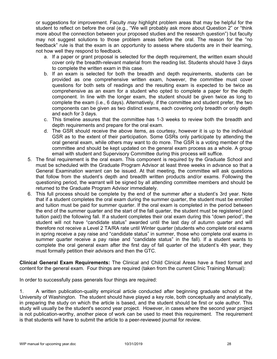or suggestions for improvement. Faculty *may* highlight problem areas that may be helpful for the student to reflect on before the oral (e.g., "We will probably ask more about Question 2" or "think more about the connection between your proposed studies and the research question") but faculty may not suggest solutions to those problem areas before the oral. The reason for the "no feedback" rule is that the exam is an opportunity to assess where students are in their learning, not how well they respond to feedback.

- a. If a paper or grant proposal is selected for the depth requirement, the written exam should cover only the breadth-relevant material from the reading list. Students should have 3 days to complete the written exam in this case.
- b. If an exam is selected for both the breadth and depth requirements, students can be provided as one comprehensive written exam, however, the committee must cover questions for both sets of readings and the resulting exam is expected to be twice as comprehensive as an exam for a student who opted to complete a paper for the depth component. In line with the longer exam, the student should be given twice as long to complete the exam (i.e., 6 days). Alternatively, if the committee and student prefer, the two components can be given as two distinct exams, each covering only breadth or only depth and each for 3 days.
- c. This timeline assures that the committee has 1-3 weeks to review both the breadth and depth requirements and prepare for the oral exam.
- d. The GSR should receive the above items, as courtesy, however it is up to the individual GSR as to the extent of their participation. Some GSRs only participate by attending the oral general exam, while others may want to do more. The GSR is a voting member of the committee and should be kept updated on the general exam process as a whole. A group email with student and Supervisory Committee during this process will suffice.
- 5. The final requirement is the oral exam. This component is required by the Graduate School and must be scheduled with the Graduate Program Advisor at least three weeks in advance so that a General Examination warrant can be issued. At that meeting, the committee will ask questions that follow from the student's depth and breadth written products and/or exams. Following the questioning period, the warrant will be signed by all attending committee members and should be returned to the Graduate Program Advisor immediately.
- 6. This full process should be complete by the end of the summer after a student's 3rd year. Note that if a student completes the oral exam during the summer quarter, the student must be enrolled and tuition must be paid for summer quarter. If the oral exam is completed in the period between the end of the summer quarter and the start of the fall quarter, the student must be registered (and tuition paid) the following fall. If a student completes their oral exam during this "down period", the student will not have "candidate status" awarded until the last day of autumn quarter and will therefore not receive a Level 2 TA/RA rate until Winter quarter (students who complete oral exams in spring receive a pay raise and "candidate status" in summer, those who complete oral exams in summer quarter receive a pay raise and "candidate status" in the fall). If a student wants to complete the oral general exam after the first day of fall quarter of the student's 4th year, they must formally petition their advisors and then the GTC.

**Clinical General Exam Requirements:** The Clinical and Child Clinical Areas have a fixed format and content for the general exam. Four things are required (taken from the current Clinic Training Manual):

In order to successfully pass generals four things are required:

1. A written publication-quality empirical article conducted after beginning graduate school at the University of Washington. The student should have played a key role, both conceptually and analytically, in preparing the study on which the article is based, and the student should be first or sole author. This study will usually be the student's second year project. However, in cases where the second year project is not publication-worthy, another piece of work can be used to meet this requirement. The requirement is that students will have to submit the article to a peer-reviewed journal for review.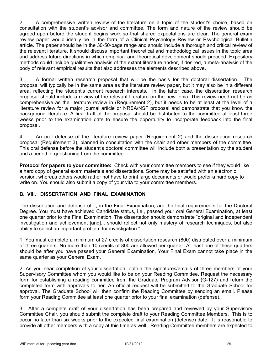2. A comprehensive written review of the literature on a topic of the student's choice, based on consultation with the student's advisor and committee. The form and nature of the review should be agreed upon before the student begins work so that shared expectations are clear. The general exam review paper would ideally be in the form of a Clinical Psychology Review or Psychological Bulletin article. The paper should be in the 30-50-page range and should include a thorough and critical review of the relevant literature. It should discuss important theoretical and methodological issues in the topic area and address future directions in which empirical and theoretical development should proceed. Expository methods could include qualitative analysis of the extant literature and/or, if desired, a meta-analysis of the body of relevant empirical results that also addresses the elements described above.

3. A formal written research proposal that will be the basis for the doctoral dissertation. The proposal will typically be in the same area as the literature review paper, but it may also be in a different area, reflecting the student's current research interests. In the latter case, the dissertation research proposal should include a review of the relevant literature on the new topic. This review need not be as comprehensive as the literature review in (Requirement 2), but it needs to be at least at the level of a literature review for a major journal article or NRSA/NSF proposal and demonstrate that you know the background literature. A first draft of the proposal should be distributed to the committee at least three weeks prior to the examination date to ensure the opportunity to incorporate feedback into the final proposal.

4. An oral defense of the literature review paper (Requirement 2) and the dissertation research proposal (Requirement 3), planned in consultation with the chair and other members of the committee. This oral defense before the student's doctoral committee will include both a presentation by the student and a period of questioning from the committee.

**Protocol for papers to your committee:** Check with your committee members to see if they would like a hard copy of general exam materials and dissertations. Some may be satisfied with an electronic version, whereas others would rather not have to print large documents or would prefer a hard copy to write on. You should also submit a copy of your vita to your committee members.

### **B. VIII. DISSERTATION AND FINAL EXAMINATION**

The dissertation and defense of it, in the Final Examination, are the final requirements for the Doctoral Degree. You must have achieved Candidate status, i.e., passed your oral General Examination, at least one quarter prior to the Final Examination. The dissertation should demonstrate "original and independent investigation and achievement [and]... should reflect not only mastery of research techniques, but also ability to select an important problem for investigation."

1. You must complete a minimum of 27 credits of dissertation research (800) distributed over a minimum of three quarters. No more than 10 credits of 800 are allowed per quarter. At least one of these quarters should be after you have passed your General Examination. Your Final Exam cannot take place in the same quarter as your General Exam.

2. As you near completion of your dissertation, obtain the signatures/emails of three members of your Supervisory Committee whom you would like to be on your Reading Committee. Request the necessary form for establishing a reading committee from the Graduate Program Advisor (G-127) and return the completed form with approvals to her. An official request will be submitted to the Graduate School for approval. The Graduate School will then confirm the Reading Committee by sending an email. Please form your Reading Committee at least one quarter prior to your final examination (defense).

3. After a complete draft of your dissertation has been prepared and reviewed by your Supervisory Committee Chair, you should submit the complete draft to your Reading Committee Members. This is to occur no later than six weeks prior to the expected final examination (defense) date. It is reasonable to provide all other members with a copy at this time as well. Reading Committee members are expected to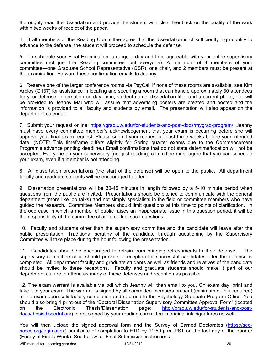thoroughly read the dissertation and provide the student with clear feedback on the quality of the work within two weeks of receipt of the paper.

4. If all members of the Reading Committee agree that the dissertation is of sufficiently high quality to advance to the defense, the student will proceed to schedule the defense.

5. To schedule your Final Examination, arrange a day and time agreeable with your entire supervisory committee (not just the Reading committee, but everyone). A minimum of 4 members of your committee—one Graduate School Representative (GSR), one chair, and 2 members must be present at the examination. Forward these confirmation emails to Jeanny.

6. Reserve one of the larger conference rooms via PsyCal. If none of these rooms are available, see Kim Arbios (G137) for assistance in locating and securing a room that can handle approximately 30 attendees for your defense. Information on day, time, student name, dissertation title, and a current photo, etc. will be provided to Jeanny Mai who will assure that advertising posters are created and posted and the information is provided to all faculty and students by email. The presentation will also appear on the department calendar.

7. Submit your request online: https://grad.uw.edu/for-students-and-post-docs/mygrad-program/. Jeanny must have every committee member's acknowledgement that your exam is occurring before she will approve your final exam request. Please submit your request at least three weeks before your intended date. (NOTE: This timeframe differs slightly for Spring quarter exams due to the Commencement Program's advance printing deadline.) Email confirmations that do not state date/time/location will not be accepted. Everyone on your supervisory (not just reading) committee must agree that you can schedule your exam, even if a member is not attending.

8. All dissertation presentations (the start of the defense) will be open to the public. All department faculty and graduate students will be encouraged to attend.

9. Dissertation presentations will be 30-45 minutes in length followed by a 5-10 minute period when questions from the public are invited. Presentations should be pitched to communicate with the general department (more like job talks) and not simply specialists in the field or committee members who have guided the research. Committee Members should limit questions at this time to points of clarification. In the odd case in which a member of public raises an inappropriate issue in this question period, it will be the responsibility of the committee chair to deflect such questions.

10. Faculty and students other than the supervisory committee and the candidate will leave after the public presentation. Traditional scrutiny of the candidate through questioning by the Supervisory Committee will take place during the hour following the presentation.

11. Candidates should be encouraged to refrain from bringing refreshments to their defense. The supervisory committee chair should provide a reception for successful candidates after the defense is completed. All department faculty and graduate students as well as friends and relatives of the candidate should be invited to these receptions. Faculty and graduate students should make it part of our department culture to attend as many of these defenses and reception as possible.

12. The exam warrant is available via pdf which Jeanny will then email to you. On exam day, print and take it to your exam. The warrant is signed by all committee members present (minimum of four required) at the exam upon satisfactory completion and returned to the Psychology Graduate Program Office. You should also bring 1 print-out of the "Doctoral Dissertation Supervisory Committee Approval Form" (located on the Electronic Thesis/Dissertation page: http://grad.uw.edu/for-students-and-postdocs/thesisdissertation/) to get signed by your reading committee in original ink signatures as well.

You will then upload the signed approval form and the Survey of Earned Doctorates (https://sedncses.org/login.aspx) certificate of completion to ETD by 11:59 p.m. PST on the last day of the quarter (Friday of Finals Week). See below for Final Submission instructions.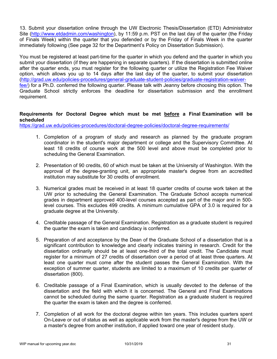13. Submit your dissertation online through the UW Electronic Thesis/Dissertation (ETD) Administrator Site (http://www.etdadmin.com/washington), by 11:59 p.m. PST on the last day of the quarter (the Friday of Finals Week) within the quarter that you defended or by the Friday of Finals Week in the quarter immediately following (See page 32 for the Department's Policy on Dissertation Submission).

You must be registered at least part-time for the quarter in which you defend and the quarter in which you submit your dissertation (if they are happening in separate quarters). If the dissertation is submitted online after the quarter ends, you must register for the following quarter or utilize the Registration Fee Waiver option, which allows you up to 14 days after the last day of the quarter, to submit your dissertation (http://grad.uw.edu/policies-procedures/general-graduate-student-policies/graduate-registration-waiverfee/) for a Ph.D. conferred the following quarter. Please talk with Jeanny before choosing this option. The Graduate School strictly enforces the deadline for dissertation submission and the enrollment requirement.

# **Requirements for Doctoral Degree which must be met before a Final Examination will be scheduled**

https://grad.uw.edu/policies-procedures/doctoral-degree-policies/doctoral-degree-requirements/

- 1. Completion of a program of study and research as planned by the graduate program coordinator in the student's major department or college and the Supervisory Committee. At least 18 credits of course work at the 500 level and above must be completed prior to scheduling the General Examination.
- 2. Presentation of 90 credits, 60 of which must be taken at the University of Washington. With the approval of the degree-granting unit, an appropriate master's degree from an accredited institution may substitute for 30 credits of enrollment.
- 3. Numerical grades must be received in at least 18 quarter credits of course work taken at the UW prior to scheduling the General Examination. The Graduate School accepts numerical grades in department approved 400-level courses accepted as part of the major and in 500 level courses. This excludes 499 credits. A minimum cumulative GPA of 3.0 is required for a graduate degree at the University.
- 4. Creditable passage of the General Examination. Registration as a graduate student is required the quarter the exam is taken and candidacy is conferred.
- 5. Preparation of and acceptance by the Dean of the Graduate School of a dissertation that is a significant contribution to knowledge and clearly indicates training in research. Credit for the dissertation ordinarily should be at least one-third of the total credit. The Candidate must register for a minimum of 27 credits of dissertation over a period of at least three quarters. At least one quarter must come after the student passes the General Examination. With the exception of summer quarter, students are limited to a maximum of 10 credits per quarter of dissertation (800).
- 6. Creditable passage of a Final Examination, which is usually devoted to the defense of the dissertation and the field with which it is concerned. The General and Final Examinations cannot be scheduled during the same quarter. Registration as a graduate student is required the quarter the exam is taken and the degree is conferred.
- 7. Completion of all work for the doctoral degree within ten years. This includes quarters spent On-Leave or out of status as well as applicable work from the master's degree from the UW or a master's degree from another institution, if applied toward one year of resident study.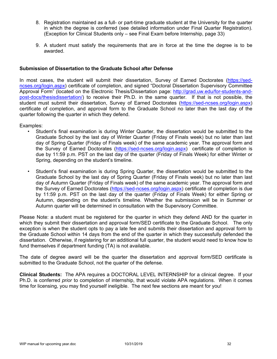- 8. Registration maintained as a full- or part-time graduate student at the University for the quarter in which the degree is conferred (see detailed information under Final Quarter Registration). (Exception for Clinical Students only – see Final Exam before Internship, page 33)
- 9. A student must satisfy the requirements that are in force at the time the degree is to be awarded.

### **Submission of Dissertation to the Graduate School after Defense**

In most cases, the student will submit their dissertation, Survey of Earned Doctorates (https://sedncses.org/login.aspx) certificate of completion, and signed "Doctoral Dissertation Supervisory Committee Approval Form" (located on the Electronic Thesis/Dissertation page: http://grad.uw.edu/for-students-andpost-docs/thesisdissertation/) to receive their Ph.D. in the same quarter. If that is not possible, the student must submit their dissertation, Survey of Earned Doctorates (https://sed-ncses.org/login.aspx) certificate of completion, and approval form to the Graduate School no later than the last day of the quarter following the quarter in which they defend.

Examples:

- Student's final examination is during Winter Quarter, the dissertation would be submitted to the Graduate School by the last day of Winter Quarter (Friday of Finals week) but no later than last day of Spring Quarter (Friday of Finals week) of the same academic year. The approval form and the Survey of Earned Doctorates (https://sed-ncses.org/login.aspx) certificate of completion is due by 11:59 p.m. PST on the last day of the quarter (Friday of Finals Week) for either Winter or Spring, depending on the student's timeline.
- Student's final examination is during Spring Quarter, the dissertation would be submitted to the Graduate School by the last day of Spring Quarter (Friday of Finals week) but no later than last day of Autumn Quarter (Friday of Finals week) of the same academic year. The approval form and the Survey of Earned Doctorates (https://sed-ncses.org/login.aspx) certificate of completion is due by 11:59 p.m. PST on the last day of the quarter (Friday of Finals Week) for either Spring or Autumn, depending on the student's timeline. Whether the submission will be in Summer or Autumn quarter will be determined in consultation with the Supervisory Committee.

Please Note: a student must be registered for the quarter in which they defend AND for the quarter in which they submit their dissertation and approval form/SED certificate to the Graduate School. The only exception is when the student opts to pay a late fee and submits their dissertation and approval form to the Graduate School within 14 days from the end of the quarter in which they successfully defended the dissertation. Otherwise, if registering for an additional full quarter, the student would need to know how to fund themselves if department funding (TA) is not available.

The date of degree award will be the quarter the dissertation and approval form/SED certificate is submitted to the Graduate School, not the quarter of the defense.

**Clinical Students:** The APA requires a DOCTORAL LEVEL INTERNSHIP for a clinical degree. If your Ph.D. is conferred *prior* to completion of internship, that would violate APA regulations. When it comes time for licensing, you may find yourself ineligible. The next few sections are meant for you!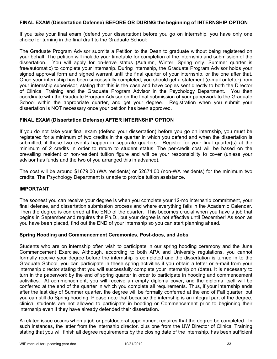### **FINAL EXAM (Dissertation Defense) BEFORE OR DURING the beginning of INTERNSHIP OPTION**

If you take your final exam (defend your dissertation) before you go on internship, you have only one choice for turning in the final draft to the Graduate School:

The Graduate Program Advisor submits a Petition to the Dean to graduate without being registered on your behalf. The petition will include your timetable for completion of the internship and submission of the dissertation. You will apply for on-leave status (Autumn, Winter, Spring only. Summer quarter is free/automatic) to complete your internship. During internship, the Graduate Program Advisor holds your signed approval form and signed warrant until the final quarter of your internship, or the one after that. Once your internship has been successfully completed, you should get a statement (e-mail or letter) from your internship supervisor, stating that this is the case and have copies sent directly to both the Director of Clinical Training and the Graduate Program Advisor in the Psychology Department. You then coordinate with the Graduate Program Advisor on the final submission of your paperwork to the Graduate School within the appropriate quarter, and get your degree. Registration when you submit your dissertation is NOT necessary once your petition has been approved.

### **FINAL EXAM (Dissertation Defense) AFTER INTERNSHIP OPTION**

If you do not take your final exam (defend your dissertation) before you go on internship, you must be registered for a minimum of two credits in the quarter in which you defend and when the dissertation is submitted, if these two events happen in separate quarters. Register for your final quarter(s) at the minimum of 2 credits in order to return to student status. The per-credit cost will be based on the prevailing resident or non-resident tuition figure and will be your responsibility to cover (unless your advisor has funds and the two of you arranged this in advance).

The cost will be around \$1679.00 (WA residents) or \$2874.00 (non-WA residents) for the minimum two credits. The Psychology Department is unable to provide tuition assistance.

#### **IMPORTANT**

The soonest you can receive your degree is when you complete your 12-mo internship commitment, your final defense, and dissertation submission process and where everything falls in the Academic Calendar. Then the degree is conferred at the END of the quarter. This becomes crucial when you have a job that begins in September and requires the Ph.D., but your degree is not effective until December! As soon as you have been placed, find out the END of your internship so you can start planning ahead.

#### **Spring Hooding and Commencement Ceremonies, Post-docs, and Jobs**

Students who are on internship often wish to participate in our spring hooding ceremony and the June Commencement Exercise. Although, according to both APA and University regulations, you cannot formally receive your degree before the internship is completed and the dissertation is turned in to the Graduate School, you can participate in these spring activities if you obtain a letter or e-mail from your internship director stating that you will successfully complete your internship on (date). It is necessary to turn in the paperwork by the end of spring quarter in order to participate in hooding and commencement activities. At commencement, you will receive an empty diploma cover, and the diploma itself will be conferred at the end of the quarter in which you complete all requirements. Thus, if your internship ends after the last day of Summer quarter, the degree will be formally conferred at the end of Fall quarter, but you can still do Spring hooding. Please note that because the internship is an integral part of the degree, clinical students are not allowed to participate in hooding or Commencement prior to beginning their internship even if they have already defended their dissertation.

A related issue occurs when a job or postdoctoral appointment requires that the degree be completed. In such instances, the letter from the internship director, plus one from the UW Director of Clinical Training stating that you will finish all degree requirements by the closing date of the internship, has been sufficient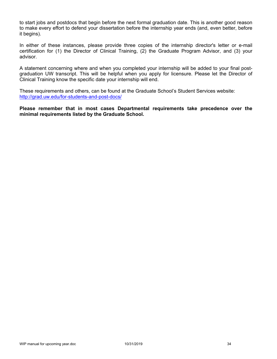to start jobs and postdocs that begin before the next formal graduation date. This is another good reason to make every effort to defend your dissertation before the internship year ends (and, even better, before it begins).

In either of these instances, please provide three copies of the internship director's letter or e-mail certification for (1) the Director of Clinical Training, (2) the Graduate Program Advisor, and (3) your advisor.

A statement concerning where and when you completed your internship will be added to your final postgraduation UW transcript. This will be helpful when you apply for licensure. Please let the Director of Clinical Training know the specific date your internship will end.

These requirements and others, can be found at the Graduate School's Student Services website: http://grad.uw.edu/for-students-and-post-docs/

**Please remember that in most cases Departmental requirements take precedence over the minimal requirements listed by the Graduate School.**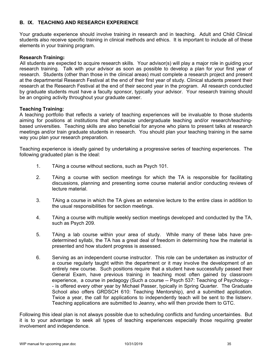### **B. IX. TEACHING AND RESEARCH EXPERIENCE**

Your graduate experience should involve training in research and in teaching. Adult and Child Clinical students also receive specific training in clinical methods and ethics. It is important to include all of these elements in your training program.

#### **Research Training:**

All students are expected to acquire research skills. Your advisor(s) will play a major role in guiding your research training. Talk with your advisor as soon as possible to develop a plan for your first year of research. Students (other than those in the clinical areas) must complete a research project and present at the departmental Research Festival at the end of their first year of study. Clinical students present their research at the Research Festival at the end of their second year in the program. All research conducted by graduate students must have a faculty sponsor, typically your advisor. Your research training should be an ongoing activity throughout your graduate career.

#### **Teaching Training:**

A teaching portfolio that reflects a variety of teaching experiences will be invaluable to those students aiming for positions at institutions that emphasize undergraduate teaching and/or research/teachingbased universities. Teaching skills are also beneficial for anyone who plans to present talks at research meetings and/or train graduate students in research. You should plan your teaching training in the same way you plan your research preparation.

Teaching experience is ideally gained by undertaking a progressive series of teaching experiences. The following graduated plan is the ideal:

- 1. TAing a course without sections, such as Psych 101.
- 2. TAing a course with section meetings for which the TA is responsible for facilitating discussions, planning and presenting some course material and/or conducting reviews of lecture material.
- 3. TAing a course in which the TA gives an extensive lecture to the entire class in addition to the usual responsibilities for section meetings.
- 4. TAing a course with multiple weekly section meetings developed and conducted by the TA, such as Psych 209.
- 5. TAing a lab course within your area of study. While many of these labs have predetermined syllabi, the TA has a great deal of freedom in determining how the material is presented and how student progress is assessed.
- 6. Serving as an independent course instructor. This role can be undertaken as instructor of a course regularly taught within the department or it may involve the development of an entirely new course. Such positions require that a student have successfully passed their General Exam, have previous training in teaching most often gained by classroom experience, a course in pedagogy (Such a course -- Psych 537: Teaching of Psychology - - is offered every other year by Michael Passer, typically in Spring Quarter. The Graduate School also offers GRDSCH 610: Teaching Mentorship), and a submitted application. Twice a year, the call for applications to independently teach will be sent to the listserv. Teaching applications are submitted to Jeanny, who will then provide them to GTC.

Following this ideal plan is not always possible due to scheduling conflicts and funding uncertainties. But it is to your advantage to seek all types of teaching experiences especially those requiring greater involvement and independence.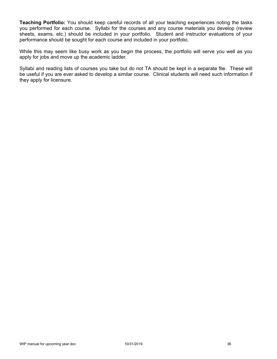**Teaching Portfolio:** You should keep careful records of all your teaching experiences noting the tasks you performed for each course. Syllabi for the courses and any course materials you develop (review sheets, exams, etc.) should be included in your portfolio. Student and instructor evaluations of your performance should be sought for each course and included in your portfolio.

While this may seem like busy work as you begin the process, the portfolio will serve you well as you apply for jobs and move up the academic ladder.

Syllabi and reading lists of courses you take but do not TA should be kept in a separate file. These will be useful if you are ever asked to develop a similar course. Clinical students will need such information if they apply for licensure.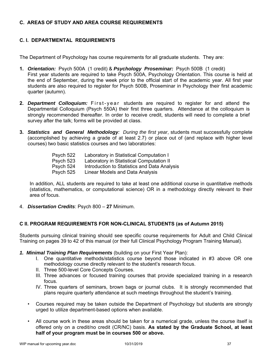## **C. AREAS OF STUDY AND AREA COURSE REQUIREMENTS**

# **C. I. DEPARTMENTAL REQUIREMENTS**

The Department of Psychology has course requirements for all graduate students. They are:

- **1.** *Orientation:* Psych 500A (1 credit) & *Psychology Proseminar:* Psych 500B (1 credit) First year students are required to take Psych 500A, Psychology Orientation. This course is held at the end of September, during the week prior to the official start of the academic year. All first year students are also required to register for Psych 500B, Proseminar in Psychology their first academic quarter (autumn).
- **2.** *Department Colloquium:* First-year students are required to register for and attend the Departmental Colloquium (Psych 550A) their first three quarters. Attendance at the colloquium is strongly recommended thereafter. In order to receive credit, students will need to complete a brief survey after the talk; forms will be provided at class.
- **3.** *Statistics and General Methodology: During the first year*, students must successfully complete (accomplished by achieving a grade of at least 2.7) or place out of (and replace with higher level courses) two basic statistics courses and two laboratories:

| Psych 522 | Laboratory in Statistical Computation I      |
|-----------|----------------------------------------------|
| Psych 523 | Laboratory in Statistical Computation II     |
| Psych 524 | Introduction to Statistics and Data Analysis |
| Psych 525 | Linear Models and Data Analysis              |

In addition, ALL students are required to take at least one additional course in quantitative methods (statistics, mathematics, or computational science) OR in a methodology directly relevant to their area of focus.

4. *Dissertation Credits*: Psych 800 – **27** Minimum.

## **C II. PROGRAM REQUIREMENTS FOR NON-CLINICAL STUDENTS (as of Autumn 2015)**

Students pursuing clinical training should see specific course requirements for Adult and Child Clinical Training on pages 39 to 42 of this manual (or their full Clinical Psychology Program Training Manual).

- *1. Minimal Training Plan Requirements* (building on your First Year Plan):
	- I. One quantitative methods/statistics course beyond those indicated in #3 above OR one methodology course directly relevant to the student's research focus.
	- II. Three 500-level Core Concepts Courses.
	- III. Three advances or focused training courses that provide specialized training in a research focus.
	- IV. Three quarters of seminars, brown bags or journal clubs. It is strongly recommended that plans require quarterly attendance at such meetings throughout the student's training.
	- Courses required may be taken outside the Department of Psychology but students are strongly urged to utilize department-based options when available.
	- All course work in these areas should be taken for a numerical grade, unless the course itself is offered only on a credit/no credit (CR/NC) basis. **As stated by the Graduate School, at least half of your program must be in courses 500 or above.**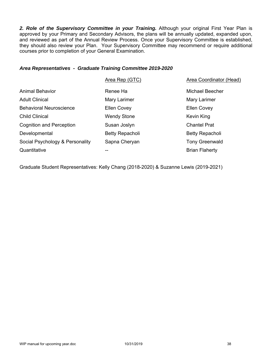2. Role of the Supervisory Committee in your Training. Although your original First Year Plan is approved by your Primary and Secondary Advisors, the plans will be annually updated, expanded upon, and reviewed as part of the Annual Review Process. Once your Supervisory Committee is established, they should also review your Plan. Your Supervisory Committee may recommend or require additional courses prior to completion of your General Examination.

### *Area Representatives - Graduate Training Committee 2019-2020*

|                                 | Area Rep (GTC)     | <b>Area Coordinator (Head)</b> |
|---------------------------------|--------------------|--------------------------------|
| <b>Animal Behavior</b>          | Renee Ha           | <b>Michael Beecher</b>         |
| <b>Adult Clinical</b>           | Mary Larimer       | Mary Larimer                   |
| <b>Behavioral Neuroscience</b>  | <b>Ellen Covey</b> | <b>Ellen Covey</b>             |
| <b>Child Clinical</b>           | <b>Wendy Stone</b> | Kevin King                     |
| <b>Cognition and Perception</b> | Susan Joslyn       | <b>Chantel Prat</b>            |
| Developmental                   | Betty Repacholi    | <b>Betty Repacholi</b>         |
| Social Psychology & Personality | Sapna Cheryan      | <b>Tony Greenwald</b>          |
| Quantitative                    | --                 | <b>Brian Flaherty</b>          |
|                                 |                    |                                |

Graduate Student Representatives: Kelly Chang (2018-2020) & Suzanne Lewis (2019-2021)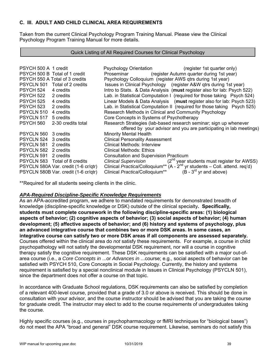# **C. III. ADULT AND CHILD CLINICAL AREA REQUIREMENTS**

Taken from the current Clinical Psychology Program Training Manual. Please view the Clinical Psychology Program Training Manual for more details.

#### Quick Listing of All Required Courses for Clinical Psychology

| PSYCH 500 A 1 credit |                                      | <b>Psychology Orientation</b>                             | (register 1st quarter only)                                                                        |
|----------------------|--------------------------------------|-----------------------------------------------------------|----------------------------------------------------------------------------------------------------|
|                      | PSYCH 500 B Total of 1 credit        | Proseminar                                                | (register Autumn quarter during 1st year)                                                          |
|                      | PSYCH 550 A Total of 3 credits       | Psychology Colloquium (register AWS qtrs during 1st year) |                                                                                                    |
| <b>PSYCLN 501</b>    | Total of 2 credits                   |                                                           | Issues in Clinical Psychology (register A&W qtrs during 1st year)                                  |
| PSYCH 524            | 4 credits                            |                                                           | Intro to Stats. & Data Analysis (must register also for lab: Psych 522)                            |
| PSYCH 522            | 2 credits                            |                                                           | Lab. in Statistical Computation I (required for those taking Psych 524)                            |
| PSYCH 525            | 4 credits                            |                                                           | Linear Models & Data Analysis (must register also for lab: Psych 523)                              |
| PSYCH 523            | 2 credits                            |                                                           | Lab. in Statistical Computation II (required for those taking Psych 525)                           |
| PSYCLN 510           | 4 credits                            | Research Methods in Clinical and Community Psychology     |                                                                                                    |
| PSYCLN 517           | 5 credits                            | Core Concepts in Systems of Psychotherapy                 |                                                                                                    |
| PSYCH 560            | 2-30 credits total                   |                                                           | Research Strategies (lab-based research seminar; sign up whenever                                  |
|                      |                                      |                                                           | offered by your advisor and you are participating in lab meetings)                                 |
| PSYCLN 560           | 3 credits                            | <b>Minority Mental Health</b>                             |                                                                                                    |
| <b>PSYCLN 524</b>    | 3 credits                            | <b>Clinical Personality Assessment</b>                    |                                                                                                    |
| PSYCLN 581           | 2 credits                            | Clinical Methods: Interview                               |                                                                                                    |
| PSYCLN 582 2 credits |                                      | Clinical Methods: Ethics                                  |                                                                                                    |
| PSYCLN 591           | 2 credits                            | <b>Consultation and Supervision Practicum</b>             |                                                                                                    |
|                      | PSYCLN 583 Total of 8 credits        |                                                           | Clinical Supervision $(2^{nd}$ year students must register for AWSS)                               |
|                      | PSYCLN 580A Var. credit (1-6 cr/qtr) |                                                           | Clinical Practica/Colloquium <sup>**</sup> (A - 2 <sup>nd</sup> yr students - Coll. attend. req'd) |
|                      | PSYCLN 580B Var. credit (1-6 cr/qtr) | Clinical Practica/Colloquium**                            | $(B - 3rd$ yr and above)                                                                           |

\*\*Required for all students seeing clients in the clinic.

### *APA-Required Discipline-Specific Knowledge Requirements*

As an APA-accredited program, we adhere to mandated requirements for demonstrated breadth of knowledge (discipline-specific knowledge or DSK) outside of the clinical specialty**. Specifically, students must complete coursework in the following discipline-specific areas: (1) biological aspects of behavior; (2) cognitive aspects of behavior; (3) social aspects of behavior; (4) human development; (5) affective aspects of behavior; and (6) history and systems of psychology, plus an advanced integrative course that combines two or more DSK areas. In some cases, an integrative course can satisfy two or more DSK areas if all components are assessed separately.** Courses offered within the clinical area do *not* satisfy these requirements. For example, a course in child psychopathology will not satisfy the developmental DSK requirement, nor will a course in cognitive therapy satisfy the cognitive requirement. These DSK requirements can be satisfied with a major out-ofarea course (i.e., a *Core Concepts in* ...or *Advances in* ...course; e.g., social aspects of behavior can be satisfied with PSYCH 510, Core Concepts in Social Psychology. Currently, the history and systems requirement is satisfied by a special nonclinical module in Issues in Clinical Psychology (PSYCLN 501), since the department does not offer a course on that topic.

In accordance with Graduate School regulations, DSK requirements can also be satisfied by completion of a relevant 400-level course, provided that a grade of 3.0 or above is received. This should be done in consultation with your advisor, and the course instructor should be advised that you are taking the course for graduate credit. The instructor may elect to add to the course requirements of undergraduates taking the course.

Highly specific courses (e.g., courses in psychopharmacology or fMRI techniques for "biological bases") do not meet the APA "broad and general" DSK course requirement. Likewise, seminars do not satisfy this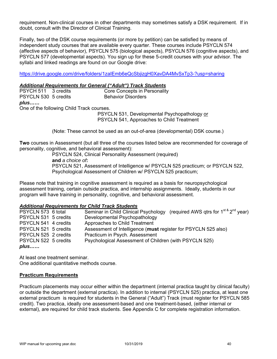requirement. Non-clinical courses in other departments may sometimes satisfy a DSK requirement. If in doubt, consult with the Director of Clinical Training.

Finally, two of the DSK course requirements (or more by petition) can be satisfied by means of independent study courses that are available every quarter. These courses include PSYCLN 574 (affective aspects of behavior), PSYCLN 575 (biological aspects), PSYCLN 576 (cognitive aspects), and PSYCLN 577 (developmental aspects). You sign up for these 5-credit courses with your advisor. The syllabi and linked readings are found on our Google drive:

https://drive.google.com/drive/folders/1zaIEmb6eQcSbjizgH0XavDA4MvSxTp3-?usp=sharing

#### *Additional Requirements for General ("Adult") Track Students*

| PSYCH 511 3 credits                       |  | Core Concepts in Personality                 |
|-------------------------------------------|--|----------------------------------------------|
| PSYCLN 530 5 credits                      |  | <b>Behavior Disorders</b>                    |
| plus                                      |  |                                              |
| One of the following Child Track courses. |  |                                              |
|                                           |  | PSYCLN 531, Developmental Psychopathology or |
|                                           |  | PSYCLN 541, Approaches to Child Treatment    |

(Note: These cannot be used as an out-of-area (developmental) DSK course.)

**Two** courses in Assessment (but all three of the courses listed below are recommended for coverage of personality, cognitive, and behavioral assessment):

PSYCLN 524, Clinical Personality Assessment (required)

**and** *a choice of***:** 

PSYCLN 521, Assessment of Intelligence w/ PSYCLN 525 practicum; or PSYCLN 522, Psychological Assessment of Children w/ PSYCLN 525 practicum;

Please note that training in cognitive assessment is required as a basis for neuropsychological assessment training, certain outside practica, and internship assignments. Ideally, students in our program will have training in personality, cognitive, and behavioral assessment.

### *Additional Requirements for Child Track Students*

| PSYCLN 573 6 total   | Seminar in Child Clinical Psychology (required AWS qtrs for 1 <sup>st &amp;</sup> 2 <sup>nd</sup> year) |
|----------------------|---------------------------------------------------------------------------------------------------------|
| PSYCLN 531 5 credits | Developmental Psychopathology                                                                           |
| PSYCLN 541 4 credits | Approaches to Child Treatment                                                                           |
| PSYCLN 521 5 credits | Assessment of Intelligence (must register for PSYCLN 525 also)                                          |
| PSYCLN 525 2 credits | Practicum in Psych. Assessment                                                                          |
| PSYCLN 522 5 credits | Psychological Assessment of Children (with PSYCLN 525)                                                  |
| plus                 |                                                                                                         |

At least one treatment seminar. One additional quantitative methods course.

### **Practicum Requirements**

Practicum placements may occur either within the department (internal practica taught by clinical faculty) or outside the department (external practica). In addition to internal (PSYCLN 525) practica, at least one external practicum is required for students in the General ("Adult") Track (must register for PSYCLN 585 credit). Two practica, ideally one assessment-based and one treatment-based, (either internal or external), are required for child track students. See Appendix C for complete registration information.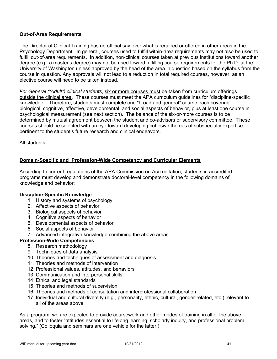## **Out-of-Area Requirements**

The Director of Clinical Training has no official say over what is required or offered in other areas in the Psychology Department. In general, courses used to fulfill within-area requirements may not also be used to fulfill out-of-area requirements. In addition, non-clinical courses taken at previous institutions toward another degree (e.g., a master's degree) may not be used toward fulfilling course requirements for the Ph.D. at the University of Washington unless approved by the head of the area in question based on the syllabus from the course in question. Any approvals will not lead to a reduction in total required courses, however, as an elective course will need to be taken instead.

*For General ("Adult") clinical students*, six or more courses must be taken from curriculum offerings outside the clinical area. These courses must meet the APA curriculum guidelines for "discipline-specific knowledge." Therefore, students must complete one "broad and general" course each covering biological, cognitive, affective, developmental, and social aspects of behavior, plus at least one course in psychological measurement (see next section). The balance of the six-or-more courses is to be determined by mutual agreement between the student and co-advisors or supervisory committee. These courses should be selected with an eye toward developing cohesive themes of subspecialty expertise pertinent to the student's future research and clinical endeavors.

All students…

## **Domain-Specific and Profession-Wide Competency and Curricular Elements**

According to current regulations of the APA Commission on Accreditation, students in accredited programs must develop and demonstrate doctoral-level competency in the following domains of knowledge and behavior:

### **Discipline-Specific Knowledge**

- 1. History and systems of psychology
- 2. Affective aspects of behavior
- 3. Biological aspects of behavior
- 4. Cognitive aspects of behavior
- 5. Developmental aspects of behavior
- 6. Social aspects of behavior
- 7. Advanced integrative knowledge combining the above areas

## **Profession-Wide Competencies**

- 8. Research methodology
- 9. Techniques of data analysis
- 10. Theories and techniques of assessment and diagnosis
- 11. Theories and methods of intervention
- 12. Professional values, attitudes, and behaviors
- 13. Communication and interpersonal skills
- 14. Ethical and legal standards
- 15. Theories and methods of supervision
- 16. Theories and methods of consultation and interprofessional collaboration
- 17. Individual and cultural diversity (e.g., personality, ethnic, cultural, gender-related, etc.) relevant to all of the areas above

As a program, we are expected to provide coursework and other modes of training in all of the above areas, and to foster "attitudes essential to lifelong learning, scholarly inquiry, and professional problem solving." (Colloquia and seminars are one vehicle for the latter.)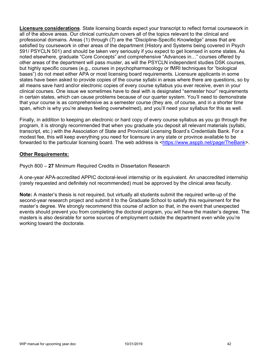**Licensure considerations**. State licensing boards expect your transcript to reflect formal coursework in all of the above areas. Our clinical curriculum covers all of the topics relevant to the clinical and professional domains. Areas (1) through (7) are the "Discipline-Specific Knowledge" areas that are satisfied by coursework in other areas of the department (History and Systems being covered in Psych 591/ PSYCLN 501) and should be taken very seriously if you expect to get licensed in some states. As noted elsewhere, graduate "Core Concepts" and comprehensive "Advances in…" courses offered by other areas of the department will pass muster, as will the PSYCLN independent studies DSK courses, but highly specific courses (e.g., courses in psychopharmacology or fMRI techniques for "biological bases") do not meet either APA or most licensing board requirements. Licensure applicants in some states have been asked to provide copies of the course syllabi in areas where there are questions, so by all means save hard and/or electronic copies of every course syllabus you ever receive, even in your clinical courses. One issue we sometimes have to deal with is designated "semester hour" requirements in certain states, which can cause problems because of our quarter system. You'll need to demonstrate that your course is as comprehensive as a semester course (they are, of course, and in a shorter time span, which is why you're always feeling overwhelmed), and you'll need your syllabus for this as well.

Finally, in addition to keeping an electronic or hard copy of every course syllabus as you go through the program, it is strongly recommended that when you graduate you deposit all relevant materials (syllabi, transcript, etc.) with the Association of State and Provincial Licensing Board's Credentials Bank. For a modest fee, this will keep everything you need for licensure in any state or province available to be forwarded to the particular licensing board. The web address is <https://www.asppb.net/page/TheBank>.

### **Other Requirements:**

Psych 800 – **27** Minimum Required Credits in Dissertation Research

A one-year APA-accredited APPIC doctoral-level internship or its equivalent. An unaccredited internship (rarely requested and definitely not recommended) must be approved by the clinical area faculty.

**Note:** A master's thesis is not required, but virtually all students submit the required write-up of the second-year research project and submit it to the Graduate School to satisfy this requirement for the master's degree. We strongly recommend this course of action so that, in the event that unexpected events should prevent you from completing the doctoral program, you will have the master's degree. The masters is also desirable for some sources of employment outside the department even while you're working toward the doctorate.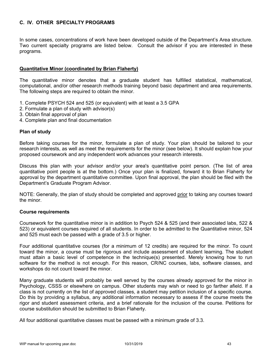# **C. IV. OTHER SPECIALTY PROGRAMS**

In some cases, concentrations of work have been developed outside of the Department's Area structure. Two current specialty programs are listed below. Consult the advisor if you are interested in these programs.

## **Quantitative Minor (coordinated by Brian Flaherty)**

The quantitative minor denotes that a graduate student has fulfilled statistical, mathematical, computational, and/or other research methods training beyond basic department and area requirements. The following steps are required to obtain the minor.

- 1. Complete PSYCH 524 and 525 (or equivalent) with at least a 3.5 GPA
- 2. Formulate a plan of study with advisor(s)
- 3. Obtain final approval of plan
- 4. Complete plan and final documentation

### **Plan of study**

Before taking courses for the minor, formulate a plan of study. Your plan should be tailored to your research interests, as well as meet the requirements for the minor (see below). It should explain how your proposed coursework and any independent work advances your research interests.

Discuss this plan with your advisor and/or your area's quantitative point person. (The list of area quantitative point people is at the bottom.) Once your plan is finalized, forward it to Brian Flaherty for approval by the department quantitative committee. Upon final approval, the plan should be filed with the Department's Graduate Program Advisor.

NOTE: Generally, the plan of study should be completed and approved prior to taking any courses toward the minor.

### **Course requirements**

Coursework for the quantitative minor is in addition to Psych 524 & 525 (and their associated labs, 522 & 523) or equivalent courses required of all students. In order to be admitted to the Quantitative minor, 524 and 525 must each be passed with a grade of 3.5 or higher.

Four additional quantitative courses (for a minimum of 12 credits) are required for the minor. To count toward the minor, a course must be rigorous and include assessment of student learning. The student must attain a basic level of competence in the technique(s) presented. Merely knowing how to run software for the method is not enough. For this reason, CR/NC courses, labs, software classes, and workshops do not count toward the minor.

Many graduate students will probably be well served by the courses already approved for the minor in Psychology, CSSS or elsewhere on campus. Other students may wish or need to go farther afield. If a class is not currently on the list of approved classes, a student may petition inclusion of a specific course. Do this by providing a syllabus, any additional information necessary to assess if the course meets the rigor and student assessment criteria, and a brief rationale for the inclusion of the course. Petitions for course substitution should be submitted to Brian Flaherty.

All four additional quantitative classes must be passed with a minimum grade of 3.3.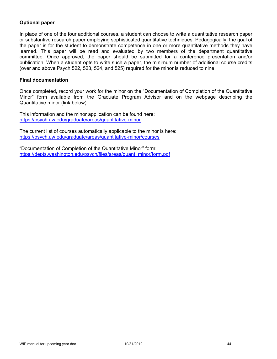# **Optional paper**

In place of one of the four additional courses, a student can choose to write a quantitative research paper or substantive research paper employing sophisticated quantitative techniques. Pedagogically, the goal of the paper is for the student to demonstrate competence in one or more quantitative methods they have learned. This paper will be read and evaluated by two members of the department quantitative committee. Once approved, the paper should be submitted for a conference presentation and/or publication. When a student opts to write such a paper, the minimum number of additional course credits (over and above Psych 522, 523, 524, and 525) required for the minor is reduced to nine.

### **Final documentation**

Once completed, record your work for the minor on the "Documentation of Completion of the Quantitative Minor" form available from the Graduate Program Advisor and on the webpage describing the Quantitative minor (link below).

This information and the minor application can be found here: https://psych.uw.edu/graduate/areas/quantitative-minor

The current list of courses automatically applicable to the minor is here: https://psych.uw.edu/graduate/areas/quantitative-minor/courses

"Documentation of Completion of the Quantitative Minor" form: https://depts.washington.edu/psych/files/areas/quant\_minor/form.pdf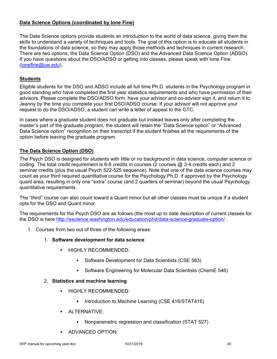# **Data Science Options (coordinated by Ione Fine)**

The Data Science options provide students an introduction to the world of data science, giving them the skills to understand a variety of techniques and tools. The goal of this option is to educate all students in the foundations of data science, so they may apply those methods and techniques in current research. There are two options, the Data Science Option (DSO) and the Advanced Data Science Option (ADSO). If you have questions about the DSO/ADSO or getting into classes, please speak with Ione Fine (ionefine@uw.edu).

# **Students**

Eligible students for the DSO and ADSO include all full time Ph.D. students in the Psychology program in good standing who have completed the first year statistics requirements and who have permission of their advisors. Please complete the DSO/ADSO form, have your advisor and co-advisor sign it, and return it to Jeanny by the time you complete your first DSO/ADSO course. If your advisor will not approve your request to do the DSO/ADSO, a student can write a letter of appeal to the GTC.

In cases where a graduate student does not graduate but instead leaves only after completing the master's part of the graduate program, the student will retain the "Data Science option" or "Advanced Data Science option" recognition on their transcript if the student finishes all the requirements of the option before leaving the graduate program.

# **The Data Science Option (DSO)**

The Psych DSO is designed for students with little or no background in data science, computer science or coding. The total credit requirement is 6-8 credits in courses (2 courses @ 3-4 credits each) and 2 seminar credits (plus the usual Psych 522-525 sequence). Note that one of the data science courses may count as your third required quantitative course for the Psychology Ph.D. if approved by the Psychology quant area, resulting in only one "extra" course (and 2 quarters of seminar) beyond the usual Psychology quantitative requirements.

The "third" course can also count toward a Quant minor but all other classes must be unique if a student opts for the DSO and Quant minor.

The requirements for the Psych DSO are as follows (the most up to date description of current classes for the DSO is here http://escience.washington.edu/education/phd/data-science-graduate-option/:

- 1. Courses from two out of three of the following areas:
	- 1. **Software development for data science**
		- HIGHLY RECOMMENDED:
			- Software Development for Data Scientists (CSE 583)
			- Software Engineering for Molecular Data Scientists (ChemE 546)
	- 2. **Statistics and machine learning**
		- **HIGHLY RECOMMENDED:** 
			- **Introduction to Machine Learning (CSE 416/STAT416)**
		- **ALTERNATIVE:** 
			- Nonparametric regression and classification (STAT 527)
		- **ADVANCED OPTION:**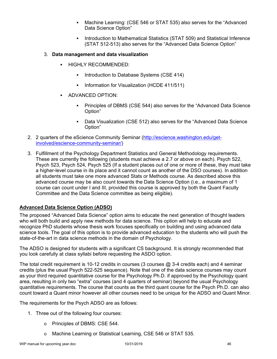- Machine Learning: (CSE 546 or STAT 535) also serves for the "Advanced Data Science Option"
- Introduction to Mathematical Statistics (STAT 509) and Statistical Inference (STAT 512-513) also serves for the "Advanced Data Science Option"

## 3. **Data management and data visualization**

- HIGHLY RECOMMENDED:
	- **Introduction to Database Systems (CSE 414)**
	- Information for Visualization (HCDE 411/511)
- **ADVANCED OPTION:** 
	- Principles of DBMS (CSE 544) also serves for the "Advanced Data Science Option"
	- Data Visualization (CSE 512) also serves for the "Advanced Data Science Option"
- 2. 2 quarters of the eScience Community Seminar (http://escience.washington.edu/getinvolved/escience-community-seminar/)
- 3. Fulfillment of the Psychology Department Statistics and General Methodology requirements. These are currently the following (students must achieve a 2.7 or above on each). Psych 522, Psych 523, Psych 524, Psych 525 (If a student places out of one or more of these, they must take a higher-level course in its place and it cannot count as another of the DSO courses). In addition all students must take one more advanced Stats or Methods course. As described above this advanced course may be also count towards the Data Science Option (i.e., a maximum of 1 course can count under I and III, provided this course is approved by both the Quant Faculty Committee and the Data Science committee as being eligible).

## **Advanced Data Science Option (ADSO)**

The proposed "Advanced Data Science" option aims to educate the next generation of thought leaders who will both build and apply new methods for data science. This option will help to educate and recognize PhD students whose thesis work focuses specifically on building and using advanced data science tools. The goal of this option is to provide advanced education to the students who will push the state-of-the-art in data science methods in the domain of Psychology.

The ADSO is designed for students with a significant CS background. It is strongly recommended that you look carefully at class syllabi before requesting the ASDO option.

The total credit requirement is 10-12 credits in courses  $(3 \text{ courses } \textcircled{a} 3-4 \text{ credits each})$  and 4 seminar credits (plus the usual Psych 522-525 sequence). Note that one of the data science courses may count as your third required quantitative course for the Psychology Ph.D. if approved by the Psychology quant area, resulting in only two "extra" courses (and 4 quarters of seminar) beyond the usual Psychology quantitative requirements. The course that counts as the third quant course for the Psych Ph.D. can also count toward a Quant minor however all other courses need to be unique for the ADSO and Quant Minor.

The requirements for the Psych ADSO are as follows:

- 1. Three out of the following four courses:
	- o Principles of DBMS: CSE 544.
	- o Machine Learning or Statistical Learning, CSE 546 or STAT 535.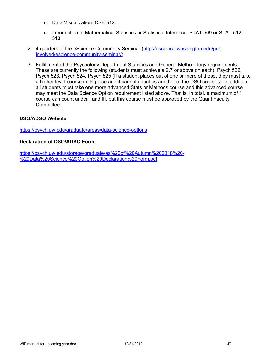- o Data Visualization: CSE 512.
- o Introduction to Mathematical Statistics or Statistical Inference: STAT 509 or STAT 512- 513.
- 2. 4 quarters of the eScience Community Seminar (http://escience.washington.edu/getinvolved/escience-community-seminar/)
- 3. Fulfillment of the Psychology Department Statistics and General Methodology requirements. These are currently the following (students must achieve a 2.7 or above on each). Psych 522, Psych 523, Psych 524, Psych 525 (If a student places out of one or more of these, they must take a higher level course in its place and it cannot count as another of the DSO courses). In addition all students must take one more advanced Stats or Methods course and this advanced course may meet the Data Science Option requirement listed above. That is, in total, a maximum of 1 course can count under I and III, but this course must be approved by the Quant Faculty Committee.

## **DSO/ADSO Website**

https://psych.uw.edu/graduate/areas/data-science-options

### **Declaration of DSO/ADSO Form**

https://psych.uw.edu/storage/graduate/as%20of%20Autumn%202018%20- %20Data%20Science%20Option%20Declaration%20Form.pdf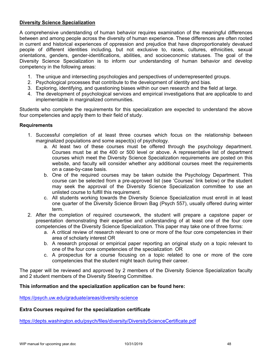## **Diversity Science Specialization**

A comprehensive understanding of human behavior requires examination of the meaningful differences between and among people across the diversity of human experience. These differences are often rooted in current and historical experiences of oppression and prejudice that have disproportionately devalued people of different identities including, but not exclusive to, races, cultures, ethnicities, sexual orientations, genders, gender-identifications, abilities, and socioeconomic statuses. The goal of the Diversity Science Specialization is to inform our understanding of human behavior and develop competency in the following areas:

- 1. The unique and intersecting psychologies and perspectives of underrepresented groups.
- 2. Psychological processes that contribute to the development of identity and bias.
- 3. Exploring, identifying, and questioning biases within our own research and the field at large.
- 4. The development of psychological services and empirical investigations that are applicable to and implementable in marginalized communities.

Students who complete the requirements for this specialization are expected to understand the above four competencies and apply them to their field of study.

### **Requirements**

- 1. Successful completion of at least three courses which focus on the relationship between marginalized populations and some aspect(s) of psychology.
	- a. At least two of these courses must be offered through the psychology department. Courses must be at the 400 or 500 level or above. A representative list of department courses which meet the Diversity Science Specialization requirements are posted on this website, and faculty will consider whether any additional courses meet the requirements on a case-by-case basis.
	- b. One of the required courses may be taken outside the Psychology Department. This course can be selected from a pre-approved list (see 'Courses' link below) or the student may seek the approval of the Diversity Science Specialization committee to use an unlisted course to fulfill this requirement.
	- c. All students working towards the Diversity Science Specialization must enroll in at least one quarter of the Diversity Science Brown Bag (Psych 557), usually offered during winter term.
- 2. After the completion of required coursework, the student will prepare a capstone paper or presentation demonstrating their expertise and understanding of at least one of the four core competencies of the Diversity Science Specialization. This paper may take one of three forms:
	- a. A critical review of research relevant to one or more of the four core competencies in their area of scholarly interest OR
	- b. A research proposal or empirical paper reporting an original study on a topic relevant to one of the four core competencies of the specialization OR
	- c. A prospectus for a course focusing on a topic related to one or more of the core competencies that the student might teach during their career.

The paper will be reviewed and approved by 2 members of the Diversity Science Specialization faculty and 2 student members of the Diversity Steering Committee.

### **This information and the specialization application can be found here:**

https://psych.uw.edu/graduate/areas/diversity-science

### **Extra Courses required for the specialization certificate**

https://depts.washington.edu/psych/files/diversity/DiversityScienceCertificate.pdf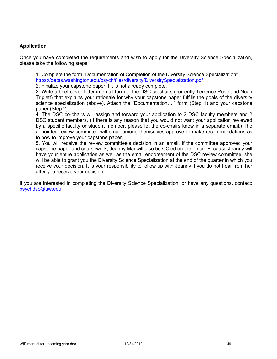## **Application**

Once you have completed the requirements and wish to apply for the Diversity Science Specialization, please take the following steps:

1. Complete the form "Documentation of Completion of the Diversity Science Specialization" https://depts.washington.edu/psych/files/diversity/DiversitySpecialization.pdf

2. Finalize your capstone paper if it is not already complete.

3. Write a brief cover letter in email form to the DSC co-chairs (currently Terrence Pope and Noah Triplett) that explains your rationale for why your capstone paper fulfills the goals of the diversity science specialization (above). Attach the "Documentation...." form (Step 1) and your capstone paper (Step 2).

4. The DSC co-chairs will assign and forward your application to 2 DSC faculty members and 2 DSC student members. (If there is any reason that you would not want your application reviewed by a specific faculty or student member, please let the co-chairs know in a separate email.) The appointed review committee will email among themselves approve or make recommendations as to how to improve your capstone paper.

5. You will receive the review committee's decision in an email. If the committee approved your capstone paper and coursework, Jeanny Mai will also be CC'ed on the email. Because Jeanny will have your entire application as well as the email endorsement of the DSC review committee, she will be able to grant you the Diversity Science Specialization at the end of the quarter in which you receive your decision. It is your responsibility to follow up with Jeanny if you do not hear from her after you receive your decision.

If you are interested in completing the Diversity Science Specialization, or have any questions, contact: psychdsc@uw.edu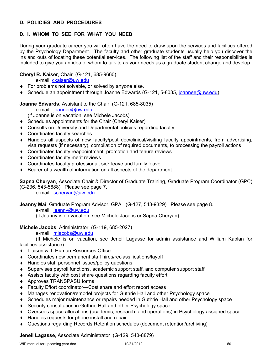# **D. POLICIES AND PROCEDURES**

# **D. I. WHOM TO SEE FOR WHAT YOU NEED**

During your graduate career you will often have the need to draw upon the services and facilities offered by the Psychology Department. The faculty and other graduate students usually help you discover the ins and outs of locating these potential services. The following list of the staff and their responsibilities is included to give you an idea of whom to talk to as your needs as a graduate student change and develop.

# **Cheryl R. Kaiser**, Chair (G-121, 685-9660)

e-mail: ckaiser@uw.edu

- ◆ For problems not solvable, or solved by anyone else.
- ◆ Schedule an appointment through Joanne Edwards (G-121, 5-8035, joannee@uw.edu)

# **Joanne Edwards**, Assistant to the Chair (G-121, 685-8035)

e-mail: joannee@uw.edu

(if Joanne is on vacation, see Michele Jacobs)

- ◆ Schedules appointments for the Chair (Cheryl Kaiser)
- Consults on University and Departmental policies regarding faculty
- Coordinates faculty searches
- Handles all aspects of new faculty/post doc/clinical/visiting faculty appointments, from advertising, visa requests (if necessary), compilation of required documents, to processing the payroll actions
- Coordinates faculty reappointment, promotion and tenure reviews
- Coordinates faculty merit reviews
- Coordinates faculty professional, sick leave and family leave
- Bearer of a wealth of information on all aspects of the department

**Sapna Cheryan**, Associate Chair & Director of Graduate Training, Graduate Program Coordinator (GPC) (G-236, 543-5688) Please see page 7.

e-mail: scheryan@uw.edu

#### **Jeanny Mai**, Graduate Program Advisor, GPA (G-127, 543-9329) Please see page 8. e-mail: jeanny@uw.edu

(if Jeanny is on vacation, see Michele Jacobs or Sapna Cheryan)

## **Michele Jacobs**, Administrator (G-119, 685-2027)

e-mail: mjacobs@uw.edu

 (If Michele is on vacation, see Jeneil Lagasse for admin assistance and William Kaplan for facilities assistance)

- ◆ Liaison with Human Resources Office
- Coordinates new permanent staff hires/reclassifications/layoff
- ◆ Handles staff personnel issues/policy questions
- Supervises payroll functions, academic support staff, and computer support staff
- Assists faculty with cost share questions regarding faculty effort
- Approves TRANSPASU forms
- Faculty Effort coordinator—Cost share and effort report access
- Manages renovation/remodel projects for Guthrie Hall and other Psychology space
- Schedules major maintenance or repairs needed in Guthrie Hall and other Psychology space
- Security consultation in Guthrie Hall and other Psychology space
- Oversees space allocations (academic, research, and operations) in Psychology assigned space
- ◆ Handles requests for phone install and repair
- Questions regarding Records Retention schedules (document retention/archiving)

**Jeneil Lagasse**, Associate Administrator (G-129, 543-8879)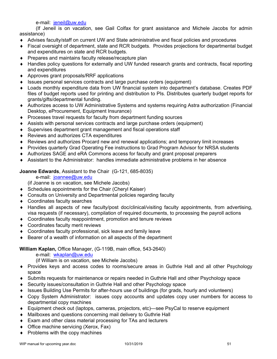e-mail: jeneil@uw.edu

 (If Jeneil is on vacation, see Gail Colfax for grant assistance and Michele Jacobs for admin assistance)

- Advises faculty/staff on current UW and State administrative and fiscal policies and procedures
- Fiscal oversight of department, state and RCR budgets. Provides projections for departmental budget and expenditures on state and RCR budgets.
- ◆ Prepares and maintains faculty release/recapture plan
- Handles policy questions for externally and UW funded research grants and contracts, fiscal reporting and expenditures
- Approves grant proposals/RRF applications
- Issues personal services contracts and large purchase orders (equipment)
- Loads monthly expenditure data from UW financial system into department's database. Creates PDF files of budget reports used for printing and distribution to PIs. Distributes quarterly budget reports for grants/gifts/departmental funding.
- Authorizes access to UW Administrative Systems and systems requiring Astra authorization (Financial Desktop, eProcurement, Equipment Insurance)
- ◆ Processes travel requests for faculty from department funding sources
- Assists with personal services contracts and large purchase orders (equipment)
- Supervises department grant management and fiscal operations staff
- ◆ Reviews and authorizes CTA expenditures
- Reviews and authorizes Procard new and renewal applications; and temporary limit increases
- Provides quarterly Grad Operating Fee instructions to Grad Program Advisor for NRSA students
- ◆ Authorizes SAGE and eRA Commons access for faculty and grant proposal preparers
- Assistant to the Administrator: handles immediate administrative problems in her absence

**Joanne Edwards**, Assistant to the Chair (G-121, 685-8035)

e-mail: joannee@uw.edu

(if Joanne is on vacation, see Michele Jacobs)

- Schedules appointments for the Chair (Cheryl Kaiser)
- Consults on University and Departmental policies regarding faculty
- ◆ Coordinates faculty searches
- Handles all aspects of new faculty/post doc/clinical/visiting faculty appointments, from advertising, visa requests (if necessary), compilation of required documents, to processing the payroll actions
- Coordinates faculty reappointment, promotion and tenure reviews
- ◆ Coordinates faculty merit reviews
- Coordinates faculty professional, sick leave and family leave
- Bearer of a wealth of information on all aspects of the department

## **William Kaplan,** Office Manager, (G-119B, main office, 543-2640)

e-mail: wkaplan@uw.edu

(if William is on vacation, see Michele Jacobs)

- Provides keys and access codes to rooms/secure areas in Guthrie Hall and all other Psychology space
- Submits requests for maintenance or repairs needed in Guthrie Hall and other Psychology space
- Security issues/consultation in Guthrie Hall and other Psychology space
- Issues Building Use Permits for after-hours use of buildings (for grads, hourly and volunteers)
- Copy System Administrator: issues copy accounts and updates copy user numbers for access to departmental copy machines
- Equipment check out (laptops, cameras, projectors, etc)—see PsyCal to reserve equipment
- Mailboxes and questions concerning mail delivery to Guthrie Hall
- Exam and other class material processing for TAs and lecturers
- ◆ Office machine servicing (Xerox, Fax)
- $\bullet$  Problems with the copy machines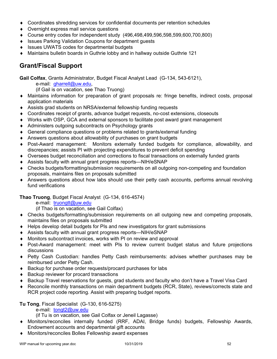- Coordinates shredding services for confidential documents per retention schedules
- Overnight express mail service questions
- Course entry codes for independent study (496,498,499,596,598,599,600,700,800)
- ◆ Issues Parking Validation Coupons for department guests
- ◆ Issues UWATS codes for departmental budgets
- Maintains bulletin boards in Guthrie lobby and in hallway outside Guthrie 121

# **Grant/Fiscal Support**

**Gail Colfax**, Grants Administrator, Budget Fiscal Analyst Lead (G-134, 543-6121),

e-mail: gharrell@uw.edu,

(if Gail is on vacation, see Thao Truong)

- Maintains information for preparation of grant proposals re: fringe benefits, indirect costs, proposal application materials
- Assists grad students on NRSA/external fellowship funding requests
- Coordinates receipt of grants, advance budget requests, no-cost extensions, closeouts
- Works with OSP, GCA and external sponsors to facilitate post award grant management
- Administers outgoing subcontracts on Psychology grants
- General compliance questions or problems related to grants/external funding
- Answers questions about allowability of purchases on grant budgets
- Post-Award management: Monitors externally funded budgets for compliance, allowability, and discrepancies; assists PI with projecting expenditures to prevent deficit spending
- Oversees budget reconciliation and corrections to fiscal transactions on externally funded grants
- Assists faculty with annual grant progress reports—NIH/eSNAP
- Checks budgets/formatting/submission requirements on all outgoing non-competing and foundation proposals, maintains files on proposals submitted
- Answers questions about how labs should use their petty cash accounts, performs annual revolving fund verifications

**Thao Truong**, Budget Fiscal Analyst (G-134, 616-4574)

e-mail: truongtt@uw.edu

(if Thao is on vacation, see Gail Colfax)

- Checks budgets/formatting/submission requirements on all outgoing new and competing proposals, maintains files on proposals submitted
- Helps develop detail budgets for PIs and new investigators for grant submissions
- Assists faculty with annual grant progress reports—NIH/eSNAP
- Monitors subcontract invoices, works with PI on review and approval
- Post-Award management: meet with PIs to review current budget status and future projections discussions
- Petty Cash Custodian: handles Petty Cash reimbursements: advises whether purchases may be reimbursed under Petty Cash.
- ◆ Backup for purchase order requests/procard purchases for labs
- ◆ Backup reviewer for procard transactions
- ◆ Backup Travel reservations for quests, grad students and faculty who don't have a Travel Visa Card
- Reconcile monthly transactions on main department budgets (RCR, State), reviews/corrects state and RCR project code reporting. Assist with preparing budget reports.

**Tu Tong**, Fiscal Specialist (G-130, 616-5275)

e-mail: tongt2@uw.edu

(if Tu is on vacation, see Gail Colfax or Jeneil Lagasse)

- Monitors/reconciles internally funded (RRF, ADAI, Bridge funds) budgets, Fellowship Awards, Endowment accounts and departmental gift accounts
- Monitors/reconciles Bolles Fellowship award expenses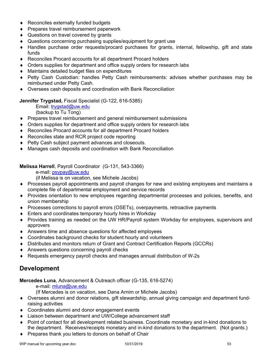- ◆ Reconciles externally funded budgets
- ◆ Prepares travel reimbursement paperwork
- ◆ Questions on travel covered by grants
- Questions concerning purchasing supplies/equipment for grant use
- Handles purchase order requests/procard purchases for grants, internal, fellowship, gift and state funds
- Reconciles Procard accounts for all department Procard holders
- Orders supplies for department and office supply orders for research labs
- Maintains detailed budget files on expenditures
- Petty Cash Custodian: handles Petty Cash reimbursements: advises whether purchases may be reimbursed under Petty Cash.
- Oversees cash deposits and coordination with Bank Reconciliation

## **Jennifer Trygstad,** Fiscal Specialist (G-122, 616-5385)

Email: trygstad@uw.edu

(backup to Tu Tong)

- Prepares travel reimbursement and general reimbursement submissions
- Orders supplies for department and office supply orders for research labs
- Reconciles Procard accounts for all department Procard holders
- ◆ Reconciles state and RCR project code reporting
- ◆ Petty Cash subject payment advances and closeouts.
- Manages cash deposits and coordination with Bank Reconciliation

# **Melissa Harrell**, Payroll Coordinator (G-131, 543-3366)

e-mail: psypay@uw.edu

(if Melissa is on vacation, see Michele Jacobs)

- Processes payroll appointments and payroll changes for new and existing employees and maintains a complete file of departmental employment and service records
- Provides orientation to new employees regarding departmental processes and policies, benefits, and union membership
- Processes corrections to payroll errors (OSETs), overpayments, retroactive payments
- ◆ Enters and coordinates temporary hourly hires in Workday
- Provides training as needed on the UW HR/Payroll system Workday for employees, supervisors and approvers
- Answers time and absence questions for affected employees
- Coordinates background checks for student hourly and volunteers
- Distributes and monitors return of Grant and Contract Certification Reports (GCCRs)
- Answers questions concerning payroll checks
- Requests emergency payroll checks and manages annual distribution of W-2s

# **Development**

**Mercedes Luna**, Advancement & Outreach officer (G-135, 616-5274)

e-mail: mluna@uw.edu

(If Mercedes is on vacation, see Dana Arnim or Michele Jacobs)

- Oversees alumni and donor relations, gift stewardship, annual giving campaign and department fundraising activities
- Coordinates alumni and donor engagement events
- Liaison between department and UW/College advancement staff
- Point of contact for all development related business. Coordinate monetary and in-kind donations to the department. Receives/receipts monetary and in-kind donations to the department. (Not grants.)
- ◆ Prepares thank you letters to donors on behalf of Chair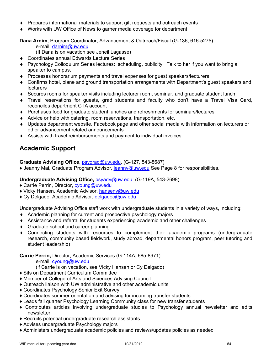- Prepares informational materials to support gift requests and outreach events
- Works with UW Office of News to garner media coverage for department

**Dana Arnim**, Program Coordinator, Advancement & Outreach/Fiscal (G-136, 616-5275) e-mail: darnim@uw.edu

(If Dana is on vacation see Jeneil Lagasse)

- ◆ Coordinates annual Edwards Lecture Series
- Psychology Colloquium Series lectures: scheduling, publicity. Talk to her if you want to bring a speaker to campus.
- Processes honorarium payments and travel expenses for guest speakers/lecturers
- Confirms hotel, plane and ground transportation arrangements with Department's guest speakers and **lecturers**
- Secures rooms for speaker visits including lecturer room, seminar, and graduate student lunch
- Travel reservations for guests, grad students and faculty who don't have a Travel Visa Card, reconciles department CTA account
- Purchases food for graduate student lunches and refreshments for seminars/lectures
- Advice or help with catering, room reservations, transportation, etc.
- Updates department website, Facebook page and other social media with information on lecturers or other advancement related announcements
- Assists with travel reimbursements and payment to individual invoices.

# **Academic Support**

# **Graduate Advising Office**, psygrad@uw.edu, (G-127, 543-8687)

♦ Jeanny Mai, Graduate Program Advisor, jeanny@uw.edu See Page 8 for responsibilities.

# **Undergraduate Advising Office,** psyadv@uw.edu, (G-119A, 543-2698)

- ♦ Carrie Perrin, Director, cyoung@uw.edu
- ♦ Vicky Hansen, Academic Advisor, hansenv@uw.edu
- ♦ Cy Delgado, Academic Advisor, delgadoc@uw.edu

Undergraduate Advising Office staff work with undergraduate students in a variety of ways, including:

- Academic planning for current and prospective psychology majors
- Assistance and referral for students experiencing academic and other challenges
- ◆ Graduate school and career planning
- Connecting students with resources to complement their academic programs (undergraduate research, community based fieldwork, study abroad, departmental honors program, peer tutoring and student leadership)

## **Carrie Perrin,** Director, Academic Services (G-114A, 685-8971)

e-mail: cyoung@uw.edu

(if Carrie is on vacation, see Vicky Hansen or Cy Delgado)

- ♦ Sits on Department Curriculum Committee
- ♦ Member of College of Arts and Sciences Advising Council
- ♦ Outreach liaison with UW administrative and other academic units
- ♦ Coordinates Psychology Senior Exit Survey
- ♦ Coordinates summer orientation and advising for incoming transfer students
- ♦ Leads fall quarter Psychology Learning Community class for new transfer students
- ♦ Contributes articles involving undergraduate studies to Psychology annual newsletter and edits newsletter
- ♦ Recruits potential undergraduate research assistants
- ♦ Advises undergraduate Psychology majors
- ♦ Administers undergraduate academic policies and reviews/updates policies as needed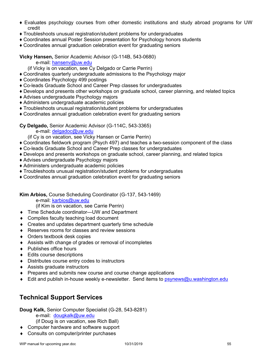- ♦ Evaluates psychology courses from other domestic institutions and study abroad programs for UW credit
- ♦ Troubleshoots unusual registration/student problems for undergraduates
- ♦ Coordinates annual Poster Session presentation for Psychology honors students
- ♦ Coordinates annual graduation celebration event for graduating seniors

**Vicky Hansen,** Senior Academic Advisor (G-114B, 543-0680)

e-mail: hansenv@uw.edu

(if Vicky is on vacation, see Cy Delgado or Carrie Perrin)

- ♦ Coordinates quarterly undergraduate admissions to the Psychology major
- ♦ Coordinates Psychology 499 postings
- ♦ Co-leads Graduate School and Career Prep classes for undergraduates
- ♦ Develops and presents other workshops on graduate school, career planning, and related topics
- ♦ Advises undergraduate Psychology majors
- ♦ Administers undergraduate academic policies
- ♦ Troubleshoots unusual registration/student problems for undergraduates
- ♦ Coordinates annual graduation celebration event for graduating seniors

**Cy Delgado,** Senior Academic Advisor (G-114C, 543-3365)

e-mail: delgadoc@uw.edu

(if Cy is on vacation, see Vicky Hansen or Carrie Perrin)

- ♦ Coordinates fieldwork program (Psych 497) and teaches a two-session component of the class
- ♦ Co-leads Graduate School and Career Prep classes for undergraduates
- ♦ Develops and presents workshops on graduate school, career planning, and related topics
- ♦ Advises undergraduate Psychology majors
- ♦ Administers undergraduate academic policies
- ♦ Troubleshoots unusual registration/student problems for undergraduates
- ♦ Coordinates annual graduation celebration event for graduating seniors

**Kim Arbios,** Course Scheduling Coordinator (G-137, 543-1469)

e-mail: karbios@uw.edu

(if Kim is on vacation, see Carrie Perrin)

- ◆ Time Schedule coordinator—UW and Department
- Compiles faculty teaching load document
- ◆ Creates and updates department quarterly time schedule
- ◆ Reserves rooms for classes and review sessions
- Orders textbook desk copies
- Assists with change of grades or removal of incompletes
- ◆ Publishes office hours
- ◆ Edits course descriptions
- Distributes course entry codes to instructors
- Assists graduate instructors
- Prepares and submits new course and course change applications
- $\bullet$  Edit and publish in-house weekly e-newsletter. Send items to psynews@u.washington.edu

# **Technical Support Services**

**Doug Kalk,** Senior Computer Specialist (G-28, 543-8281)

e-mail: dougkalk@uw.edu

(if Doug is on vacation, see Rich Ball)

◆ Computer hardware and software support

Consults on computer/printer purchases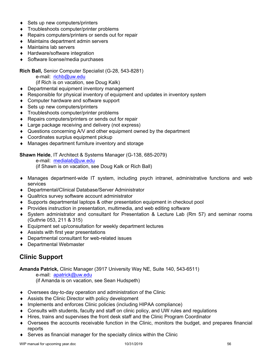- ◆ Sets up new computers/printers
- Troubleshoots computer/printer problems
- ◆ Repairs computers/printers or sends out for repair
- Maintains department admin servers
- Maintains lab servers
- ◆ Hardware/software integration
- ◆ Software license/media purchases

**Rich Ball,** Senior Computer Specialist (G-28, 543-8281)

e-mail: richb@uw.edu

(if Rich is on vacation, see Doug Kalk)

- ◆ Departmental equipment inventory management
- Responsible for physical inventory of equipment and updates in inventory system
- ◆ Computer hardware and software support
- ◆ Sets up new computers/printers
- **Troubleshoots computer/printer problems**
- ◆ Repairs computers/printers or sends out for repair
- ◆ Large package receiving and delivery (not express)
- Questions concerning A/V and other equipment owned by the department
- ◆ Coordinates surplus equipment pickup
- Manages department furniture inventory and storage

**Shawn Heide**, IT Architect & Systems Manager (G-138, 685-2079)

e-mail: medialab@uw.edu

(if Shawn is on vacation, see Doug Kalk or Rich Ball)

- Manages department-wide IT system, including psych intranet, administrative functions and web services
- ◆ Departmental/Clinical Database/Server Administrator
- Qualtrics survey software account administrator
- Supports departmental laptops & other presentation equipment in checkout pool
- Provides instruction in presentation, multimedia, and web editing software
- System administrator and consultant for Presentation & Lecture Lab (Rm 57) and seminar rooms (Guthrie 053, 211 & 315)
- Equipment set up/consultation for weekly department lectures
- Assists with first year presentations
- Departmental consultant for web-related issues
- ◆ Departmental Webmaster

# **Clinic Support**

**Amanda Patrick,** Clinic Manager (3917 University Way NE, Suite 140, 543-6511)

e-mail: apatrick@uw.edu

(if Amanda is on vacation, see Sean Hudspeth)

- Oversees day-to-day operation and administration of the Clinic
- Assists the Clinic Director with policy development
- Implements and enforces Clinic policies (including HIPAA compliance)
- Consults with students, faculty and staff on clinic policy, and UW rules and regulations
- ◆ Hires, trains and supervises the front desk staff and the Clinic Program Coordinator
- Oversees the accounts receivable function in the Clinic, monitors the budget, and prepares financial reports
- Serves as financial manager for the specialty clinics within the Clinic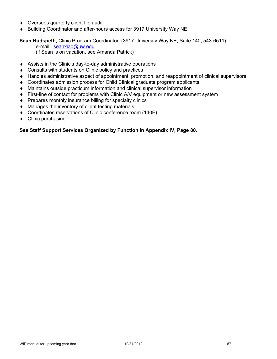- ◆ Oversees quarterly client file audit
- ◆ Building Coordinator and after-hours access for 3917 University Way NE

# **Sean Hudspeth,** Clinic Program Coordinator (3917 University Way NE, Suite 140, 543-6511)

e-mail: seanxiao@uw.edu

(if Sean is on vacation, see Amanda Patrick)

- Assists in the Clinic's day-to-day administrative operations
- ◆ Consults with students on Clinic policy and practices
- Handles administrative aspect of appointment, promotion, and reappointment of clinical supervisors
- Coordinates admission process for Child Clinical graduate program applicants
- Maintains outside practicum information and clinical supervisor information
- First-line of contact for problems with Clinic A/V equipment or new assessment system
- Prepares monthly insurance billing for specialty clinics
- Manages the inventory of client testing materials
- Coordinates reservations of Clinic conference room (140E)
- $\bullet$  Clinic purchasing

# **See Staff Support Services Organized by Function in Appendix IV, Page 80.**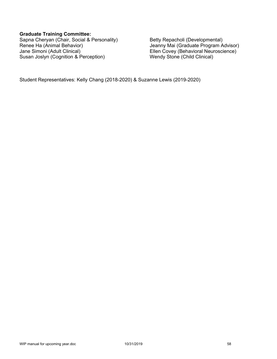### **Graduate Training Committee:**

Sapna Cheryan (Chair, Social & Personality) Betty Repacholi (Developmental) Renee Ha (Animal Behavior) **Contract Contract Contract Contract Contract** Jeanny Mai (Graduate Program Advisor)<br>Jane Simoni (Adult Clinical) **Jane Simoni (Adult Clinical)** Susan Joslyn (Cognition & Perception) Wendy Stone (Child Clinical)

Ellen Covey (Behavioral Neuroscience)

Student Representatives: Kelly Chang (2018-2020) & Suzanne Lewis (2019-2020)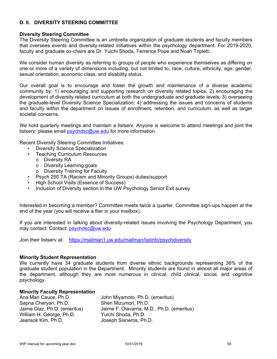## **D. II. DIVERSITY STEERING COMMITTEE**

### **Diversity Steering Committee**

The Diversity Steering Committee is an umbrella organization of graduate students and faculty members that oversees events and diversity-related initiatives within the psychology department. For 2019-2020, faculty and graduate co-chairs are Dr. Yuichi Shoda, Terrence Pope and Noah Triplett.

We consider human diversity as referring to groups of people who experience themselves as differing on one or more of a variety of dimensions including, but not limited to, race, culture, ethnicity, age, gender, sexual orientation, economic class, and disability status.

Our overall goal is to encourage and foster the growth and maintenance of a diverse academic community by: 1) encouraging and supporting research on diversity related topics; 2) encouraging the development of diversity related curriculum at both the undergraduate and graduate levels; 3) overseeing the graduate-level Diversity Science Specialization; 4) addressing the issues and concerns of students and faculty within the department on issues of enrollment, retention, and curriculum, as well as larger societal concerns.

We hold quarterly meetings and maintain a listserv. Anyone is welcome to attend meetings and joint the listserv; please email psychdsc@uw.edu for more information.

Recent Diversity Steering Committee Initiatives:

- Diversity Science Specialization
- Teaching Curriculum Resources
	- o Diversity RA
	- o Diversity Learning goals
	- o Diversity Training for Faculty
	- Psych 250 TA (Racism and Minority Groups) duties/support
- High School Visits (Essence of Success)
- Inclusion of Diversity section in the UW Psychology Senior Exit survey

Interested in becoming a member? Committee meets twice a quarter. Committee sign-ups happen at the end of the year (you will receive a flier in your mailbox).

If you are interested in talking about diversity-related issues involving the Psychology Department, you may contact: Contact: psychdsc@uw.edu

Join their listserv at: https://mailman1.uw.edu/mailman/listinfo/psychdiversity

### **Minority Student Representation**

We currently have 34 graduate students from diverse ethnic backgrounds representing 36% of the graduate student population in the Department. Minority students are found in almost all major areas of the department, although they are most numerous in clinical, child clinical, social, and cognitive psychology.

### **Minority Faculty Representation**

| Ana Mari Cauce, Ph.D.        | John Miyamoto, Ph.D. (emeritus)            |
|------------------------------|--------------------------------------------|
| Sapna Cheryan, Ph.D.         | Sheri Mizumori, Ph.D.                      |
| Jaime Diaz, Ph.D. (emeritus) | Jaime F. Olavarria, M.D., Ph.D. (emeritus) |
| William H. George, Ph.D.     | Yuichi Shoda, Ph.D.                        |
| Jeansok Kim, Ph.D.           | Joseph Sisneros, Ph.D.                     |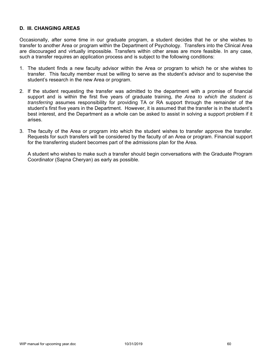## **D. III. CHANGING AREAS**

Occasionally, after some time in our graduate program, a student decides that he or she wishes to transfer to another Area or program within the Department of Psychology. Transfers into the Clinical Area are discouraged and virtually impossible. Transfers within other areas are more feasible. In any case, such a transfer requires an application process and is subject to the following conditions:

- 1. The student finds a new faculty advisor within the Area or program to which he or she wishes to transfer. This faculty member must be willing to serve as the student's advisor and to supervise the student's research in the new Area or program.
- 2. If the student requesting the transfer was admitted to the department with a promise of financial support and is within the first five years of graduate training, *the Area to which the student is transferring* assumes responsibility for providing TA or RA support through the remainder of the student's first five years in the Department. However, it is assumed that the transfer is in the student's best interest, and the Department as a whole can be asked to assist in solving a support problem if it arises.
- 3. The faculty of the Area or program into which the student wishes to transfer approve the transfer. Requests for such transfers will be considered by the faculty of an Area or program. Financial support for the transferring student becomes part of the admissions plan for the Area.

 A student who wishes to make such a transfer should begin conversations with the Graduate Program Coordinator (Sapna Cheryan) as early as possible.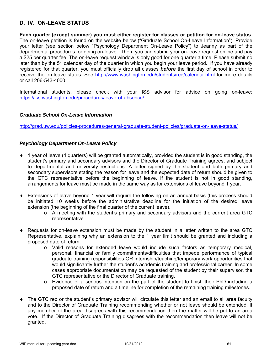# **D. IV. ON-LEAVE STATUS**

**Each quarter (except summer) you must either register for classes or petition for on-leave status.** The on-leave petition is found on the website below ("Graduate School On-Leave Information"). Provide your letter (see section below "Psychology Department On-Leave Policy") to Jeanny as part of the departmental procedures for going on-leave. Then, you can submit your on-leave request online and pay a \$25 per quarter fee. The on-leave request window is only good for one quarter a time. Please submit no later than by the  $5<sup>th</sup>$  calendar day of the quarter in which you begin your leave period. If you have already registered for that quarter, you must officially drop all classes *before* the first day of school in order to receive the on-leave status. See http://www.washington.edu/students/reg/calendar.html for more details or call 206-543-4000.

International students, please check with your ISS advisor for advice on going on-leave: https://iss.washington.edu/procedures/leave-of-absence/

### *Graduate School On-Leave Information*

http://grad.uw.edu/policies-procedures/general-graduate-student-policies/graduate-on-leave-status/

### *Psychology Department On-Leave Policy*

- $\bullet$  1 year of leave (4 quarters) will be granted automatically, provided the student is in good standing, the student's primary and secondary advisors and the Director of Graduate Training agrees, and subject to departmental and university restrictions. A letter signed by the student and both primary and secondary supervisors stating the reason for leave and the expected date of return should be given to the GTC representative before the beginning of leave. If the student is not in good standing, arrangements for leave must be made in the same way as for extensions of leave beyond 1 year.
- Extensions of leave beyond 1 year will require the following on an annual basis (this process should be initiated 10 weeks before the administrative deadline for the initiation of the desired leave extension (the beginning of the final quarter of the current leave).
	- o A meeting with the student's primary and secondary advisors and the current area GTC representative.
- Requests for on-leave extension must be made by the student in a letter written to the area GTC Representative, explaining why an extension to the 1 year limit should be granted and including a proposed date of return.
	- o Valid reasons for extended leave would include such factors as temporary medical, personal, financial or family commitments/difficulties that impede performance of typical graduate training responsibilities OR internship/teaching/temporary work opportunities that would significantly further the student's academic training and professional career. In some cases appropriate documentation may be requested of the student by their supervisor, the GTC representative or the Director of Graduate training.
	- o Evidence of a serious intention on the part of the student to finish their PhD including a proposed date of return and a timeline for completion of the remaining training milestones.
- The GTC rep or the student's primary advisor will circulate this letter and an email to all area faculty and to the Director of Graduate Training recommending whether or not leave should be extended. If any member of the area disagrees with this recommendation then the matter will be put to an area vote. If the Director of Graduate Training disagrees with the recommendation then leave will not be granted.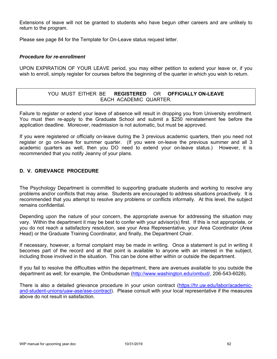Extensions of leave will not be granted to students who have begun other careers and are unlikely to return to the program.

Please see page 84 for the Template for On-Leave status request letter.

### *Procedure for re-enrollment*

UPON EXPIRATION OF YOUR LEAVE period, you may either petition to extend your leave or, if you wish to enroll, simply register for courses before the beginning of the quarter in which you wish to return.

# YOU MUST EITHER BE **REGISTERED** OR **OFFICIALLY ON-LEAVE** EACH ACADEMIC QUARTER.

Failure to register or extend your leave of absence will result in dropping you from University enrollment. You must then re-apply to the Graduate School and submit a \$250 reinstatement fee before the application deadline. Moreover, readmission is not automatic, but must be approved.

If you were registered or officially on-leave during the 3 previous academic quarters, then you need not register or go on-leave for summer quarter. (If you were on-leave the previous summer and all 3 academic quarters as well, then you DO need to extend your on-leave status.) However, it is recommended that you notify Jeanny of your plans.

## **D. V. GRIEVANCE PROCEDURE**

The Psychology Department is committed to supporting graduate students and working to resolve any problems and/or conflicts that may arise. Students are encouraged to address situations proactively. It is recommended that you attempt to resolve any problems or conflicts informally. At this level, the subject remains confidential.

Depending upon the nature of your concern, the appropriate avenue for addressing the situation may vary. Within the department it may be best to confer with your advisor(s) first. If this is not appropriate, or you do not reach a satisfactory resolution, see your Area Representative, your Area Coordinator (Area Head) or the Graduate Training Coordinator, and finally, the Department Chair.

If necessary, however, a formal complaint may be made in writing. Once a statement is put in writing it becomes part of the record and at that point is available to anyone with an interest in the subject, including those involved in the situation. This can be done either within or outside the department.

If you fail to resolve the difficulties within the department, there are avenues available to you outside the department as well; for example, the Ombudsman (http://www.washington.edu/ombud/, 206-543-6028).

There is also a detailed grievance procedure in your union contract (https://hr.uw.edu/labor/academicand-student-unions/uaw-ase/ase-contract). Please consult with your local representative if the measures above do not result in satisfaction.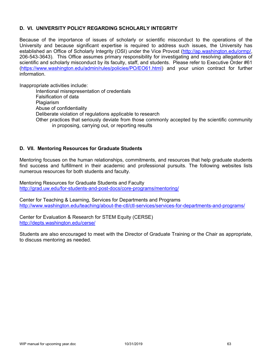# **D. VI. UNIVERSITY POLICY REGARDING SCHOLARLY INTEGRITY**

Because of the importance of issues of scholarly or scientific misconduct to the operations of the University and because significant expertise is required to address such issues, the University has established an Office of Scholarly Integrity (OSI) under the Vice Provost (http://ap.washington.edu/ormp/, 206-543-3643). This Office assumes primary responsibility for investigating and resolving allegations of scientific and scholarly misconduct by its faculty, staff, and students. Please refer to Executive Order #61 (https://www.washington.edu/admin/rules/policies/PO/EO61.html) and your union contract for further information.

Inappropriate activities include:

Intentional misrepresentation of credentials Falsification of data Plagiarism Abuse of confidentiality Deliberate violation of regulations applicable to research Other practices that seriously deviate from those commonly accepted by the scientific community in proposing, carrying out, or reporting results

## **D. VII. Mentoring Resources for Graduate Students**

Mentoring focuses on the human relationships, commitments, and resources that help graduate students find success and fulfillment in their academic and professional pursuits. The following websites lists numerous resources for both students and faculty.

Mentoring Resources for Graduate Students and Faculty http://grad.uw.edu/for-students-and-post-docs/core-programs/mentoring/

Center for Teaching & Learning, Services for Departments and Programs http://www.washington.edu/teaching/about-the-ctl/ctl-services/services-for-departments-and-programs/

Center for Evaluation & Research for STEM Equity (CERSE) http://depts.washington.edu/cerse/

Students are also encouraged to meet with the Director of Graduate Training or the Chair as appropriate, to discuss mentoring as needed.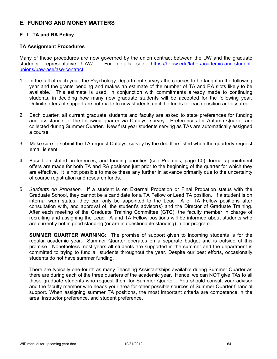# **E. FUNDING AND MONEY MATTERS**

# **E. I. TA and RA Policy**

## **TA Assignment Procedures**

Many of these procedures are now governed by the union contract between the UW and the graduate students' representative UAW. For details see: https://hr.uw.edu/labor/academic-and-studentunions/uaw-ase/ase-contract

- 1. In the fall of each year, the Psychology Department surveys the courses to be taught in the following year and the grants pending and makes an estimate of the number of TA and RA slots likely to be available. This estimate is used, in conjunction with commitments already made to continuing students, in deciding how many new graduate students will be accepted for the following year. Definite offers of support are not made to new students until the funds for each position are assured.
- 2. Each quarter, all current graduate students and faculty are asked to state preferences for funding and assistance for the following quarter via Catalyst survey. Preferences for Autumn Quarter are collected during Summer Quarter. New first year students serving as TAs are automatically assigned a course.
- 3. Make sure to submit the TA request Catalyst survey by the deadline listed when the quarterly request email is sent.
- 4. Based on stated preferences, and funding priorities (see Priorities, page 60), formal appointment offers are made for both TA and RA positions just prior to the beginning of the quarter for which they are effective. It is not possible to make these any further in advance primarily due to the uncertainty of course registration and research funds.
- 5. *Students on Probation.* If a student is on External Probation or Final Probation status with the Graduate School, they cannot be a candidate for a TA Fellow or Lead TA position. If a student is on internal warn status, they can only be appointed to the Lead TA or TA Fellow positions after consultation with, and approval of, the student's advisor(s) and the Director of Graduate Training. After each meeting of the Graduate Training Committee (GTC), the faculty member in charge of recruiting and assigning the Lead TA and TA Fellow positions will be informed about students who are currently not in good standing (or are in questionable standing) in our program.

**SUMMER QUARTER WARNING**: The promise of support given to incoming students is for the regular academic year. Summer Quarter operates on a separate budget and is outside of this promise. Nonetheless most years all students are supported in the summer and the department is committed to trying to fund all students throughout the year. Despite our best efforts, occasionally students do not have summer funding.

There are typically one-fourth as many Teaching Assistantships available during Summer Quarter as there are during each of the three quarters of the academic year. Hence, we can NOT give TAs to all those graduate students who request them for Summer Quarter. You should consult your advisor and the faculty member who heads your area for other possible sources of Summer Quarter financial support. When assigning summer TA positions, the most important criteria are competence in the area, instructor preference, and student preference.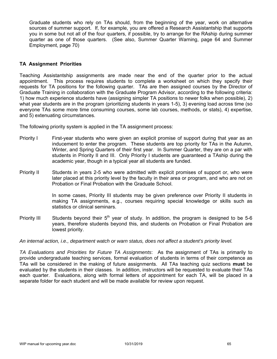Graduate students who rely on TAs should, from the beginning of the year, work on alternative sources of summer support. If, for example, you are offered a Research Assistantship that supports you in some but not all of the four quarters, if possible, try to arrange for the RAship during summer quarter as one of those quarters. (See also, Summer Quarter Warning, page 64 and Summer Employment, page 70)

### **TA Assignment Priorities**

Teaching Assistantship assignments are made near the end of the quarter prior to the actual appointment. This process requires students to complete a worksheet on which they specify their requests for TA positions for the following quarter. TAs are then assigned courses by the Director of Graduate Training in collaboration with the Graduate Program Advisor, according to the following criteria: 1) how much experience students have (assigning simpler TA positions to newer folks when possible), 2) what year students are in the program (prioritizing students in years 1-5), 3) evening load across time (so everyone TAs some more time consuming courses, some lab courses, methods, or stats), 4) expertise, and 5) extenuating circumstances.

The following priority system is applied in the TA assignment process:

- Priority I First-year students who were given an explicit promise of support during that year as an inducement to enter the program. These students are top priority for TAs in the Autumn, Winter, and Spring Quarters of their first year. In Summer Quarter, they are on a par with students in Priority II and III. Only Priority I students are guaranteed a TAship during the academic year, though in a typical year all students are funded.
- Priority II Students in years 2-5 who were admitted with explicit promises of support or, who were later placed at this priority level by the faculty in their area or program, and who are not on Probation or Final Probation with the Graduate School.

In some cases, Priority III students may be given preference over Priority II students in making TA assignments, e.g., courses requiring special knowledge or skills such as statistics or clinical seminars.

Priority III Students beyond their  $5<sup>th</sup>$  year of study. In addition, the program is designed to be 5-6 years, therefore students beyond this, and students on Probation or Final Probation are lowest priority.

*An internal action, i.e., department watch or warn status, does not affect a student's priority level.* 

*TA Evaluations and Priorities for Future TA Assignments*: As the assignment of TAs is primarily to provide undergraduate teaching services, formal evaluation of students in terms of their competence as TAs will be considered in the making of future assignments. All TAs teaching quiz sections **must** be evaluated by the students in their classes. In addition, instructors will be requested to evaluate their TAs each quarter. Evaluations, along with formal letters of appointment for each TA, will be placed in a separate folder for each student and will be made available for review upon request.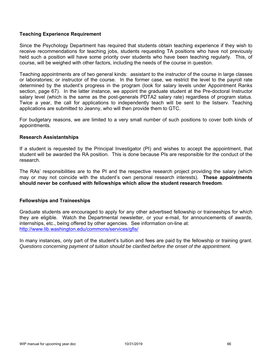## **Teaching Experience Requirement**

Since the Psychology Department has required that students obtain teaching experience if they wish to receive recommendations for teaching jobs, students requesting TA positions who have not previously held such a position will have some priority over students who have been teaching regularly. This, of course, will be weighed with other factors, including the needs of the course in question.

Teaching appointments are of two general kinds: assistant to the instructor of the course in large classes or laboratories; or instructor of the course. In the former case, we restrict the level to the payroll rate determined by the student's progress in the program (look for salary levels under Appointment Ranks section, page 67). In the latter instance, we appoint the graduate student at the Pre-doctoral Instructor salary level (which is the same as the post-generals PDTA2 salary rate) regardless of program status. Twice a year, the call for applications to independently teach will be sent to the listserv. Teaching applications are submitted to Jeanny, who will then provide them to GTC.

For budgetary reasons, we are limited to a very small number of such positions to cover both kinds of appointments.

#### **Research Assistantships**

If a student is requested by the Principal Investigator (PI) and wishes to accept the appointment, that student will be awarded the RA position. This is done because PIs are responsible for the conduct of the research.

The RAs' responsibilities are to the PI and the respective research project providing the salary (which may or may not coincide with the student's own personal research interests). **These appointments should never be confused with fellowships which allow the student research freedom**.

### **Fellowships and Traineeships**

Graduate students are encouraged to apply for any other advertised fellowship or traineeships for which they are eligible. Watch the Departmental newsletter, or your e-mail, for announcements of awards, internships, etc., being offered by other agencies. See information on-line at: http://www.lib.washington.edu/commons/services/gfis/

In many instances, only part of the student's tuition and fees are paid by the fellowship or training grant. *Questions concerning payment of tuition should be clarified before the onset of the appointment.*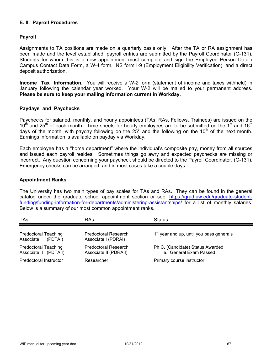## **E. II. Payroll Procedures**

### **Payroll**

Assignments to TA positions are made on a quarterly basis only. After the TA or RA assignment has been made and the level established, payroll entries are submitted by the Payroll Coordinator (G-131). Students for whom this is a new appointment must complete and sign the Employee Person Data / Campus Contact Data Form, a W-4 form, INS form I-9 (Employment Eligibility Verification), and a direct deposit authorization.

**Income Tax Information.** You will receive a W-2 form (statement of income and taxes withheld) in January following the calendar year worked. Your W-2 will be mailed to your permanent address. **Please be sure to keep your mailing information current in Workday.**

### **Paydays and Paychecks**

Paychecks for salaried, monthly, and hourly appointees (TAs, RAs, Fellows, Trainees) are issued on the  $10<sup>th</sup>$  and 25<sup>th</sup> of each month. Time sheets for hourly employees are to be submitted on the 1<sup>st</sup> and 16<sup>th</sup> days of the month, with payday following on the  $25<sup>th</sup>$  and the following on the 10<sup>th</sup> of the next month. Earnings information is available on payday via Workday.

Each employee has a "home department" where the individual's composite pay, money from all sources and issued each payroll resides. Sometimes things go awry and expected paychecks are missing or incorrect. Any question concerning your paycheck should be directed to the Payroll Coordinator, (G-131). Emergency checks can be arranged, and in most cases take a couple days.

#### **Appointment Ranks**

The University has two main types of pay scales for TAs and RAs. They can be found in the general catalog under the graduate school appointment section or see: https://grad.uw.edu/graduate-studentfunding/funding-information-for-departments/administering-assistantships/ for a list of monthly salaries. Below is a summary of our most common appointment ranks.

| TAs                                                  | RAs                                                  | <b>Status</b>                                                 |
|------------------------------------------------------|------------------------------------------------------|---------------------------------------------------------------|
| <b>Predoctoral Teaching</b><br>Associate   (PDTAI)   | <b>Predoctoral Research</b><br>Associate I (PDRAI)   | 1 <sup>st</sup> year and up, until you pass generals          |
| <b>Predoctoral Teaching</b><br>Associate II (PDTAII) | <b>Predoctoral Research</b><br>Associate II (PDRAII) | Ph.C. (Candidate) Status Awarded<br>i.e., General Exam Passed |
| <b>Predoctoral Instructor</b>                        | Researcher                                           | Primary course instructor                                     |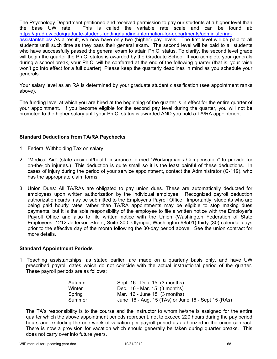The Psychology Department petitioned and received permission to pay our students at a higher level than the base UW rate. This is called the variable rate scale and can be found at: https://grad.uw.edu/graduate-student-funding/funding-information-for-departments/administeringassistantships/ As a result, we now have only two (higher) pay levels. The first level will be paid to all students until such time as they pass their general exam. The second level will be paid to all students who have successfully passed the general exam to attain Ph.C. status. To clarify, the second level grade will begin the quarter the Ph.C. status is awarded by the Graduate School. If you complete your generals during a school break, your Ph.C. will be conferred at the end of the following quarter (that is, your raise won't go into effect for a full quarter). Please keep the quarterly deadlines in mind as you schedule your generals.

Your salary level as an RA is determined by your graduate student classification (see appointment ranks above).

The funding level at which you are hired at the beginning of the quarter is in effect for the entire quarter of your appointment. If you become eligible for the second pay level during the quarter, you will not be promoted to the higher salary until your Ph.C. status is awarded AND you hold a TA/RA appointment.

### **Standard Deductions from TA/RA Paychecks**

- 1. Federal Withholding Tax on salary
- 2. "Medical Aid" (state accident/health insurance termed "Workingman's Compensation" to provide for on-the-job injuries.) This deduction is quite small so it is the least painful of these deductions. In cases of injury during the period of your service appointment, contact the Administrator (G-119), who has the appropriate claim forms.
- 3. Union Dues: All TA/RAs are obligated to pay union dues. These are automatically deducted for employees upon written authorization by the individual employee. Recognized payroll deduction authorization cards may be submitted to the Employer's Payroll Office. Importantly, students who are being paid hourly rates rather than TA/RA appointments may be eligible to stop making dues payments, but it is the sole responsibility of the employee to file a written notice with the Employer's Payroll Office and also to file written notice with the Union (Washington Federation of State Employees, 1212 Jefferson Street, Suite 300, Olympia, Washington 98501) thirty (30) calendar days prior to the effective day of the month following the 30-day period above. See the union contract for more details.

### **Standard Appointment Periods**

1. Teaching assistantships, as stated earlier, are made on a quarterly basis only, and have UW prescribed payroll dates which do not coincide with the actual instructional period of the quarter. These payroll periods are as follows:

| Sept. 16 - Dec. 15 (3 months)                      |
|----------------------------------------------------|
| Dec. 16 - Mar. 15 (3 months)                       |
| Mar. $16$ - June $15$ (3 months)                   |
| June 16 - Aug. 15 (TAs) or June 16 - Sept 15 (RAs) |
|                                                    |

The TA's responsibility is to the course and the instructor to whom he/she is assigned for the entire quarter which the above appointment periods represent, not to exceed 220 hours during the pay period hours and excluding the one week of vacation per payroll period as authorized in the union contract. There is now a provision for vacation which should generally be taken during quarter breaks. This does not carry over into future years.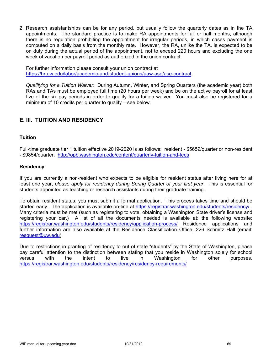2. Research assistantships can be for any period, but usually follow the quarterly dates as in the TA appointments. The standard practice is to make RA appointments for full or half months, although there is no regulation prohibiting the appointment for irregular periods, in which cases payment is computed on a daily basis from the monthly rate. However, the RA, unlike the TA, is expected to be on duty during the actual period of the appointment, not to exceed 220 hours and excluding the one week of vacation per payroll period as authorized in the union contract.

For further information please consult your union contract at https://hr.uw.edu/labor/academic-and-student-unions/uaw-ase/ase-contract

*Qualifying for a Tuition Waiver*: During Autumn, Winter, and Spring Quarters (the academic year) both RAs and TAs must be employed full time (20 hours per week) and be on the active payroll for at least five of the six pay periods in order to qualify for a tuition waiver. You must also be registered for a minimum of 10 credits per quarter to qualify – see below.

# **E. III. TUITION AND RESIDENCY**

#### **Tuition**

Full-time graduate tier 1 tuition effective 2019-2020 is as follows: resident - \$5659/quarter or non-resident - \$9854/quarter. http://opb.washington.edu/content/quarterly-tuition-and-fees

### **Residency**

If you are currently a non-resident who expects to be eligible for resident status after living here for at least one year, *please apply for residency during Spring Quarter of your first year*. This is essential for students appointed as teaching or research assistants during their graduate training.

To obtain resident status, you must submit a formal application. This process takes time and should be started early. The application is available on-line at https://registrar.washington.edu/students/residency/ . Many criteria must be met (such as registering to vote, obtaining a Washington State driver's license and registering your car.) A list of all the documents needed is available at: the following website: https://registrar.washington.edu/students/residency/application-process/ Residence applications and further information are also available at the Residence Classification Office, 226 Schmitz Hall (email: resquest@uw.edu).

Due to restrictions in granting of residency to out of state "students" by the State of Washington, please pay careful attention to the distinction between stating that you reside in Washington solely for school versus with the intent to live in Washington for other purposes. https://registrar.washington.edu/students/residency/residency-requirements/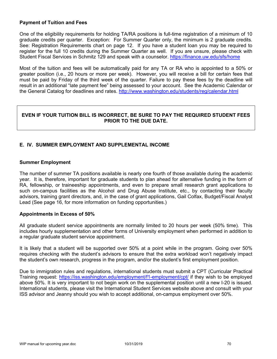### **Payment of Tuition and Fees**

One of the eligibility requirements for holding TA/RA positions is full-time registration of a minimum of 10 graduate credits per quarter. Exception: For Summer Quarter only, the minimum is 2 graduate credits. See: Registration Requirements chart on page 12. If you have a student loan you may be required to register for the full 10 credits during the Summer Quarter as well. If you are unsure, please check with Student Fiscal Services in Schmitz 129 and speak with a counselor. https://finance.uw.edu/sfs/home

Most of the tuition and fees will be automatically paid for any TA or RA who is appointed to a 50% or greater position (i.e., 20 hours or more per week). However, you will receive a bill for certain fees that must be paid by Friday of the third week of the quarter. Failure to pay these fees by the deadline will result in an additional "late payment fee" being assessed to your account. See the Academic Calendar or the General Catalog for deadlines and rates. http://www.washington.edu/students/reg/calendar.html

## **EVEN IF YOUR TUITION BILL IS INCORRECT, BE SURE TO PAY THE REQUIRED STUDENT FEES PRIOR TO THE DUE DATE.**

# **E. IV. SUMMER EMPLOYMENT AND SUPPLEMENTAL INCOME**

### **Summer Employment**

The number of summer TA positions available is nearly one fourth of those available during the academic year. It is, therefore, important for graduate students to plan ahead for alternative funding in the form of RA, fellowship, or traineeship appointments, and even to prepare small research grant applications to such on-campus facilities as the Alcohol and Drug Abuse Institute, etc., by contacting their faculty advisors, training grant directors, and, in the case of grant applications, Gail Colfax, Budget/Fiscal Analyst Lead (See page 16, for more information on funding opportunities.)

### **Appointments in Excess of 50%**

All graduate student service appointments are normally limited to 20 hours per week (50% time). This includes hourly supplementation and other forms of University employment when performed in addition to a regular graduate student service appointment.

It is likely that a student will be supported over 50% at a point while in the program. Going over 50% requires checking with the student's advisors to ensure that the extra workload won't negatively impact the student's own research, progress in the program, and/or the student's first employment position.

Due to immigration rules and regulations, international students must submit a CPT (Curricular Practical Training request: https://iss.washington.edu/employment/f1-employment/cpt/ if they wish to be employed above 50%. It is very important to not begin work on the supplemental position until a new I-20 is issued. International students, please visit the International Student Services website above and consult with your ISS advisor and Jeanny should you wish to accept additional, on-campus employment over 50%.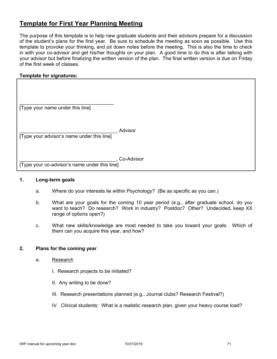# **Template for First Year Planning Meeting**

The purpose of this template is to help new graduate students and their advisors prepare for a discussion of the student's plans for the first year. Be sure to schedule the meeting as soon as possible. Use this template to provoke your thinking, and jot down notes before the meeting. This is also the time to check in with your co-advisor and get his/her thoughts on your plan. A good time to do this is after talking with your advisor but before finalizing the written version of the plan. The final written version is due on Friday of the first week of classes.

## **Template for signatures:**

| [Type your name under this line]              |            |
|-----------------------------------------------|------------|
|                                               |            |
| [Type your advisor's name under this line]    | Advisor    |
|                                               |            |
|                                               | Co-Advisor |
| [Type your co-advisor's name under this line] |            |

#### **1. Long-term goals**

- a. Where do your interests lie within Psychology? (Be as specific as you can.)
- b. What are your goals for the coming 10 year period (e.g., after graduate school, do you want to teach? Do research? Work in industry? Postdoc? Other? Undecided, keep XX range of options open?)
- c. What new skills/knowledge are most needed to take you toward your goals. Which of them can you acquire this year, and how?

### **2. Plans for the coming year**

- a. Research
	- I. Research projects to be initiated?
	- II. Any writing to be done?
	- III. Research presentations planned (e.g., Journal clubs? Research Festival?)
	- IV. Clinical students: What is a realistic research plan, given your heavy course load?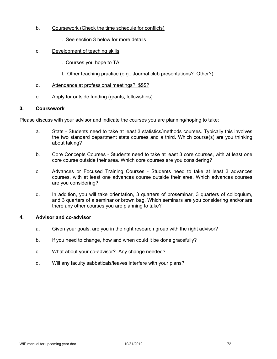- b. Coursework (Check the time schedule for conflicts)
	- I. See section 3 below for more details
- c. Development of teaching skills
	- I. Courses you hope to TA
	- II. Other teaching practice (e.g., Journal club presentations? Other?)
- d. Attendance at professional meetings? \$\$\$?
- e. Apply for outside funding (grants, fellowships)

## **3. Coursework**

Please discuss with your advisor and indicate the courses you are planning/hoping to take:

- a. Stats Students need to take at least 3 statistics/methods courses. Typically this involves the two standard department stats courses and a third. Which course(s) are you thinking about taking?
- b. Core Concepts Courses Students need to take at least 3 core courses, with at least one core course outside their area. Which core courses are you considering?
- c. Advances or Focused Training Courses Students need to take at least 3 advances courses, with at least one advances course outside their area. Which advances courses are you considering?
- d. In addition, you will take orientation, 3 quarters of proseminar, 3 quarters of colloquium, and 3 quarters of a seminar or brown bag. Which seminars are you considering and/or are there any other courses you are planning to take?

## **4. Advisor and co-advisor**

- a. Given your goals, are you in the right research group with the right advisor?
- b. If you need to change, how and when could it be done gracefully?
- c. What about your co-advisor? Any change needed?
- d. Will any faculty sabbaticals/leaves interfere with your plans?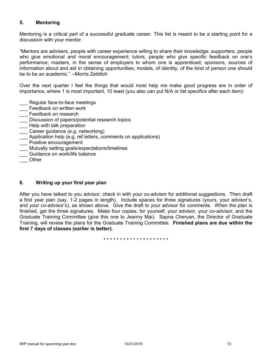## **5. Mentoring**

Mentoring is a critical part of a successful graduate career. This list is meant to be a starting point for a discussion with your mentor.

"Mentors are advisers, people with career experience willing to share their knowledge; supporters, people who give emotional and moral encouragement; tutors, people who give specific feedback on one's performance; masters, in the sense of employers to whom one is apprenticed; sponsors, sources of information about and aid in obtaining opportunities; models, of identity, of the kind of person one should be to be an academic." --Morris Zelditch

Over the next quarter I feel the things that would most help me make good progress are in order of importance, where 1 is most important, 10 least (you also can put N/A or list specifics after each item):

- Regular face-to-face meetings
- \_\_\_ Feedback on written work
- **\_\_\_** Feedback on research
- Discussion of papers/potential research topics
- Help with talk preparation
- \_\_\_ Career guidance (e.g. networking)
- Application help (e.g. ref letters, comments on applications)
- **\_\_\_** Positive encouragement
- \_\_\_ Mutually setting goals/expectations/timelines
- Guidance on work/life balance
- \_\_\_ Other

## **6. Writing up your first year plan**

After you have talked to you advisor, check in with your co-advisor for additional suggestions. Then draft a first year plan (say, 1-2 pages in length). Include spaces for three signatures (yours, your advisor's, and your co-advisor's), as shown above. Give the draft to your advisor for comments. When the plan is finished, get the three signatures. Make four copies; for yourself, your advisor, your co-advisor, and the Graduate Training Committee (give this one to Jeanny Mai). Sapna Cheryan, the Director of Graduate Training, will review the plans for the Graduate Training Committee. **Finished plans are due within the first 7 days of classes (earlier is better).**

\* \* \* \* \* \* \* \* \* \* \* \* \* \* \* \* \* \* \*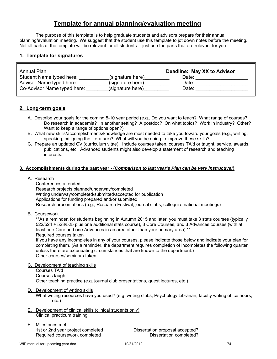## **Template for annual planning/evaluation meeting**

The purpose of this template is to help graduate students and advisors prepare for their annual planning/evaluation meeting. We suggest that the student use this template to jot down notes before the meeting. Not all parts of the template will be relevant for all students -- just use the parts that are relevant for you.

## **1. Template for signatures**

| Annual Plan                 |                  | Deadline: May XX to Advisor |
|-----------------------------|------------------|-----------------------------|
| Student Name typed here:    | (signature here) | Date:                       |
| Advisor Name typed here:    | (signature here) | Date:                       |
| Co-Advisor Name typed here: | (signature here) | Date:                       |

## **2. Long-term goals**

- A. Describe your goals for the coming 5-10 year period (e.g., Do you want to teach? What range of courses? Do research in academia? In another setting? A postdoc? On what topics? Work in industry? Other? Want to keep a range of options open?)
- B. What new skills/accomplishments/knowledge are most needed to take you toward your goals (e.g., writing, speaking, critiquing the literature)? What will you be doing to improve these skills?
- C. Prepare an updated CV (curriculum vitae). Include courses taken, courses TA'd or taught, service, awards, publications, etc. Advanced students might also develop a statement of research and teaching interests.

### **3. Accomplishments during the past year - (***Comparison to last year's Plan can be very instructive!***)**

### A. Research

 Conferences attended Research projects planned/underway/completed Writing underway/completed/submitted/accepted for publication Applications for funding prepared and/or submitted Research presentations (e.g., Research Festival; journal clubs; colloquia; national meetings)

B. Coursework

\*\*As a reminder, for students beginning in Autumn 2015 and later, you must take 3 stats courses (typically 522/524 + 523/525 plus one additional stats course), 3 Core Courses, and 3 Advances courses (with at least one Core and one Advances in an area other than your primary area).<sup>\*\*</sup> Required courses taken

 If you have any incompletes in any of your courses, please indicate those below and indicate your plan for completing them. (As a reminder, the department requires completion of incompletes the following quarter unless there are extenuating circumstances that are known to the department.) Other courses/seminars taken

#### C. Development of teaching skills

 Courses TA'd Courses taught Other teaching practice (e.g. journal club presentations, guest lectures, etc.)

D. Development of writing skills

What writing resources have you used? (e.g. writing clubs, Psychology Librarian, faculty writing office hours, etc.)

E. Development of clinical skills (clinical students only) Clinical practicum training

## F. Milestones met

Required coursework completed Dissertation completed?

1st or 2nd year project completed Dissertation proposal accepted?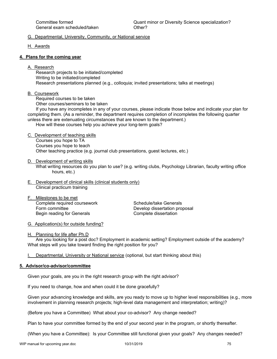#### G. Departmental, University, Community, or National service

H. Awards

#### **4. Plans for the coming year**

A. Research

 Research projects to be initiated/completed Writing to be initiated/completed Research presentations planned (e.g., colloquia; invited presentations; talks at meetings)

B. Coursework

Required courses to be taken

Other courses/seminars to be taken

 If you have any incompletes in any of your courses, please indicate those below and indicate your plan for completing them. (As a reminder, the department requires completion of incompletes the following quarter unless there are extenuating circumstances that are known to the department.)

How will these courses help you achieve your long-term goals?

C. Development of teaching skills

 Courses you hope to TA Courses you hope to teach Other teaching practice (e.g. journal club presentations, guest lectures, etc.)

#### D. Development of writing skills

 What writing resources do you plan to use? (e.g. writing clubs, Psychology Librarian, faculty writing office hours, etc.)

- E. Development of clinical skills (clinical students only) Clinical practicum training
- F. Milestones to be met Complete required coursework Schedule/take Generals Form committee **Develop dissertation proposal** Begin reading for Generals **Complete** dissertation

G. Application(s) for outside funding?

#### H. Planning for life after Ph.D

 Are you looking for a post doc? Employment in academic setting? Employment outside of the academy? What steps will you take toward finding the right position for you?

I. Departmental, University or National service (optional, but start thinking about this)

## **5. Advisor/co-advisor/committee**

Given your goals, are you in the right research group with the right advisor?

If you need to change, how and when could it be done gracefully?

Given your advancing knowledge and skills, are you ready to move up to higher level responsibilities (e.g., more involvement in planning research projects; high-level data management and interpretation; writing)?

(Before you have a Committee) What about your co-advisor? Any change needed?

Plan to have your committee formed by the end of your second year in the program, or shortly thereafter.

(When you have a Committee): Is your Committee still functional given your goals? Any changes needed?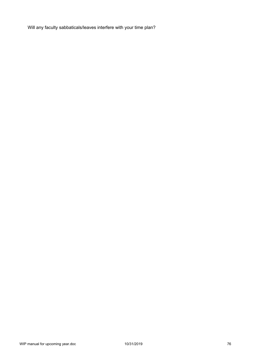Will any faculty sabbaticals/leaves interfere with your time plan?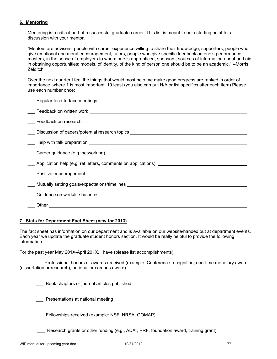## **6. Mentoring**

Mentoring is a critical part of a successful graduate career. This list is meant to be a starting point for a discussion with your mentor.

"Mentors are advisers, people with career experience willing to share their knowledge; supporters, people who give emotional and moral encouragement; tutors, people who give specific feedback on one's performance; masters, in the sense of employers to whom one is apprenticed; sponsors, sources of information about and aid in obtaining opportunities; models, of identity, of the kind of person one should be to be an academic." --Morris **Zelditch** 

Over the next quarter I feel the things that would most help me make good progress are ranked in order of importance, where 1 is most important, 10 least (you also can put N/A or list specifics after each item) Please use each number once:

| ___ Discussion of papers/potential research topics _____________________________                                                                                                                                               |
|--------------------------------------------------------------------------------------------------------------------------------------------------------------------------------------------------------------------------------|
|                                                                                                                                                                                                                                |
|                                                                                                                                                                                                                                |
|                                                                                                                                                                                                                                |
| Application help (e.g. ref letters, comments on applications) [100] Applications and Application help (e.g. ref letters, comments on applications) [100] Application help (e.g. ref letters, comments on applications) [100] A |
|                                                                                                                                                                                                                                |
| ____ Mutually setting goals/expectations/timelines _____________________________                                                                                                                                               |
|                                                                                                                                                                                                                                |
|                                                                                                                                                                                                                                |
|                                                                                                                                                                                                                                |

#### **7. Stats for Department Fact Sheet (new for 2013)**

The fact sheet has information on our department and is available on our website/handed out at department events. Each year we update the graduate student honors section. It would be really helpful to provide the following information:

For the past year May 201X-April 201X, I have (please list accomplishments):

 \_\_\_ Professional honors or awards received (example: Conference recognition, one-time monetary award (dissertation or research), national or campus award).

\_\_\_ Book chapters or journal articles published

Presentations at national meeting

Fellowships received (example: NSF, NRSA, GOMAP)

\_\_\_ Research grants or other funding (e.g., ADAI, RRF, foundation award, training grant)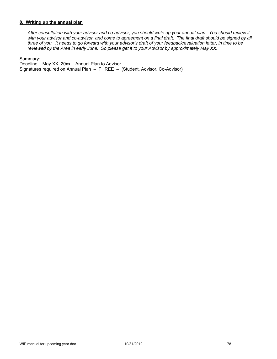### **8. Writing up the annual plan**

*After consultation with your advisor and co-advisor, you should write up your annual plan. You should review it*  with your advisor and co-advisor, and come to agreement on a final draft. The final draft should be signed by all *three of you. It needs to go forward with your advisor's draft of your feedback/evaluation letter, in time to be reviewed by the Area in early June. So please get it to your Advisor by approximately May XX.* 

Summary:

Deadline – May XX, 20xx – Annual Plan to Advisor Signatures required on Annual Plan – THREE – (Student, Advisor, Co-Advisor)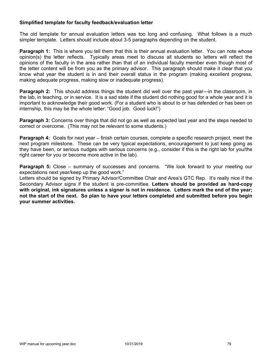## **Simplified template for faculty feedback/evaluation letter**

The old template for annual evaluation letters was too long and confusing. What follows is a much simpler template. Letters should include about 3-5 paragraphs depending on the student.

**Paragraph 1:** This is where you tell them that this is their annual evaluation letter. You can note whose opinion(s) the letter reflects. Typically areas meet to discuss all students so letters will reflect the opinions of the faculty in the area rather than that of an individual faculty member even though most of the letter content will be from you as the primary advisor. This paragraph should make it clear that you know what year the student is in and their overall status in the program (making excellent progress, making adequate progress, making slow or inadequate progress).

**Paragraph 2:** This should address things the student did well over the past year---in the classroom, in the lab, in teaching, or in service. It is a sad state if the student did nothing good for a whole year and it is important to acknowledge their good work. (For a student who is about to or has defended or has been on internship, this may be the whole letter: "Good job. Good luck!")

**Paragraph 3:** Concerns over things that did not go as well as expected last year and the steps needed to correct or overcome. (This may not be relevant to some students.)

**Paragraph 4:** Goals for next year – finish certain courses, complete a specific research project, meet the next program milestone. These can be very typical expectations, encouragement to just keep going as they have been, or serious nudges with serious concerns (e.g., consider if this is the right lab for you/the right career for you or become more active in the lab).

**Paragraph 5:** Close – summary of successes and concerns. "We look forward to your meeting our expectations next year/keep up the good work."

Letters should be signed by Primary Advisor/Committee Chair and Area's GTC Rep. It's really nice if the Secondary Advisor signs if the student is pre-committee. **Letters should be provided as hard-copy with original, ink signatures unless a signer is not in residence. Letters mark the end of the year; not the start of the next. So plan to have your letters completed and submitted before you begin your summer activities.**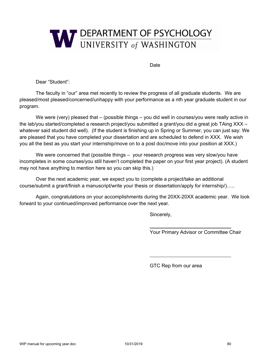

Date

Dear "Student":

The faculty in "our" area met recently to review the progress of all graduate students. We are pleased/most pleased/concerned/unhappy with your performance as a nth year graduate student in our program.

We were (very) pleased that – (possible things – you did well in courses/you were really active in the lab/you started/completed a research project/you submitted a grant/you did a great job TAing XXX – whatever said student did well). (If the student is finishing up in Spring or Summer, you can just say: We are pleased that you have completed your dissertation and are scheduled to defend in XXX. We wish you all the best as you start your internship/move on to a post doc/move into your position at XXX.)

We were concerned that (possible things – your research progress was very slow/you have incompletes in some courses/you still haven't completed the paper on your first year project). (A student may not have anything to mention here so you can skip this.)

Over the next academic year, we expect you to (complete a project/take an additional course/submit a grant/finish a manuscript/write your thesis or dissertation/apply for internship/)…..

Again, congratulations on your accomplishments during the 20XX-20XX academic year. We look forward to your continued/improved performance over the next year.

Sincerely,

Your Primary Advisor or Committee Chair

GTC Rep from our area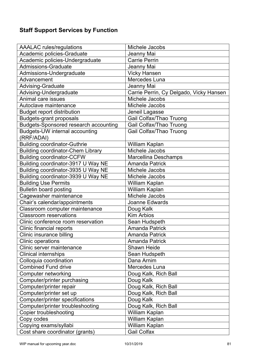# **Staff Support Services by Function**

| <b>AAALAC</b> rules/regulations              | Michele Jacobs                          |
|----------------------------------------------|-----------------------------------------|
| Academic policies-Graduate                   | Jeanny Mai                              |
| Academic policies-Undergraduate              | <b>Carrie Perrin</b>                    |
| <b>Admissions-Graduate</b>                   | Jeanny Mai                              |
| Admissions-Undergraduate                     | <b>Vicky Hansen</b>                     |
| Advancement                                  | Mercedes Luna                           |
| <b>Advising-Graduate</b>                     | Jeanny Mai                              |
| Advising-Undergraduate                       | Carrie Perrin, Cy Delgado, Vicky Hansen |
| Animal care issues                           | Michele Jacobs                          |
| Autoclave maintenance                        | Michele Jacobs                          |
| <b>Budget report distribution</b>            | Jeneil Lagasse                          |
| <b>Budgets-grant proposals</b>               | Gail Colfax/Thao Truong                 |
| <b>Budgets-Sponsored research accounting</b> | <b>Gail Colfax/Thao Truong</b>          |
| Budgets-UW internal accounting               | Gail Colfax/Thao Truong                 |
| (RRF/ADAI)                                   |                                         |
| <b>Building coordinator-Guthrie</b>          | William Kaplan                          |
| <b>Building coordinator-Chem Library</b>     | Michele Jacobs                          |
| <b>Building coordinator-CCFW</b>             | <b>Marcellina Deschamps</b>             |
| Building coordinator-3917 U Way NE           | <b>Amanda Patrick</b>                   |
| Building coordinator-3935 U Way NE           | Michele Jacobs                          |
| Building coordinator-3939 U Way NE           | Michele Jacobs                          |
| <b>Building Use Permits</b>                  | William Kaplan                          |
| <b>Bulletin board posting</b>                | William Kaplan                          |
| Cagewasher maintenance                       | Michele Jacobs                          |
| Chair's calendar/appointments                | <b>Joanne Edwards</b>                   |
| Classroom computer maintenance               | Doug Kalk                               |
| <b>Classroom reservations</b>                | <b>Kim Arbios</b>                       |
| Clinic conference room reservation           | Sean Hudspeth                           |
| Clinic financial reports                     | <b>Amanda Patrick</b>                   |
| Clinic insurance billing                     | <b>Amanda Patrick</b>                   |
| Clinic operations                            | <b>Amanda Patrick</b>                   |
| Clinic server maintenance                    | Shawn Heide                             |
| <b>Clinical internships</b>                  | Sean Hudspeth                           |
| Colloquia coordination                       | Dana Arnim                              |
| <b>Combined Fund drive</b>                   | Mercedes Luna                           |
| <b>Computer networking</b>                   | Doug Kalk, Rich Ball                    |
| Computer/printer purchasing                  | Doug Kalk                               |
| Computer/printer repair                      | Doug Kalk, Rich Ball                    |
| Computer/printer set up                      | Doug Kalk, Rich Ball                    |
| <b>Computer/printer specifications</b>       | Doug Kalk                               |
| Computer/printer troubleshooting             | Doug Kalk, Rich Ball                    |
| <b>Copier troubleshooting</b>                | William Kaplan                          |
| Copy codes                                   | William Kaplan                          |
| Copying exams/syllabi                        | William Kaplan                          |
| Cost share coordinator (grants)              | <b>Gail Colfax</b>                      |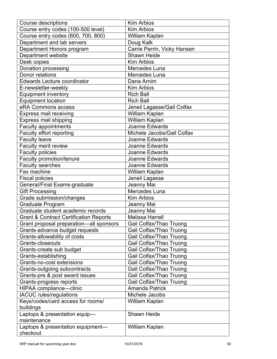| <b>Course descriptions</b>                        | <b>Kim Arbios</b>              |
|---------------------------------------------------|--------------------------------|
| Course entry codes (100-500 level)                | <b>Kim Arbios</b>              |
| Course entry codes (600, 700, 800)                | William Kaplan                 |
| Department and lab servers                        | Doug Kalk                      |
| Department Honors program                         | Carrie Perrin, Vicky Hansen    |
| Department website                                | <b>Shawn Heide</b>             |
| Desk copies                                       | <b>Kim Arbios</b>              |
| Donation processing                               | Mercedes Luna                  |
| Donor relations                                   | Mercedes Luna                  |
| <b>Edwards Lecture coordinator</b>                | Dana Arnim                     |
| E-newsletter-weekly                               | <b>Kim Arbios</b>              |
| <b>Equipment inventory</b>                        | <b>Rich Ball</b>               |
| <b>Equipment location</b>                         | <b>Rich Ball</b>               |
| eRA Commons access                                | Jeneil Lagasse/Gail Colfax     |
| <b>Express mail receiving</b>                     | William Kaplan                 |
| <b>Express mail shipping</b>                      | William Kaplan                 |
| <b>Faculty appointments</b>                       | Joanne Edwards                 |
| Faculty effort reporting                          | Michele Jacobs/Gail Colfax     |
| <b>Faculty leave</b>                              | Joanne Edwards                 |
| Faculty merit review                              | Joanne Edwards                 |
| <b>Faculty policies</b>                           | Joanne Edwards                 |
| Faculty promotion/tenure                          | Joanne Edwards                 |
| Faculty searches                                  | Joanne Edwards                 |
| Fax machine                                       | William Kaplan                 |
| <b>Fiscal policies</b>                            | Jeneil Lagasse                 |
| General/Final Exams-graduate                      | Jeanny Mai                     |
| <b>Gift Processing</b>                            | Mercedes Luna                  |
| Grade submission/changes                          | <b>Kim Arbios</b>              |
| <b>Graduate Program</b>                           | Jeanny Mai                     |
| Graduate student academic records                 | Jeanny Mai                     |
| <b>Grant &amp; Contract Certification Reports</b> | <b>Melissa Harrell</b>         |
| Grant proposal preparation-all sponsors           | <b>Gail Colfax/Thao Truong</b> |
| Grants-advance budget requests                    | Gail Colfax/Thao Truong        |
| Grants-allowability of costs                      | Gail Colfax/Thao Truong        |
| Grants-closeouts                                  | Gail Colfax/Thao Truong        |
| Grants-create sub budget                          | Gail Colfax/Thao Truong        |
|                                                   | Gail Colfax/Thao Truong        |
| Grants-establishing<br>Grants-no-cost extensions  | Gail Colfax/Thao Truong        |
|                                                   | Gail Colfax/Thao Truong        |
| Grants-outgoing subcontracts                      |                                |
| Grants-pre & post award issues                    | Gail Colfax/Thao Truong        |
| Grants-progress reports                           | Gail Colfax/Thao Truong        |
| HIPAA compliance-clinic                           | <b>Amanda Patrick</b>          |
| <b>IACUC</b> rules/regulations                    | Michele Jacobs                 |
| Keys/codes/card access for rooms/<br>buildings    | William Kaplan                 |
| Laptops & presentation equip-                     | <b>Shawn Heide</b>             |
| maintenance                                       |                                |
| Laptops & presentation equipment-                 | William Kaplan                 |
| checkout                                          |                                |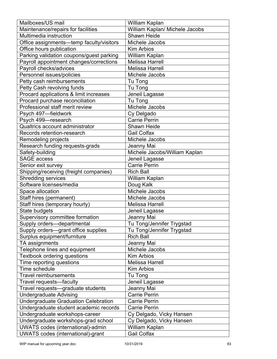| Mailboxes/US mail                        | William Kaplan                 |
|------------------------------------------|--------------------------------|
| Maintenance/repairs for facilities       | William Kaplan/ Michele Jacobs |
| Multimedia instruction                   | <b>Shawn Heide</b>             |
| Office assignments-temp faculty/visitors | Michele Jacobs                 |
| Office hours publication                 | <b>Kim Arbios</b>              |
| Parking validation coupons/guest parking | William Kaplan                 |
| Payroll appointment changes/corrections  | <b>Melissa Harrell</b>         |
| Payroll checks/advices                   | <b>Melissa Harrell</b>         |
| Personnel issues/policies                | Michele Jacobs                 |
| Petty cash reimbursements                | Tu Tong                        |
| Petty Cash revolving funds               | Tu Tong                        |
| Procard applications & limit increases   | Jeneil Lagasse                 |
| Procard purchase reconciliation          | Tu Tong                        |
| Professional staff merit review          | Michele Jacobs                 |
| Psych 497-fieldwork                      | Cy Delgado                     |
| Psych 499-research                       | <b>Carrie Perrin</b>           |
| Qualtrics account administrator          | <b>Shawn Heide</b>             |
| Records retention-research               | <b>Gail Colfax</b>             |
| Remodeling projects                      | Michele Jacobs                 |
| Research funding requests-grads          | Jeanny Mai                     |
| Safety-building                          | Michele Jacobs/William Kaplan  |
| <b>SAGE access</b>                       | Jeneil Lagasse                 |
| Senior exit survey                       | <b>Carrie Perrin</b>           |
| Shipping/receiving (freight companies)   | <b>Rich Ball</b>               |
| <b>Shredding services</b>                | William Kaplan                 |
| Software licenses/media                  | Doug Kalk                      |
| Space allocation                         | Michele Jacobs                 |
| Staff hires (permanent)                  | Michele Jacobs                 |
| Staff hires (temporary hourly)           | <b>Melissa Harrell</b>         |
| State budgets                            | Jeneil Lagasse                 |
| Supervisory committee formation          | Jeanny Mai                     |
| Supply orders-departmental               | Tu Tong/Jennifer Trygstad      |
| Supply orders-grant office supplies      | Tu Tong/Jennifer Trygstad      |
| Surplus equipment/furniture              | <b>Rich Ball</b>               |
| TA assignments                           | Jeanny Mai                     |
| Telephone lines and equipment            | Michele Jacobs                 |
| <b>Textbook ordering questions</b>       | <b>Kim Arbios</b>              |
| Time reporting questions                 | <b>Melissa Harrell</b>         |
| Time schedule                            | <b>Kim Arbios</b>              |
| <b>Travel reimbursements</b>             | Tu Tong                        |
| Travel requests-faculty                  | Jeneil Lagasse                 |
| Travel requests-graduate students        | Jeanny Mai                     |
| <b>Undergraduate Advising</b>            | <b>Carrie Perrin</b>           |
| Undergraduate Graduation Celebration     | <b>Carrie Perrin</b>           |
| Undergraduate student academic records   | <b>Carrie Perrin</b>           |
| Undergraduate workshops-career           | Cy Delgado, Vicky Hansen       |
| Undergraduate workshops-grad school      | Cy Delgado, Vicky Hansen       |
| <b>UWATS</b> codes (international)-admin | William Kaplan                 |
| UWATS codes (international)-grant        | <b>Gail Colfax</b>             |
|                                          |                                |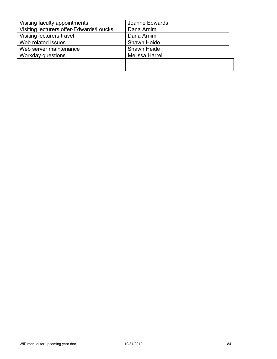| Visiting faculty appointments           | Joanne Edwards         |
|-----------------------------------------|------------------------|
| Visiting lecturers offer-Edwards/Loucks | Dana Arnim             |
| Visiting lecturers travel               | Dana Arnim             |
| Web related issues                      | <b>Shawn Heide</b>     |
| Web server maintenance                  | <b>Shawn Heide</b>     |
| Workday questions                       | <b>Melissa Harrell</b> |
|                                         |                        |
|                                         |                        |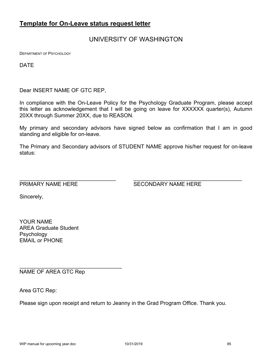## **Template for On-Leave status request letter**

## UNIVERSITY OF WASHINGTON

DEPARTMENT OF PSYCHOLOGY

DATE

Dear INSERT NAME OF GTC REP,

In compliance with the On-Leave Policy for the Psychology Graduate Program, please accept this letter as acknowledgement that I will be going on leave for XXXXXX quarter(s), Autumn 20XX through Summer 20XX, due to REASON.

My primary and secondary advisors have signed below as confirmation that I am in good standing and eligible for on-leave.

The Primary and Secondary advisors of STUDENT NAME approve his/her request for on-leave status:

 $\mathcal{L}_\mathcal{L} = \mathcal{L}_\mathcal{L} = \mathcal{L}_\mathcal{L} = \mathcal{L}_\mathcal{L} = \mathcal{L}_\mathcal{L} = \mathcal{L}_\mathcal{L} = \mathcal{L}_\mathcal{L} = \mathcal{L}_\mathcal{L} = \mathcal{L}_\mathcal{L} = \mathcal{L}_\mathcal{L} = \mathcal{L}_\mathcal{L} = \mathcal{L}_\mathcal{L} = \mathcal{L}_\mathcal{L} = \mathcal{L}_\mathcal{L} = \mathcal{L}_\mathcal{L} = \mathcal{L}_\mathcal{L} = \mathcal{L}_\mathcal{L}$ 

PRIMARY NAME HERE SECONDARY NAME HERE

Sincerely,

YOUR NAME AREA Graduate Student Psychology EMAIL or PHONE

NAME OF AREA GTC Rep

\_\_\_\_\_\_\_\_\_\_\_\_\_\_\_\_\_\_\_\_\_\_\_\_\_\_\_\_\_\_\_\_\_\_

Area GTC Rep:

Please sign upon receipt and return to Jeanny in the Grad Program Office. Thank you.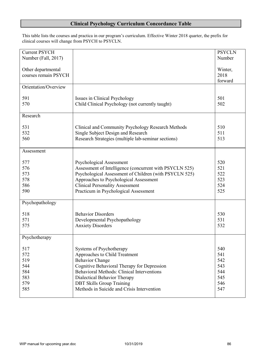## **Clinical Psychology Curriculum Concordance Table**

This table lists the courses and practica in our program's curriculum. Effective Winter 2018 quarter, the prefix for clinical courses will change from PSYCH to PSYCLN.

| <b>Current PSYCH</b> |                                                         | <b>PSYCLN</b> |
|----------------------|---------------------------------------------------------|---------------|
| Number (Fall, 2017)  |                                                         | Number        |
|                      |                                                         |               |
| Other departmental   |                                                         | Winter,       |
| courses remain PSYCH |                                                         | 2018          |
|                      |                                                         | forward       |
| Orientation/Overview |                                                         |               |
|                      |                                                         |               |
| 591                  | Issues in Clinical Psychology                           | 501           |
| 570                  | Child Clinical Psychology (not currently taught)        | 502           |
|                      |                                                         |               |
| Research             |                                                         |               |
|                      |                                                         |               |
| 531                  | Clinical and Community Psychology Research Methods      | 510           |
| 532                  | Single Subject Design and Research                      | 511           |
| 560                  | Research Strategies (multiple lab-seminar sections)     | 513           |
|                      |                                                         |               |
| Assessment           |                                                         |               |
|                      |                                                         |               |
| 577                  | Psychological Assessment                                | 520           |
| 576                  | Assessment of Intelligence (concurrent with PSYCLN 525) | 521           |
| 573                  | Psychological Assessment of Children (with PSYCLN 525)  | 522           |
| 578                  | Approaches to Psychological Assessment                  | 523           |
| 586                  | <b>Clinical Personality Assessment</b>                  | 524           |
| 590                  | Practicum in Psychological Assessment                   | 525           |
|                      |                                                         |               |
| Psychopathology      |                                                         |               |
|                      |                                                         |               |
| 518                  | <b>Behavior Disorders</b>                               | 530           |
| 571                  | Developmental Psychopathology                           | 531           |
| 575                  | <b>Anxiety Disorders</b>                                | 532           |
|                      |                                                         |               |
| Psychotherapy        |                                                         |               |
|                      |                                                         |               |
| 517                  | Systems of Psychotherapy                                | 540           |
| 572                  | Approaches to Child Treatment                           | 541           |
| 519                  | <b>Behavior Change</b>                                  | 542           |
| 544                  | Cognitive Behavioral Therapy for Depression             | 543           |
| 584                  | <b>Behavioral Methods: Clinical Interventions</b>       | 544           |
| 583                  | Dialectical Behavior Therapy                            | 545           |
| 579                  | <b>DBT Skills Group Training</b>                        | 546           |
| 585                  | Methods in Suicide and Crisis Intervention              | 547           |
|                      |                                                         |               |